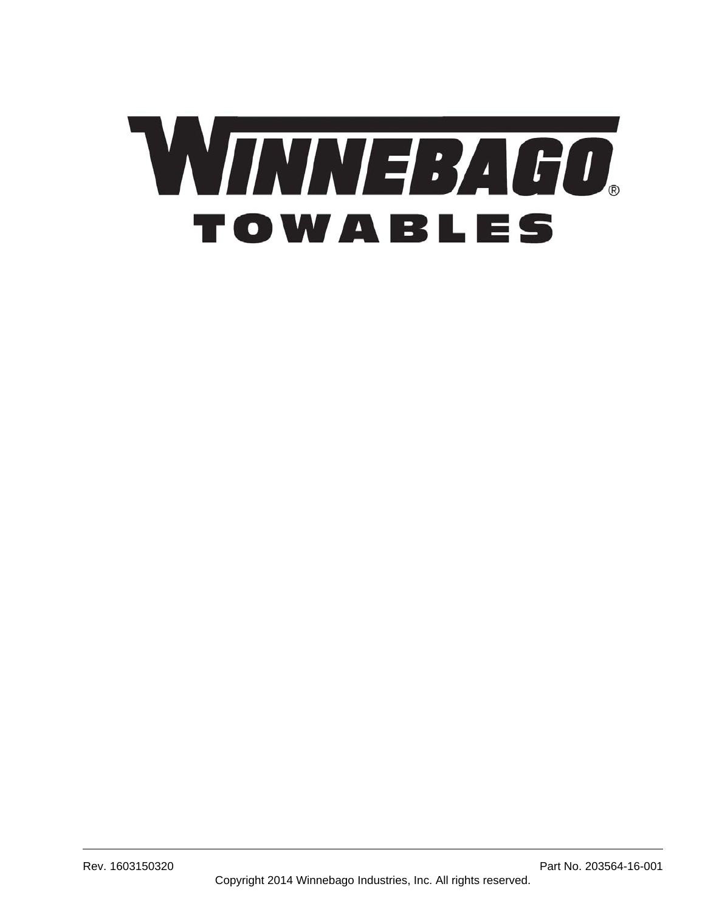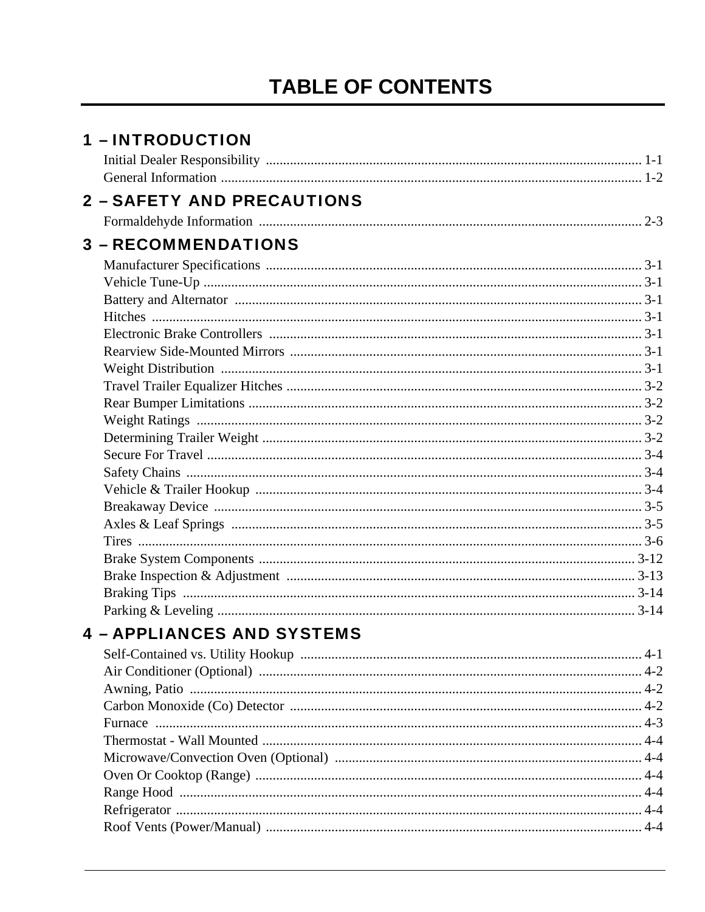# **TABLE OF CONTENTS**

| <b>1 - INTRODUCTION</b>           |  |
|-----------------------------------|--|
|                                   |  |
|                                   |  |
| <b>2 - SAFETY AND PRECAUTIONS</b> |  |
|                                   |  |
| <b>3 - RECOMMENDATIONS</b>        |  |
|                                   |  |
|                                   |  |
|                                   |  |
|                                   |  |
|                                   |  |
|                                   |  |
|                                   |  |
|                                   |  |
|                                   |  |
|                                   |  |
|                                   |  |
|                                   |  |
|                                   |  |
|                                   |  |
|                                   |  |
|                                   |  |
|                                   |  |
|                                   |  |
|                                   |  |
|                                   |  |
|                                   |  |
| <b>4 - APPLIANCES AND SYSTEMS</b> |  |
|                                   |  |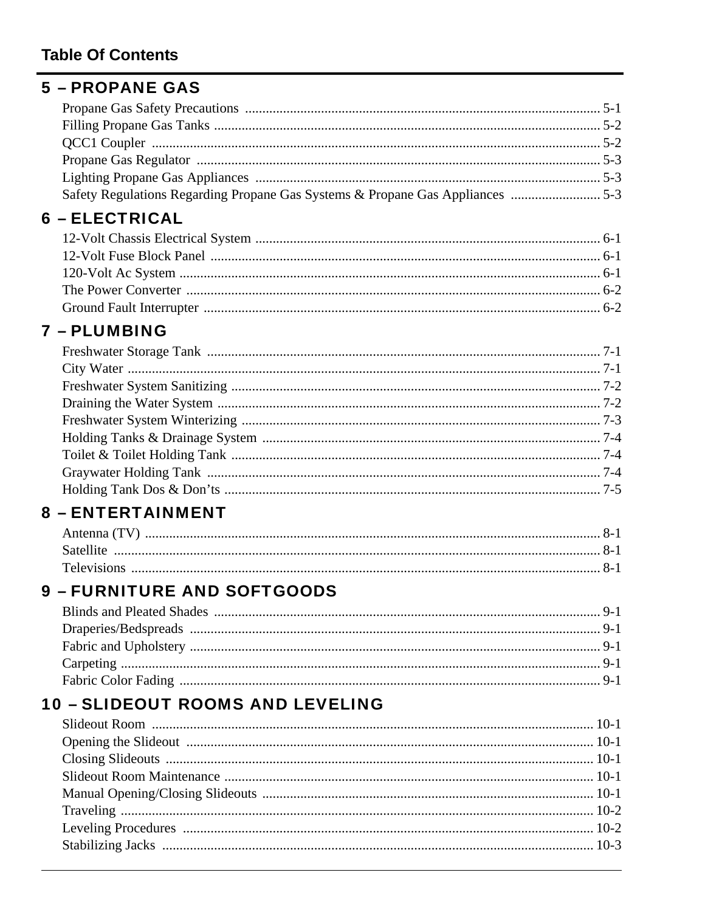## **Table Of Contents**

## **5 - PROPANE GAS**

| Safety Regulations Regarding Propane Gas Systems & Propane Gas Appliances  5-3 |  |
|--------------------------------------------------------------------------------|--|

## **6 - ELECTRICAL**

## 7 - PLUMBING

## **8 - ENTERTAINMENT**

# **9 - FURNITURE AND SOFTGOODS**

# **10 - SLIDEOUT ROOMS AND LEVELING**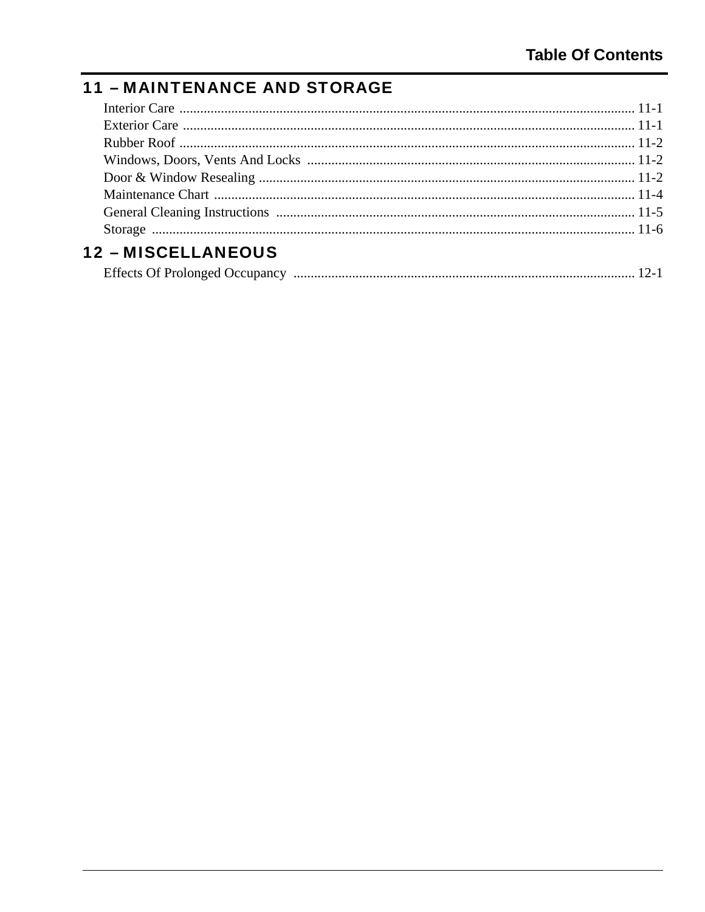# **11 - MAINTENANCE AND STORAGE**

| <b>12 - MISCELLANEOUS</b> |  |
|---------------------------|--|

| <b>Effects Of Prolonged Occupancy</b> |  |  |  |
|---------------------------------------|--|--|--|
|---------------------------------------|--|--|--|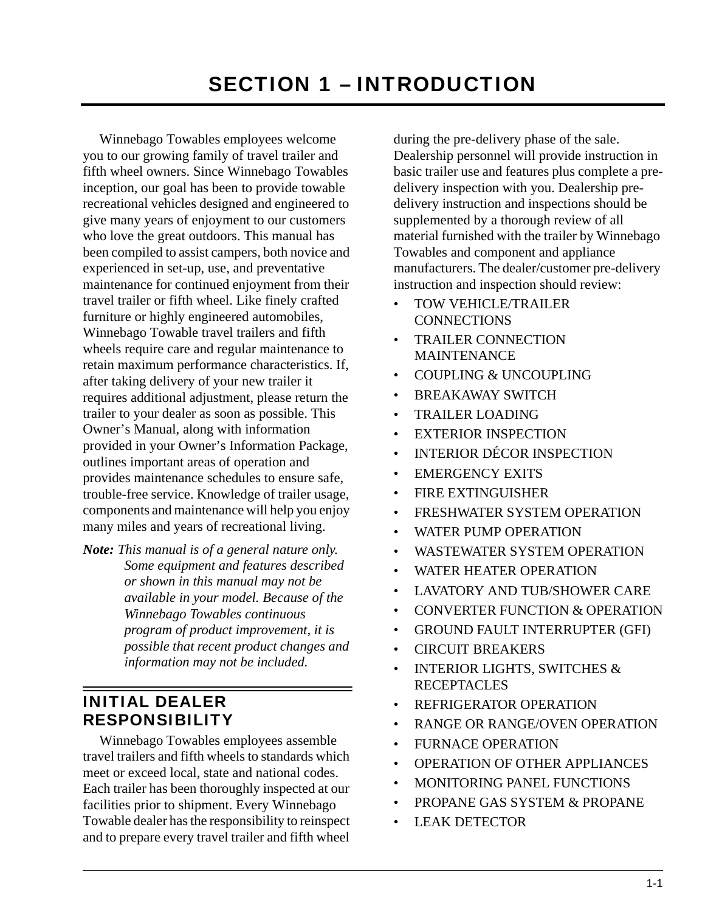<span id="page-6-0"></span>Winnebago Towables employees welcome you to our growing family of travel trailer and fifth wheel owners. Since Winnebago Towables inception, our goal has been to provide towable recreational vehicles designed and engineered to give many years of enjoyment to our customers who love the great outdoors. This manual has been compiled to assist campers, both novice and experienced in set-up, use, and preventative maintenance for continued enjoyment from their travel trailer or fifth wheel. Like finely crafted furniture or highly engineered automobiles, Winnebago Towable travel trailers and fifth wheels require care and regular maintenance to retain maximum performance characteristics. If, after taking delivery of your new trailer it requires additional adjustment, please return the trailer to your dealer as soon as possible. This Owner's Manual, along with information provided in your Owner's Information Package, outlines important areas of operation and provides maintenance schedules to ensure safe, trouble-free service. Knowledge of trailer usage, components and maintenance will help you enjoy many miles and years of recreational living.

*Note: This manual is of a general nature only. Some equipment and features described or shown in this manual may not be available in your model. Because of the Winnebago Towables continuous program of product improvement, it is possible that recent product changes and information may not be included.*

## <span id="page-6-1"></span>INITIAL DEALER RESPONSIBILITY

Winnebago Towables employees assemble travel trailers and fifth wheels to standards which meet or exceed local, state and national codes. Each trailer has been thoroughly inspected at our facilities prior to shipment. Every Winnebago Towable dealer has the responsibility to reinspect and to prepare every travel trailer and fifth wheel

during the pre-delivery phase of the sale. Dealership personnel will provide instruction in basic trailer use and features plus complete a predelivery inspection with you. Dealership predelivery instruction and inspections should be supplemented by a thorough review of all material furnished with the trailer by Winnebago Towables and component and appliance manufacturers. The dealer/customer pre-delivery instruction and inspection should review:

- TOW VEHICLE/TRAILER **CONNECTIONS**
- TRAILER CONNECTION MAINTENANCE
- COUPLING & UNCOUPLING
- BREAKAWAY SWITCH
- TRAILER LOADING
- EXTERIOR INSPECTION
- INTERIOR DÉCOR INSPECTION
- EMERGENCY EXITS
- FIRE EXTINGUISHER
- FRESHWATER SYSTEM OPERATION
- WATER PUMP OPERATION
- WASTEWATER SYSTEM OPERATION
- WATER HEATER OPERATION
- LAVATORY AND TUB/SHOWER CARE
- CONVERTER FUNCTION & OPERATION
- GROUND FAULT INTERRUPTER (GFI)
- CIRCUIT BREAKERS
- INTERIOR LIGHTS, SWITCHES & **RECEPTACLES**
- REFRIGERATOR OPERATION
- RANGE OR RANGE/OVEN OPERATION
- FURNACE OPERATION
- OPERATION OF OTHER APPLIANCES
- MONITORING PANEL FUNCTIONS
- PROPANE GAS SYSTEM & PROPANE
- LEAK DETECTOR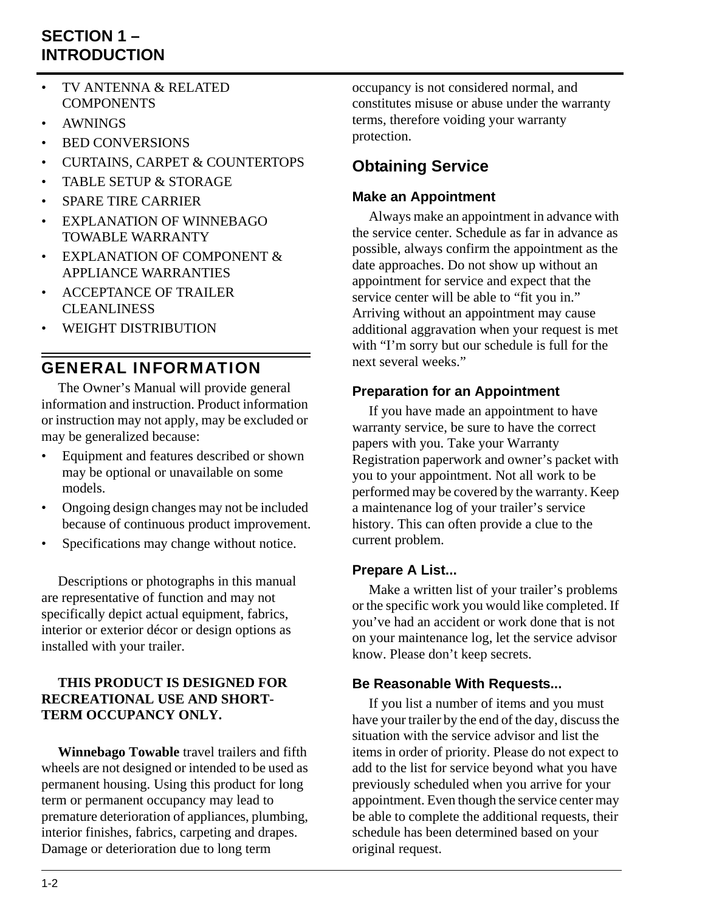## **SECTION 1 – INTRODUCTION**

- TV ANTENNA & RELATED **COMPONENTS**
- AWNINGS
- BED CONVERSIONS
- CURTAINS, CARPET & COUNTERTOPS
- TABLE SETUP & STORAGE
- SPARE TIRE CARRIER
- EXPLANATION OF WINNEBAGO TOWABLE WARRANTY
- EXPLANATION OF COMPONENT & APPLIANCE WARRANTIES
- ACCEPTANCE OF TRAILER CLEANLINESS
- WEIGHT DISTRIBUTION

## <span id="page-7-0"></span>GENERAL INFORMATION

The Owner's Manual will provide general information and instruction. Product information or instruction may not apply, may be excluded or may be generalized because:

- Equipment and features described or shown may be optional or unavailable on some models.
- Ongoing design changes may not be included because of continuous product improvement.
- Specifications may change without notice.

Descriptions or photographs in this manual are representative of function and may not specifically depict actual equipment, fabrics, interior or exterior décor or design options as installed with your trailer.

#### **THIS PRODUCT IS DESIGNED FOR RECREATIONAL USE AND SHORT-TERM OCCUPANCY ONLY.**

**Winnebago Towable** travel trailers and fifth wheels are not designed or intended to be used as permanent housing. Using this product for long term or permanent occupancy may lead to premature deterioration of appliances, plumbing, interior finishes, fabrics, carpeting and drapes. Damage or deterioration due to long term

occupancy is not considered normal, and constitutes misuse or abuse under the warranty terms, therefore voiding your warranty protection.

## **Obtaining Service**

#### **Make an Appointment**

Always make an appointment in advance with the service center. Schedule as far in advance as possible, always confirm the appointment as the date approaches. Do not show up without an appointment for service and expect that the service center will be able to "fit you in." Arriving without an appointment may cause additional aggravation when your request is met with "I'm sorry but our schedule is full for the next several weeks."

#### **Preparation for an Appointment**

If you have made an appointment to have warranty service, be sure to have the correct papers with you. Take your Warranty Registration paperwork and owner's packet with you to your appointment. Not all work to be performed may be covered by the warranty. Keep a maintenance log of your trailer's service history. This can often provide a clue to the current problem.

### **Prepare A List...**

Make a written list of your trailer's problems or the specific work you would like completed. If you've had an accident or work done that is not on your maintenance log, let the service advisor know. Please don't keep secrets.

### **Be Reasonable With Requests...**

If you list a number of items and you must have your trailer by the end of the day, discuss the situation with the service advisor and list the items in order of priority. Please do not expect to add to the list for service beyond what you have previously scheduled when you arrive for your appointment. Even though the service center may be able to complete the additional requests, their schedule has been determined based on your original request.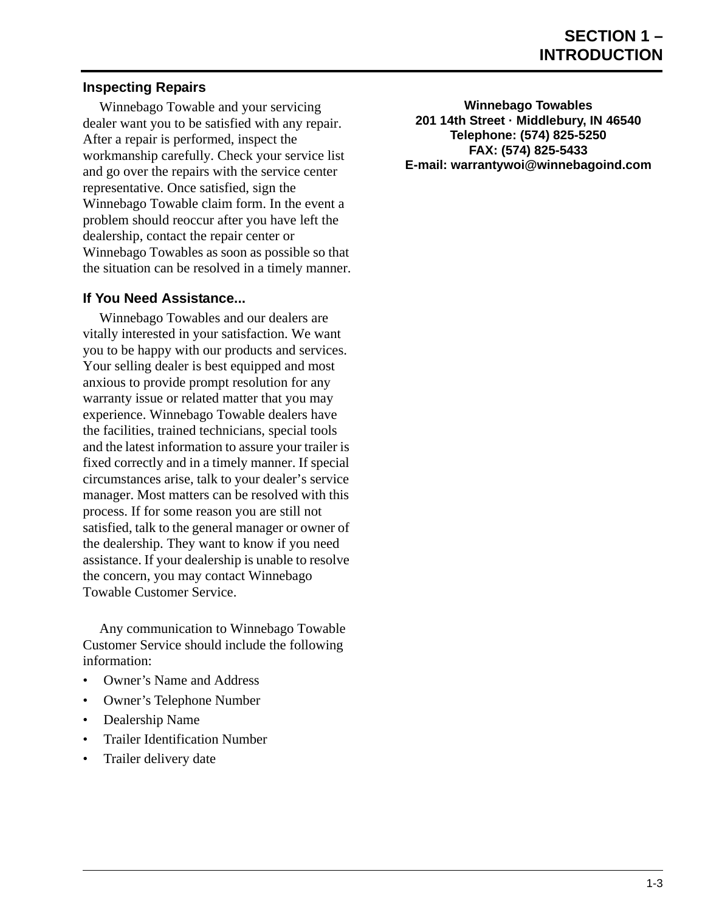#### **Inspecting Repairs**

Winnebago Towable and your servicing dealer want you to be satisfied with any repair. After a repair is performed, inspect the workmanship carefully. Check your service list and go over the repairs with the service center representative. Once satisfied, sign the Winnebago Towable claim form. In the event a problem should reoccur after you have left the dealership, contact the repair center or Winnebago Towables as soon as possible so that the situation can be resolved in a timely manner.

#### **If You Need Assistance...**

Winnebago Towables and our dealers are vitally interested in your satisfaction. We want you to be happy with our products and services. Your selling dealer is best equipped and most anxious to provide prompt resolution for any warranty issue or related matter that you may experience. Winnebago Towable dealers have the facilities, trained technicians, special tools and the latest information to assure your trailer is fixed correctly and in a timely manner. If special circumstances arise, talk to your dealer's service manager. Most matters can be resolved with this process. If for some reason you are still not satisfied, talk to the general manager or owner of the dealership. They want to know if you need assistance. If your dealership is unable to resolve the concern, you may contact Winnebago Towable Customer Service.

Any communication to Winnebago Towable Customer Service should include the following information:

- Owner's Name and Address
- Owner's Telephone Number
- Dealership Name
- Trailer Identification Number
- Trailer delivery date

**Winnebago Towables 201 14th Street · Middlebury, IN 46540 Telephone: (574) 825-5250 FAX: (574) 825-5433 E-mail: warrantywoi@winnebagoind.com**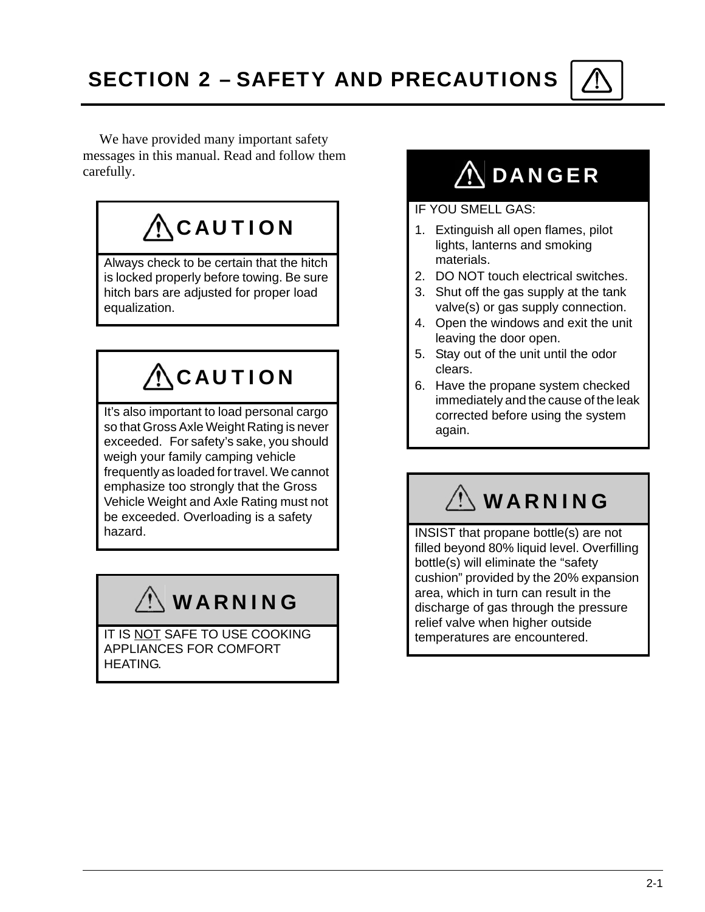<span id="page-10-0"></span>We have provided many important safety messages in this manual. Read and follow them carefully.

# $\Lambda$ CAUTION

Always check to be certain that the hitch is locked properly before towing. Be sure hitch bars are adjusted for proper load equalization.

# $\bigwedge$ CAUTION

It's also important to load personal cargo so that Gross Axle Weight Rating is never exceeded. For safety's sake, you should weigh your family camping vehicle frequently as loaded for travel. We cannot emphasize too strongly that the Gross Vehicle Weight and Axle Rating must not be exceeded. Overloading is a safety hazard.

# WARNING

IT IS NOT SAFE TO USE COOKING APPLIANCES FOR COMFORT HEATING.

# **ADANGER**

#### IF YOU SMELL GAS:

- 1. Extinguish all open flames, pilot lights, lanterns and smoking materials.
- 2. DO NOT touch electrical switches.
- 3. Shut off the gas supply at the tank valve(s) or gas supply connection.
- 4. Open the windows and exit the unit leaving the door open.
- 5. Stay out of the unit until the odor clears.
- 6. Have the propane system checked immediately and the cause of the leak corrected before using the system again.

# WARNING

INSIST that propane bottle(s) are not filled beyond 80% liquid level. Overfilling bottle(s) will eliminate the "safety cushion" provided by the 20% expansion area, which in turn can result in the discharge of gas through the pressure relief valve when higher outside temperatures are encountered.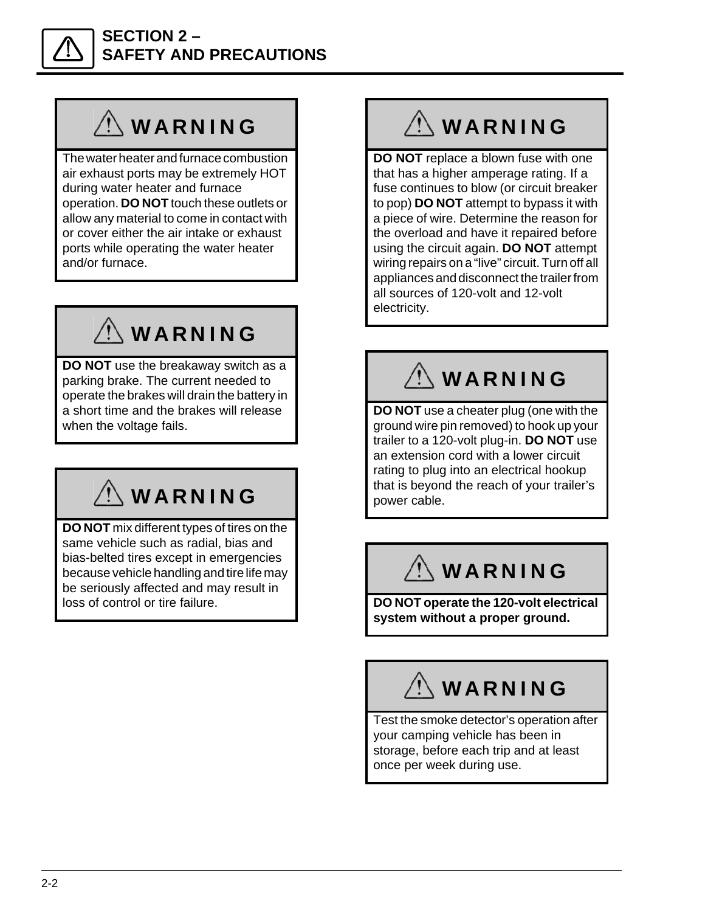

### **SECTION 2 – SAFETY AND PRECAUTIONS**

# WARNING

The water heater and furnace combustion air exhaust ports may be extremely HOT during water heater and furnace operation. **DO NOT** touch these outlets or allow any material to come in contact with or cover either the air intake or exhaust ports while operating the water heater and/or furnace.

# WARNING

**DO NOT** use the breakaway switch as a parking brake. The current needed to operate the brakes will drain the battery in a short time and the brakes will release when the voltage fails.

# WARNING

**DO NOT** mix different types of tires on the same vehicle such as radial, bias and bias-belted tires except in emergencies because vehicle handling and tire life may be seriously affected and may result in loss of control or tire failure.

# **WARNING**

**DO NOT** replace a blown fuse with one that has a higher amperage rating. If a fuse continues to blow (or circuit breaker to pop) **DO NOT** attempt to bypass it with a piece of wire. Determine the reason for the overload and have it repaired before using the circuit again. **DO NOT** attempt wiring repairs on a "live" circuit. Turn off all appliances and disconnect the trailer from all sources of 120-volt and 12-volt electricity.

# WARNING

**DO NOT** use a cheater plug (one with the ground wire pin removed) to hook up your trailer to a 120-volt plug-in. **DO NOT** use an extension cord with a lower circuit rating to plug into an electrical hookup that is beyond the reach of your trailer's power cable.

# WARNING

**DO NOT operate the 120-volt electrical system without a proper ground.**

# $\left\langle \right\rangle$  WARNING

Test the smoke detector's operation after your camping vehicle has been in storage, before each trip and at least once per week during use.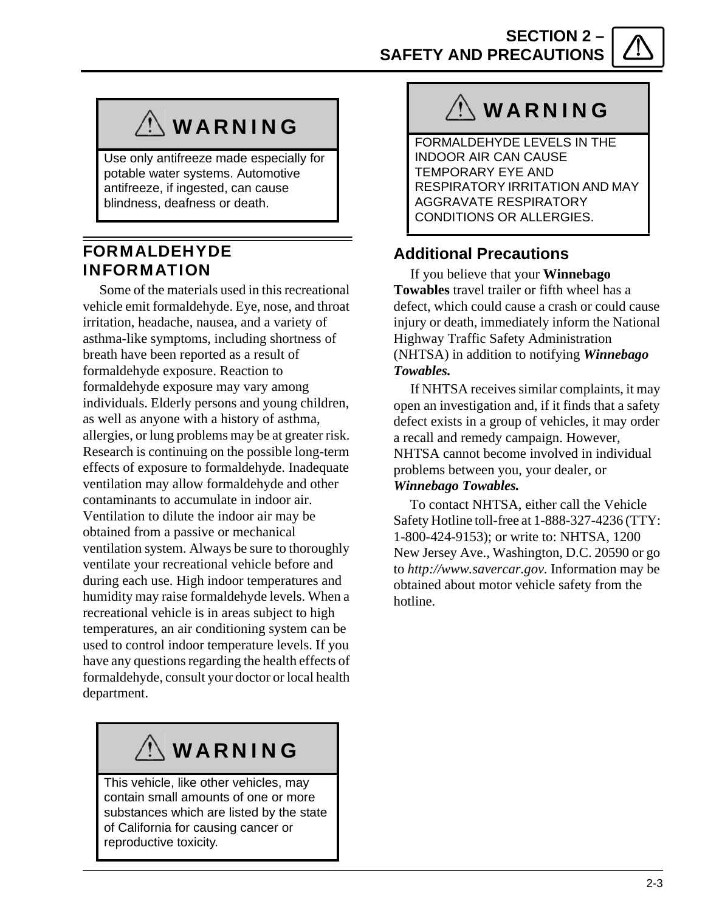**SECTION 2 – SAFETY AND PRECAUTIONS**

# **WARNING**

Use only antifreeze made especially for potable water systems. Automotive antifreeze, if ingested, can cause blindness, deafness or death.

### <span id="page-12-0"></span>FORMALDEHYDE INFORMATION

Some of the materials used in this recreational vehicle emit formaldehyde. Eye, nose, and throat irritation, headache, nausea, and a variety of asthma-like symptoms, including shortness of breath have been reported as a result of formaldehyde exposure. Reaction to formaldehyde exposure may vary among individuals. Elderly persons and young children, as well as anyone with a history of asthma, allergies, or lung problems may be at greater risk. Research is continuing on the possible long-term effects of exposure to formaldehyde. Inadequate ventilation may allow formaldehyde and other contaminants to accumulate in indoor air. Ventilation to dilute the indoor air may be obtained from a passive or mechanical ventilation system. Always be sure to thoroughly ventilate your recreational vehicle before and during each use. High indoor temperatures and humidity may raise formaldehyde levels. When a recreational vehicle is in areas subject to high temperatures, an air conditioning system can be used to control indoor temperature levels. If you have any questions regarding the health effects of formaldehyde, consult your doctor or local health department.

# WARNING

This vehicle, like other vehicles, may contain small amounts of one or more substances which are listed by the state of California for causing cancer or reproductive toxicity.

# WARNING

FORMALDEHYDE LEVELS IN THE INDOOR AIR CAN CAUSE TEMPORARY EYE AND RESPIRATORY IRRITATION AND MAY AGGRAVATE RESPIRATORY CONDITIONS OR ALLERGIES.

### **Additional Precautions**

If you believe that your **Winnebago Towables** travel trailer or fifth wheel has a defect, which could cause a crash or could cause injury or death, immediately inform the National Highway Traffic Safety Administration (NHTSA) in addition to notifying *Winnebago Towables.*

If NHTSA receives similar complaints, it may open an investigation and, if it finds that a safety defect exists in a group of vehicles, it may order a recall and remedy campaign. However, NHTSA cannot become involved in individual problems between you, your dealer, or *Winnebago Towables.*

To contact NHTSA, either call the Vehicle Safety Hotline toll-free at 1-888-327-4236 (TTY: 1-800-424-9153); or write to: NHTSA, 1200 New Jersey Ave., Washington, D.C. 20590 or go to *http://www.savercar.gov.* Information may be obtained about motor vehicle safety from the hotline.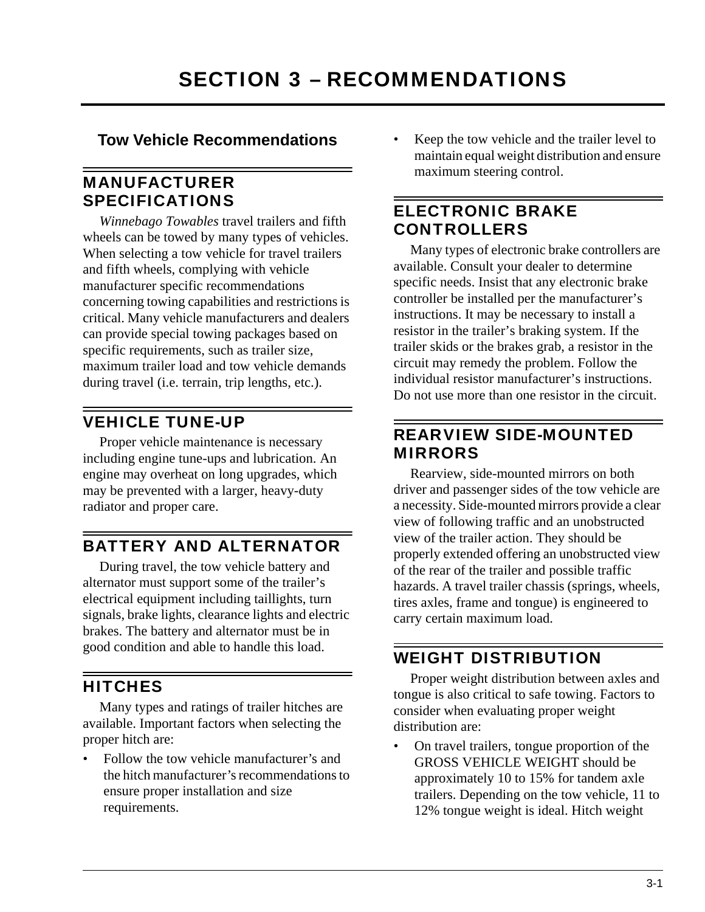<span id="page-14-0"></span>**Tow Vehicle Recommendations**

### <span id="page-14-1"></span>MANUFACTURER SPECIFICATIONS

*Winnebago Towables* travel trailers and fifth wheels can be towed by many types of vehicles. When selecting a tow vehicle for travel trailers and fifth wheels, complying with vehicle manufacturer specific recommendations concerning towing capabilities and restrictions is critical. Many vehicle manufacturers and dealers can provide special towing packages based on specific requirements, such as trailer size, maximum trailer load and tow vehicle demands during travel (i.e. terrain, trip lengths, etc.).

# <span id="page-14-2"></span>VEHICLE TUNE-UP

Proper vehicle maintenance is necessary including engine tune-ups and lubrication. An engine may overheat on long upgrades, which may be prevented with a larger, heavy-duty radiator and proper care.

# <span id="page-14-3"></span>BATTERY AND ALTERNATOR

During travel, the tow vehicle battery and alternator must support some of the trailer's electrical equipment including taillights, turn signals, brake lights, clearance lights and electric brakes. The battery and alternator must be in good condition and able to handle this load.

# <span id="page-14-4"></span>**HITCHES**

Many types and ratings of trailer hitches are available. Important factors when selecting the proper hitch are:

• Follow the tow vehicle manufacturer's and the hitch manufacturer's recommendations to ensure proper installation and size requirements.

Keep the tow vehicle and the trailer level to maintain equal weight distribution and ensure maximum steering control.

## <span id="page-14-5"></span>ELECTRONIC BRAKE CONTROLLERS

Many types of electronic brake controllers are available. Consult your dealer to determine specific needs. Insist that any electronic brake controller be installed per the manufacturer's instructions. It may be necessary to install a resistor in the trailer's braking system. If the trailer skids or the brakes grab, a resistor in the circuit may remedy the problem. Follow the individual resistor manufacturer's instructions. Do not use more than one resistor in the circuit.

### <span id="page-14-6"></span>REARVIEW SIDE-MOUNTED MIRRORS

Rearview, side-mounted mirrors on both driver and passenger sides of the tow vehicle are a necessity. Side-mounted mirrors provide a clear view of following traffic and an unobstructed view of the trailer action. They should be properly extended offering an unobstructed view of the rear of the trailer and possible traffic hazards. A travel trailer chassis (springs, wheels, tires axles, frame and tongue) is engineered to carry certain maximum load.

## <span id="page-14-7"></span>WEIGHT DISTRIBUTION

Proper weight distribution between axles and tongue is also critical to safe towing. Factors to consider when evaluating proper weight distribution are:

• On travel trailers, tongue proportion of the GROSS VEHICLE WEIGHT should be approximately 10 to 15% for tandem axle trailers. Depending on the tow vehicle, 11 to 12% tongue weight is ideal. Hitch weight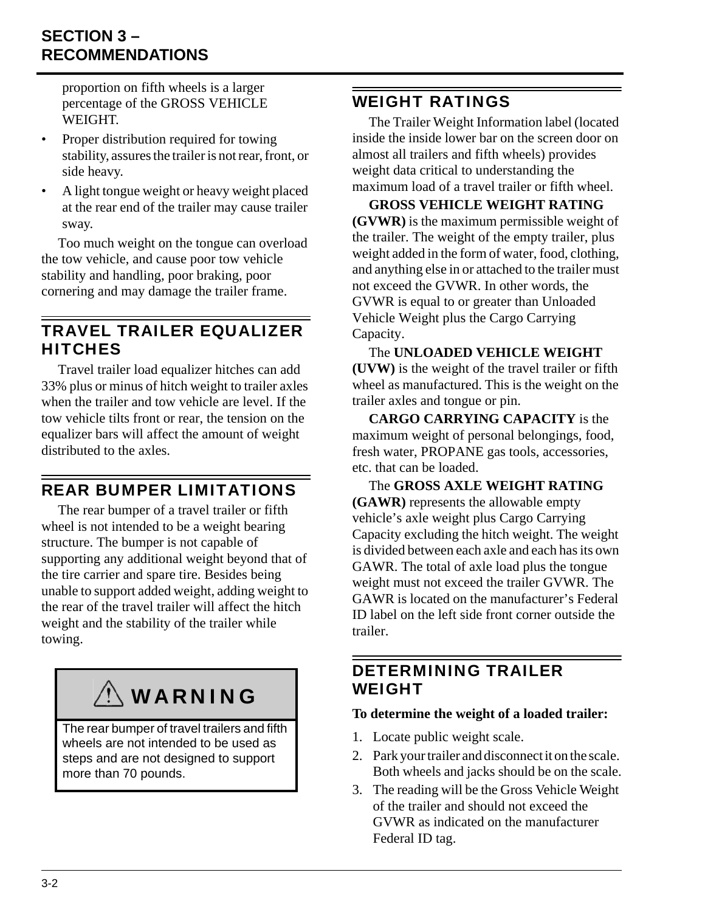## **SECTION 3 – RECOMMENDATIONS**

proportion on fifth wheels is a larger percentage of the GROSS VEHICLE WEIGHT.

- Proper distribution required for towing stability, assures the trailer is not rear, front, or side heavy.
- A light tongue weight or heavy weight placed at the rear end of the trailer may cause trailer sway.

Too much weight on the tongue can overload the tow vehicle, and cause poor tow vehicle stability and handling, poor braking, poor cornering and may damage the trailer frame.

### <span id="page-15-0"></span>TRAVEL TRAILER EQUALIZER **HITCHES**

Travel trailer load equalizer hitches can add 33% plus or minus of hitch weight to trailer axles when the trailer and tow vehicle are level. If the tow vehicle tilts front or rear, the tension on the equalizer bars will affect the amount of weight distributed to the axles.

## <span id="page-15-1"></span>REAR BUMPER LIMITATIONS

The rear bumper of a travel trailer or fifth wheel is not intended to be a weight bearing structure. The bumper is not capable of supporting any additional weight beyond that of the tire carrier and spare tire. Besides being unable to support added weight, adding weight to the rear of the travel trailer will affect the hitch weight and the stability of the trailer while towing.

# WARNING

The rear bumper of travel trailers and fifth wheels are not intended to be used as steps and are not designed to support more than 70 pounds.

### <span id="page-15-2"></span>WEIGHT RATINGS

The Trailer Weight Information label (located inside the inside lower bar on the screen door on almost all trailers and fifth wheels) provides weight data critical to understanding the maximum load of a travel trailer or fifth wheel.

**GROSS VEHICLE WEIGHT RATING (GVWR)** is the maximum permissible weight of the trailer. The weight of the empty trailer, plus weight added in the form of water, food, clothing, and anything else in or attached to the trailer must not exceed the GVWR. In other words, the GVWR is equal to or greater than Unloaded Vehicle Weight plus the Cargo Carrying Capacity.

The **UNLOADED VEHICLE WEIGHT (UVW)** is the weight of the travel trailer or fifth wheel as manufactured. This is the weight on the trailer axles and tongue or pin.

**CARGO CARRYING CAPACITY** is the maximum weight of personal belongings, food, fresh water, PROPANE gas tools, accessories, etc. that can be loaded.

The **GROSS AXLE WEIGHT RATING (GAWR)** represents the allowable empty vehicle's axle weight plus Cargo Carrying Capacity excluding the hitch weight. The weight is divided between each axle and each has its own GAWR. The total of axle load plus the tongue weight must not exceed the trailer GVWR. The GAWR is located on the manufacturer's Federal ID label on the left side front corner outside the trailer.

## <span id="page-15-3"></span>DETERMINING TRAILER WEIGHT

#### **To determine the weight of a loaded trailer:**

- 1. Locate public weight scale.
- 2. Park your trailer and disconnect it on the scale. Both wheels and jacks should be on the scale.
- 3. The reading will be the Gross Vehicle Weight of the trailer and should not exceed the GVWR as indicated on the manufacturer Federal ID tag.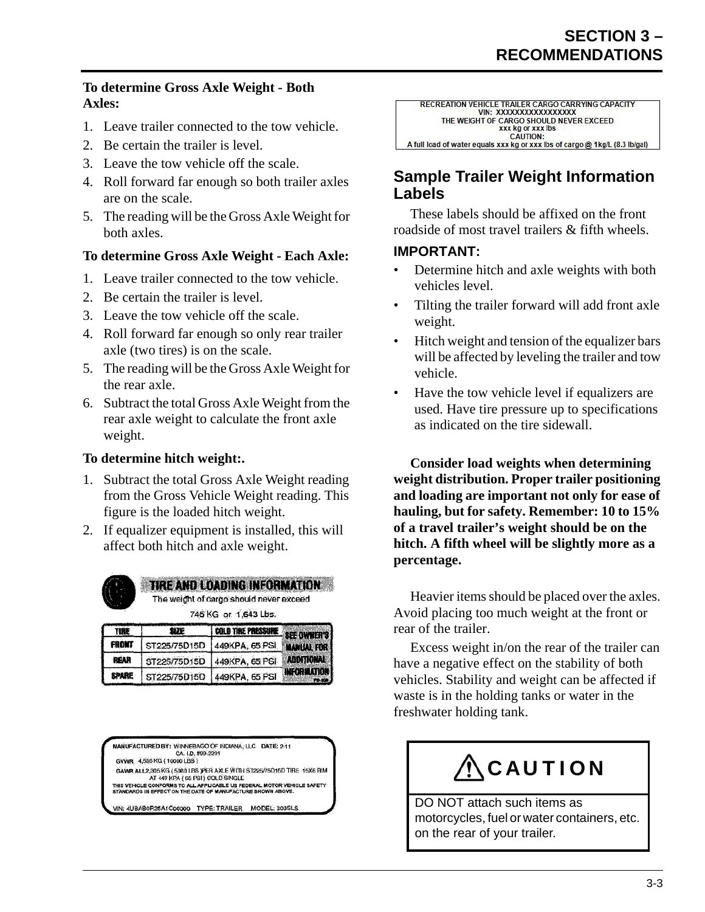#### **To determine Gross Axle Weight - Both Axles:**

- 1. Leave trailer connected to the tow vehicle.
- 2. Be certain the trailer is level.
- 3. Leave the tow vehicle off the scale.
- 4. Roll forward far enough so both trailer axles are on the scale.
- 5. The reading will be the Gross Axle Weight for both axles.

#### **To determine Gross Axle Weight - Each Axle:**

- 1. Leave trailer connected to the tow vehicle.
- 2. Be certain the trailer is level.
- 3. Leave the tow vehicle off the scale.
- 4. Roll forward far enough so only rear trailer axle (two tires) is on the scale.
- 5. The reading will be the Gross Axle Weight for the rear axle.
- 6. Subtract the total Gross Axle Weight from the rear axle weight to calculate the front axle weight.

#### **To determine hitch weight:.**

- 1. Subtract the total Gross Axle Weight reading from the Gross Vehicle Weight reading. This figure is the loaded hitch weight.
- 2. If equalizer equipment is installed, this will affect both hitch and axle weight.



TIRE AND LOADING INFORMATION The weight of cargo should never exceed

745 KG or 1,643 Lbs.

| TIRE         | Æ | <b>COLD TIRE PRESSURE SEE OWNER'S!</b> |             |
|--------------|---|----------------------------------------|-------------|
| <b>FRONT</b> |   | ST225/75D15D 449KPA, 65 PSI MANUAL FOR |             |
| <b>REAR</b>  |   | ST225/75D15D 449KPA, 65 PSI ADDITIONAL |             |
| <b>SPARE</b> |   | ST225/75D15D 449KPA, 65 PSI            | INFORMATION |

MANUFACTURED BY: WINNEBAGO OF INDIANA, LLC DATE: 2-11 CA. I.D. #99-2291 GVWR 4,536 KG (10000 LBS)

GAWR ALL2,305 KG (5060 LBS )PER AXLE WITH ST225/75D15D TIRE 15X6 RIM SANTIC ALLEGION IN SIGN LIFE OF MARINE THE TREAT FOR THE TORY THE

VIN: 4UBAB0R25A1C00000 TYPE: TRAILER MODEL: 303SLS

| RECREATION VEHICLE TRAILER CARGO CARRYING CAPACITY<br>VIN: XXXXXXXXXXXXXXXX |
|-----------------------------------------------------------------------------|
|                                                                             |
| THE WEIGHT OF CARGO SHOULD NEVER EXCEED                                     |
| <b>XXX kg or XXX lbs</b>                                                    |
| CAUTION:                                                                    |
| A full load of water equals xxx kg or xxx lbs of cargo @ 1kg/L (8.3 lb/gal) |

### **Sample Trailer Weight Information Labels**

These labels should be affixed on the front roadside of most travel trailers & fifth wheels.

#### **IMPORTANT:**

- Determine hitch and axle weights with both vehicles level.
- Tilting the trailer forward will add front axle weight.
- Hitch weight and tension of the equalizer bars will be affected by leveling the trailer and tow vehicle.
- Have the tow vehicle level if equalizers are used. Have tire pressure up to specifications as indicated on the tire sidewall.

**Consider load weights when determining weight distribution. Proper trailer positioning and loading are important not only for ease of hauling, but for safety. Remember: 10 to 15% of a travel trailer's weight should be on the hitch. A fifth wheel will be slightly more as a percentage.**

Heavier items should be placed over the axles. Avoid placing too much weight at the front or rear of the trailer.

Excess weight in/on the rear of the trailer can have a negative effect on the stability of both vehicles. Stability and weight can be affected if waste is in the holding tanks or water in the freshwater holding tank.



motorcycles, fuel or water containers, etc. on the rear of your trailer.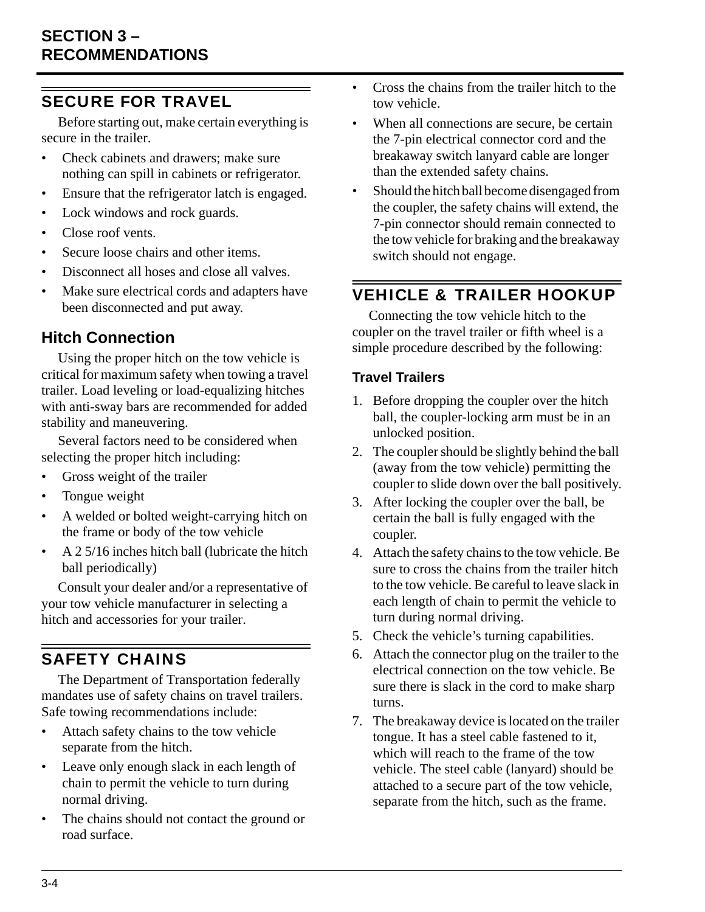## <span id="page-17-0"></span>SECURE FOR TRAVEL

Before starting out, make certain everything is secure in the trailer.

- Check cabinets and drawers; make sure nothing can spill in cabinets or refrigerator.
- Ensure that the refrigerator latch is engaged.
- Lock windows and rock guards.
- Close roof vents.
- Secure loose chairs and other items.
- Disconnect all hoses and close all valves.
- Make sure electrical cords and adapters have been disconnected and put away.

## **Hitch Connection**

Using the proper hitch on the tow vehicle is critical for maximum safety when towing a travel trailer. Load leveling or load-equalizing hitches with anti-sway bars are recommended for added stability and maneuvering.

Several factors need to be considered when selecting the proper hitch including:

- Gross weight of the trailer
- Tongue weight
- A welded or bolted weight-carrying hitch on the frame or body of the tow vehicle
- A 2 5/16 inches hitch ball (lubricate the hitch ball periodically)

Consult your dealer and/or a representative of your tow vehicle manufacturer in selecting a hitch and accessories for your trailer.

# <span id="page-17-1"></span>SAFETY CHAINS

The Department of Transportation federally mandates use of safety chains on travel trailers. Safe towing recommendations include:

- Attach safety chains to the tow vehicle separate from the hitch.
- Leave only enough slack in each length of chain to permit the vehicle to turn during normal driving.
- The chains should not contact the ground or road surface.
- Cross the chains from the trailer hitch to the tow vehicle.
- When all connections are secure, be certain the 7-pin electrical connector cord and the breakaway switch lanyard cable are longer than the extended safety chains.
- Should the hitch ball become disengaged from the coupler, the safety chains will extend, the 7-pin connector should remain connected to the tow vehicle for braking and the breakaway switch should not engage.

## <span id="page-17-2"></span>VEHICLE & TRAILER HOOKUP

Connecting the tow vehicle hitch to the coupler on the travel trailer or fifth wheel is a simple procedure described by the following:

#### **Travel Trailers**

- 1. Before dropping the coupler over the hitch ball, the coupler-locking arm must be in an unlocked position.
- 2. The coupler should be slightly behind the ball (away from the tow vehicle) permitting the coupler to slide down over the ball positively.
- 3. After locking the coupler over the ball, be certain the ball is fully engaged with the coupler.
- 4. Attach the safety chains to the tow vehicle. Be sure to cross the chains from the trailer hitch to the tow vehicle. Be careful to leave slack in each length of chain to permit the vehicle to turn during normal driving.
- 5. Check the vehicle's turning capabilities.
- 6. Attach the connector plug on the trailer to the electrical connection on the tow vehicle. Be sure there is slack in the cord to make sharp turns.
- 7. The breakaway device is located on the trailer tongue. It has a steel cable fastened to it, which will reach to the frame of the tow vehicle. The steel cable (lanyard) should be attached to a secure part of the tow vehicle, separate from the hitch, such as the frame.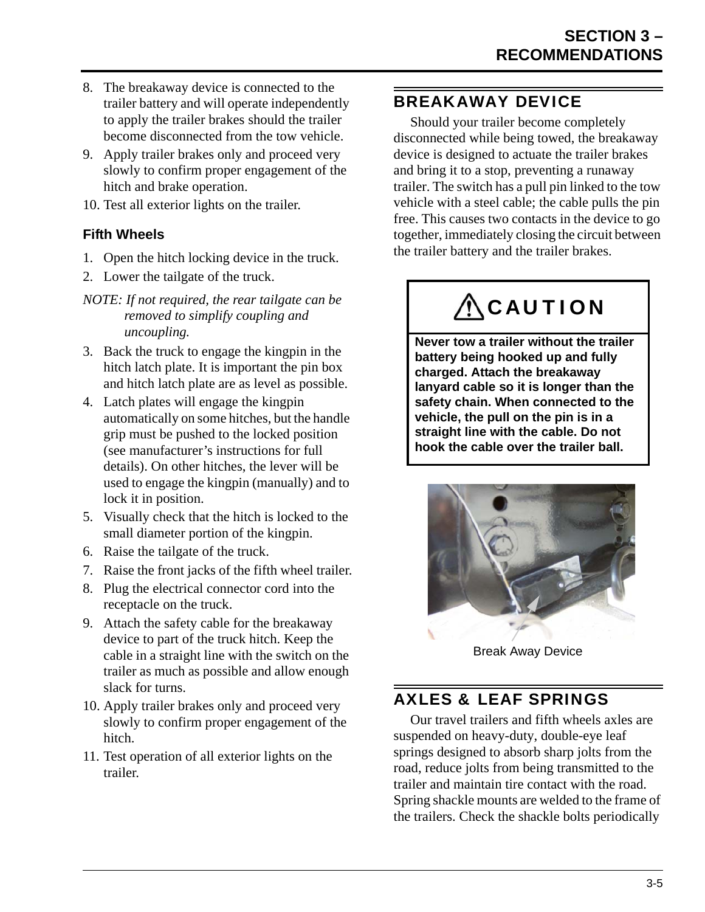- 8. The breakaway device is connected to the trailer battery and will operate independently to apply the trailer brakes should the trailer become disconnected from the tow vehicle.
- 9. Apply trailer brakes only and proceed very slowly to confirm proper engagement of the hitch and brake operation.
- 10. Test all exterior lights on the trailer.

#### **Fifth Wheels**

- 1. Open the hitch locking device in the truck.
- 2. Lower the tailgate of the truck.
- *NOTE: If not required, the rear tailgate can be removed to simplify coupling and uncoupling.*
- 3. Back the truck to engage the kingpin in the hitch latch plate. It is important the pin box and hitch latch plate are as level as possible.
- 4. Latch plates will engage the kingpin automatically on some hitches, but the handle grip must be pushed to the locked position (see manufacturer's instructions for full details). On other hitches, the lever will be used to engage the kingpin (manually) and to lock it in position.
- 5. Visually check that the hitch is locked to the small diameter portion of the kingpin.
- 6. Raise the tailgate of the truck.
- 7. Raise the front jacks of the fifth wheel trailer.
- 8. Plug the electrical connector cord into the receptacle on the truck.
- 9. Attach the safety cable for the breakaway device to part of the truck hitch. Keep the cable in a straight line with the switch on the trailer as much as possible and allow enough slack for turns.
- 10. Apply trailer brakes only and proceed very slowly to confirm proper engagement of the hitch.
- 11. Test operation of all exterior lights on the trailer.

## <span id="page-18-0"></span>BREAKAWAY DEVICE

Should your trailer become completely disconnected while being towed, the breakaway device is designed to actuate the trailer brakes and bring it to a stop, preventing a runaway trailer. The switch has a pull pin linked to the tow vehicle with a steel cable; the cable pulls the pin free. This causes two contacts in the device to go together, immediately closing the circuit between the trailer battery and the trailer brakes.

# **ACAUTION**

**Never tow a trailer without the trailer battery being hooked up and fully charged. Attach the breakaway lanyard cable so it is longer than the safety chain. When connected to the vehicle, the pull on the pin is in a straight line with the cable. Do not hook the cable over the trailer ball.**



Break Away Device

### <span id="page-18-1"></span>AXLES & LEAF SPRINGS

Our travel trailers and fifth wheels axles are suspended on heavy-duty, double-eye leaf springs designed to absorb sharp jolts from the road, reduce jolts from being transmitted to the trailer and maintain tire contact with the road. Spring shackle mounts are welded to the frame of the trailers. Check the shackle bolts periodically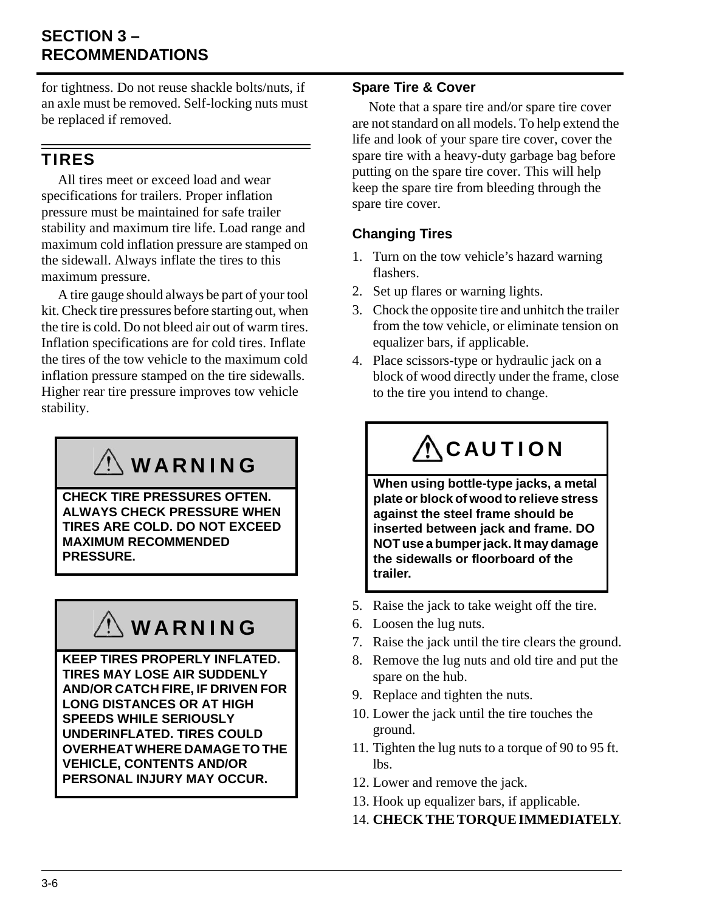## **SECTION 3 – RECOMMENDATIONS**

for tightness. Do not reuse shackle bolts/nuts, if an axle must be removed. Self-locking nuts must be replaced if removed.

### <span id="page-19-0"></span>TIRES

All tires meet or exceed load and wear specifications for trailers. Proper inflation pressure must be maintained for safe trailer stability and maximum tire life. Load range and maximum cold inflation pressure are stamped on the sidewall. Always inflate the tires to this maximum pressure.

A tire gauge should always be part of your tool kit. Check tire pressures before starting out, when the tire is cold. Do not bleed air out of warm tires. Inflation specifications are for cold tires. Inflate the tires of the tow vehicle to the maximum cold inflation pressure stamped on the tire sidewalls. Higher rear tire pressure improves tow vehicle stability.

# WARNING

**CHECK TIRE PRESSURES OFTEN. ALWAYS CHECK PRESSURE WHEN TIRES ARE COLD. DO NOT EXCEED MAXIMUM RECOMMENDED PRESSURE.**

# WARNING

**KEEP TIRES PROPERLY INFLATED. TIRES MAY LOSE AIR SUDDENLY AND/OR CATCH FIRE, IF DRIVEN FOR LONG DISTANCES OR AT HIGH SPEEDS WHILE SERIOUSLY UNDERINFLATED. TIRES COULD OVERHEAT WHERE DAMAGE TO THE VEHICLE, CONTENTS AND/OR PERSONAL INJURY MAY OCCUR.**

#### **Spare Tire & Cover**

Note that a spare tire and/or spare tire cover are not standard on all models. To help extend the life and look of your spare tire cover, cover the spare tire with a heavy-duty garbage bag before putting on the spare tire cover. This will help keep the spare tire from bleeding through the spare tire cover.

### **Changing Tires**

- 1. Turn on the tow vehicle's hazard warning flashers.
- 2. Set up flares or warning lights.
- 3. Chock the opposite tire and unhitch the trailer from the tow vehicle, or eliminate tension on equalizer bars, if applicable.
- 4. Place scissors-type or hydraulic jack on a block of wood directly under the frame, close to the tire you intend to change.

# **ACAUTION**

**When using bottle-type jacks, a metal plate or block of wood to relieve stress against the steel frame should be inserted between jack and frame. DO NOT use a bumper jack. It may damage the sidewalls or floorboard of the trailer.**

- 5. Raise the jack to take weight off the tire.
- 6. Loosen the lug nuts.
- 7. Raise the jack until the tire clears the ground.
- 8. Remove the lug nuts and old tire and put the spare on the hub.
- 9. Replace and tighten the nuts.
- 10. Lower the jack until the tire touches the ground.
- 11. Tighten the lug nuts to a torque of 90 to 95 ft. lbs.
- 12. Lower and remove the jack.
- 13. Hook up equalizer bars, if applicable.
- 14. **CHECK THE TORQUE IMMEDIATELY**.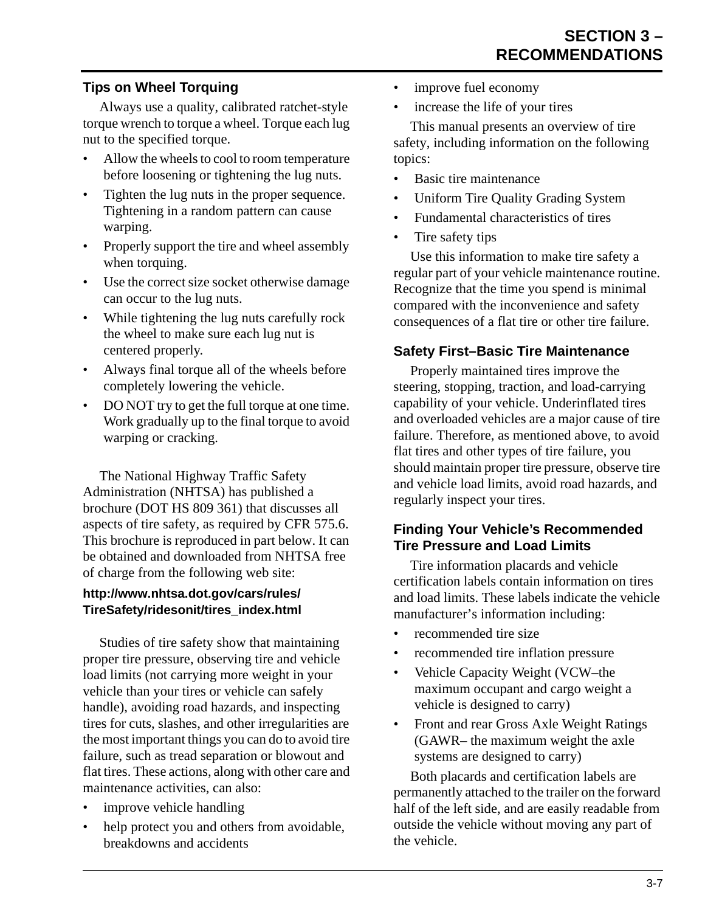#### **Tips on Wheel Torquing**

Always use a quality, calibrated ratchet-style torque wrench to torque a wheel. Torque each lug nut to the specified torque.

- Allow the wheels to cool to room temperature before loosening or tightening the lug nuts.
- Tighten the lug nuts in the proper sequence. Tightening in a random pattern can cause warping.
- Properly support the tire and wheel assembly when torquing.
- Use the correct size socket otherwise damage can occur to the lug nuts.
- While tightening the lug nuts carefully rock the wheel to make sure each lug nut is centered properly.
- Always final torque all of the wheels before completely lowering the vehicle.
- DO NOT try to get the full torque at one time. Work gradually up to the final torque to avoid warping or cracking.

The National Highway Traffic Safety Administration (NHTSA) has published a brochure (DOT HS 809 361) that discusses all aspects of tire safety, as required by CFR 575.6. This brochure is reproduced in part below. It can be obtained and downloaded from NHTSA free of charge from the following web site:

#### **http://www.nhtsa.dot.gov/cars/rules/ TireSafety/ridesonit/tires\_index.html**

Studies of tire safety show that maintaining proper tire pressure, observing tire and vehicle load limits (not carrying more weight in your vehicle than your tires or vehicle can safely handle), avoiding road hazards, and inspecting tires for cuts, slashes, and other irregularities are the most important things you can do to avoid tire failure, such as tread separation or blowout and flat tires. These actions, along with other care and maintenance activities, can also:

- improve vehicle handling
- help protect you and others from avoidable, breakdowns and accidents
- improve fuel economy
- increase the life of your tires

This manual presents an overview of tire safety, including information on the following topics:

- Basic tire maintenance
- Uniform Tire Quality Grading System
- Fundamental characteristics of tires
- Tire safety tips

Use this information to make tire safety a regular part of your vehicle maintenance routine. Recognize that the time you spend is minimal compared with the inconvenience and safety consequences of a flat tire or other tire failure.

#### **Safety First–Basic Tire Maintenance**

Properly maintained tires improve the steering, stopping, traction, and load-carrying capability of your vehicle. Underinflated tires and overloaded vehicles are a major cause of tire failure. Therefore, as mentioned above, to avoid flat tires and other types of tire failure, you should maintain proper tire pressure, observe tire and vehicle load limits, avoid road hazards, and regularly inspect your tires.

#### **Finding Your Vehicle's Recommended Tire Pressure and Load Limits**

Tire information placards and vehicle certification labels contain information on tires and load limits. These labels indicate the vehicle manufacturer's information including:

- recommended tire size
- recommended tire inflation pressure
- Vehicle Capacity Weight (VCW–the maximum occupant and cargo weight a vehicle is designed to carry)
- Front and rear Gross Axle Weight Ratings (GAWR– the maximum weight the axle systems are designed to carry)

Both placards and certification labels are permanently attached to the trailer on the forward half of the left side, and are easily readable from outside the vehicle without moving any part of the vehicle.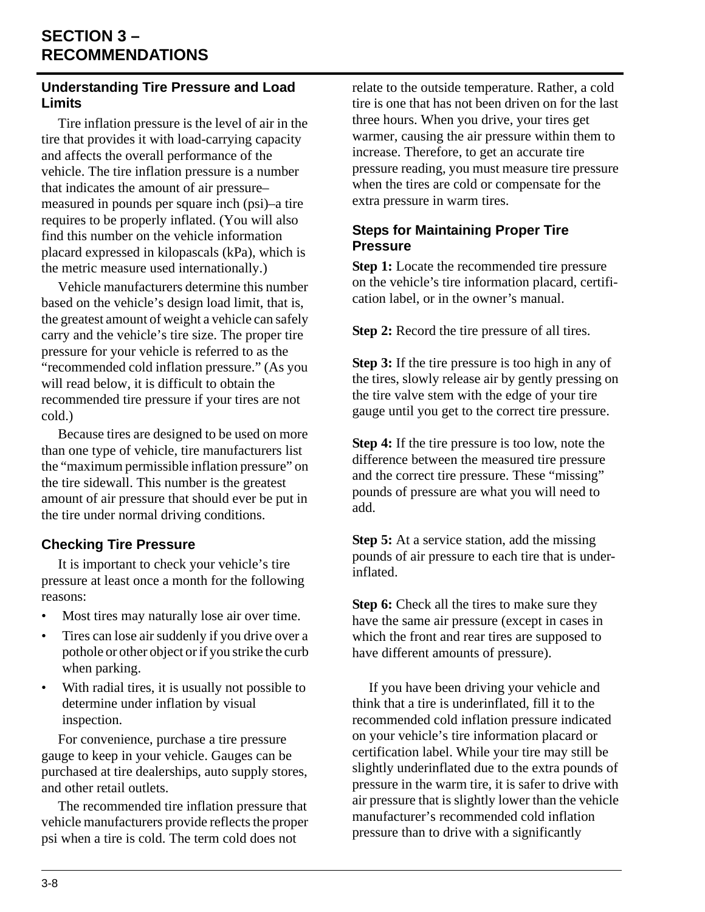## **SECTION 3 – RECOMMENDATIONS**

#### **Understanding Tire Pressure and Load Limits**

Tire inflation pressure is the level of air in the tire that provides it with load-carrying capacity and affects the overall performance of the vehicle. The tire inflation pressure is a number that indicates the amount of air pressure– measured in pounds per square inch (psi)–a tire requires to be properly inflated. (You will also find this number on the vehicle information placard expressed in kilopascals (kPa), which is the metric measure used internationally.)

Vehicle manufacturers determine this number based on the vehicle's design load limit, that is, the greatest amount of weight a vehicle can safely carry and the vehicle's tire size. The proper tire pressure for your vehicle is referred to as the "recommended cold inflation pressure." (As you will read below, it is difficult to obtain the recommended tire pressure if your tires are not cold.)

Because tires are designed to be used on more than one type of vehicle, tire manufacturers list the "maximum permissible inflation pressure" on the tire sidewall. This number is the greatest amount of air pressure that should ever be put in the tire under normal driving conditions.

### **Checking Tire Pressure**

It is important to check your vehicle's tire pressure at least once a month for the following reasons:

- Most tires may naturally lose air over time.
- Tires can lose air suddenly if you drive over a pothole or other object or if you strike the curb when parking.
- With radial tires, it is usually not possible to determine under inflation by visual inspection.

For convenience, purchase a tire pressure gauge to keep in your vehicle. Gauges can be purchased at tire dealerships, auto supply stores, and other retail outlets.

The recommended tire inflation pressure that vehicle manufacturers provide reflects the proper psi when a tire is cold. The term cold does not

relate to the outside temperature. Rather, a cold tire is one that has not been driven on for the last three hours. When you drive, your tires get warmer, causing the air pressure within them to increase. Therefore, to get an accurate tire pressure reading, you must measure tire pressure when the tires are cold or compensate for the extra pressure in warm tires.

#### **Steps for Maintaining Proper Tire Pressure**

**Step 1:** Locate the recommended tire pressure on the vehicle's tire information placard, certification label, or in the owner's manual.

**Step 2:** Record the tire pressure of all tires.

**Step 3:** If the tire pressure is too high in any of the tires, slowly release air by gently pressing on the tire valve stem with the edge of your tire gauge until you get to the correct tire pressure.

**Step 4:** If the tire pressure is too low, note the difference between the measured tire pressure and the correct tire pressure. These "missing" pounds of pressure are what you will need to add.

**Step 5:** At a service station, add the missing pounds of air pressure to each tire that is underinflated.

**Step 6:** Check all the tires to make sure they have the same air pressure (except in cases in which the front and rear tires are supposed to have different amounts of pressure).

If you have been driving your vehicle and think that a tire is underinflated, fill it to the recommended cold inflation pressure indicated on your vehicle's tire information placard or certification label. While your tire may still be slightly underinflated due to the extra pounds of pressure in the warm tire, it is safer to drive with air pressure that is slightly lower than the vehicle manufacturer's recommended cold inflation pressure than to drive with a significantly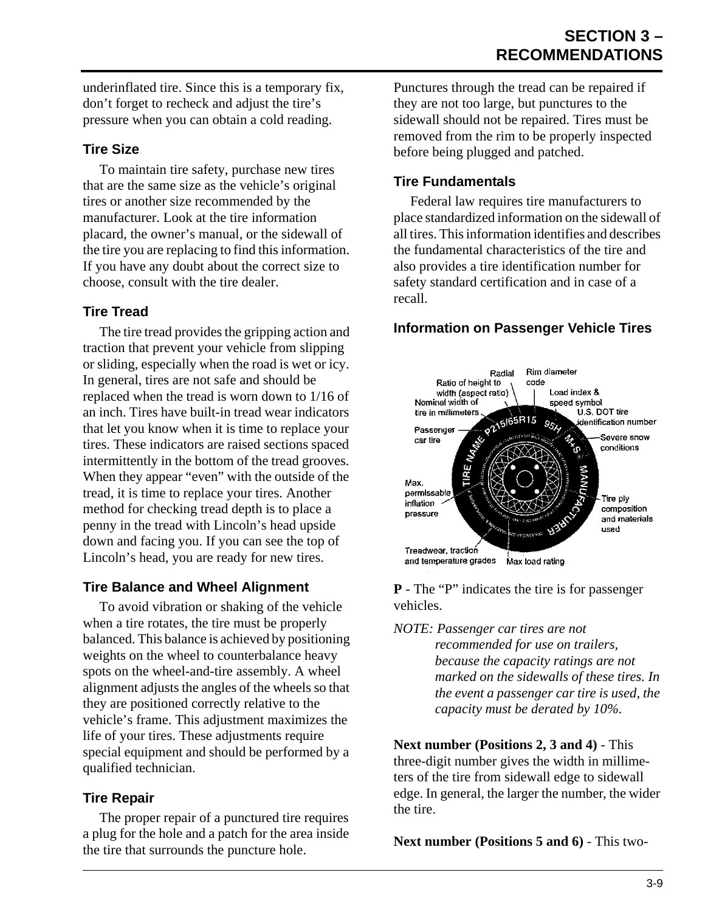underinflated tire. Since this is a temporary fix, don't forget to recheck and adjust the tire's pressure when you can obtain a cold reading.

#### **Tire Size**

To maintain tire safety, purchase new tires that are the same size as the vehicle's original tires or another size recommended by the manufacturer. Look at the tire information placard, the owner's manual, or the sidewall of the tire you are replacing to find this information. If you have any doubt about the correct size to choose, consult with the tire dealer.

### **Tire Tread**

The tire tread provides the gripping action and traction that prevent your vehicle from slipping or sliding, especially when the road is wet or icy. In general, tires are not safe and should be replaced when the tread is worn down to 1/16 of an inch. Tires have built-in tread wear indicators that let you know when it is time to replace your tires. These indicators are raised sections spaced intermittently in the bottom of the tread grooves. When they appear "even" with the outside of the tread, it is time to replace your tires. Another method for checking tread depth is to place a penny in the tread with Lincoln's head upside down and facing you. If you can see the top of Lincoln's head, you are ready for new tires.

### **Tire Balance and Wheel Alignment**

To avoid vibration or shaking of the vehicle when a tire rotates, the tire must be properly balanced. This balance is achieved by positioning weights on the wheel to counterbalance heavy spots on the wheel-and-tire assembly. A wheel alignment adjusts the angles of the wheels so that they are positioned correctly relative to the vehicle's frame. This adjustment maximizes the life of your tires. These adjustments require special equipment and should be performed by a qualified technician.

### **Tire Repair**

The proper repair of a punctured tire requires a plug for the hole and a patch for the area inside the tire that surrounds the puncture hole.

Punctures through the tread can be repaired if they are not too large, but punctures to the sidewall should not be repaired. Tires must be removed from the rim to be properly inspected before being plugged and patched.

### **Tire Fundamentals**

Federal law requires tire manufacturers to place standardized information on the sidewall of all tires. This information identifies and describes the fundamental characteristics of the tire and also provides a tire identification number for safety standard certification and in case of a recall.

### **Information on Passenger Vehicle Tires**



**P** - The "P" indicates the tire is for passenger vehicles.

*NOTE: Passenger car tires are not recommended for use on trailers, because the capacity ratings are not marked on the sidewalls of these tires. In the event a passenger car tire is used, the capacity must be derated by 10%.*

**Next number (Positions 2, 3 and 4)** - This three-digit number gives the width in millimeters of the tire from sidewall edge to sidewall edge. In general, the larger the number, the wider the tire.

**Next number (Positions 5 and 6) - This two-**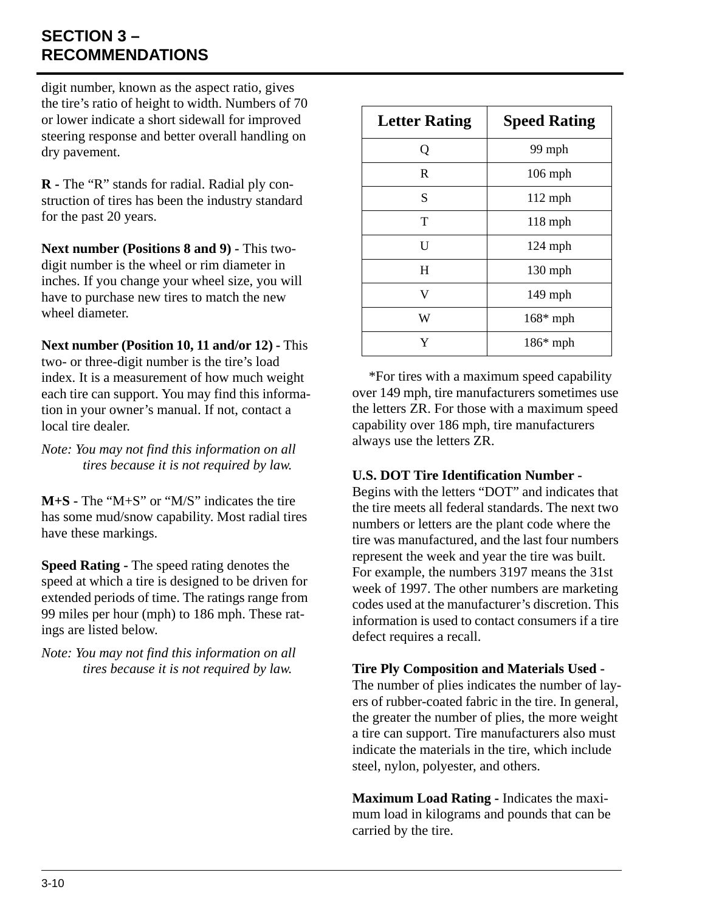## **SECTION 3 – RECOMMENDATIONS**

digit number, known as the aspect ratio, gives the tire's ratio of height to width. Numbers of 70 or lower indicate a short sidewall for improved steering response and better overall handling on dry pavement.

**R -** The "R" stands for radial. Radial ply construction of tires has been the industry standard for the past 20 years.

**Next number (Positions 8 and 9) - This two**digit number is the wheel or rim diameter in inches. If you change your wheel size, you will have to purchase new tires to match the new wheel diameter

**Next number (Position 10, 11 and/or 12) - This** two- or three-digit number is the tire's load index. It is a measurement of how much weight each tire can support. You may find this information in your owner's manual. If not, contact a local tire dealer.

*Note: You may not find this information on all tires because it is not required by law.*

**M+S -** The "M+S" or "M/S" indicates the tire has some mud/snow capability. Most radial tires have these markings.

**Speed Rating -** The speed rating denotes the speed at which a tire is designed to be driven for extended periods of time. The ratings range from 99 miles per hour (mph) to 186 mph. These ratings are listed below.

*Note: You may not find this information on all tires because it is not required by law.*

| <b>Letter Rating</b> | <b>Speed Rating</b> |
|----------------------|---------------------|
| Q                    | 99 mph              |
| R                    | $106$ mph           |
| S                    | $112$ mph           |
| T                    | $118$ mph           |
| U                    | $124$ mph           |
| H                    | 130 mph             |
| V                    | 149 mph             |
| W                    | $168*$ mph          |
| Y                    | $186*$ mph          |

\*For tires with a maximum speed capability over 149 mph, tire manufacturers sometimes use the letters ZR. For those with a maximum speed capability over 186 mph, tire manufacturers always use the letters ZR.

#### **U.S. DOT Tire Identification Number -**

Begins with the letters "DOT" and indicates that the tire meets all federal standards. The next two numbers or letters are the plant code where the tire was manufactured, and the last four numbers represent the week and year the tire was built. For example, the numbers 3197 means the 31st week of 1997. The other numbers are marketing codes used at the manufacturer's discretion. This information is used to contact consumers if a tire defect requires a recall.

**Tire Ply Composition and Materials Used -** 

The number of plies indicates the number of layers of rubber-coated fabric in the tire. In general, the greater the number of plies, the more weight a tire can support. Tire manufacturers also must indicate the materials in the tire, which include steel, nylon, polyester, and others.

**Maximum Load Rating -** Indicates the maximum load in kilograms and pounds that can be carried by the tire.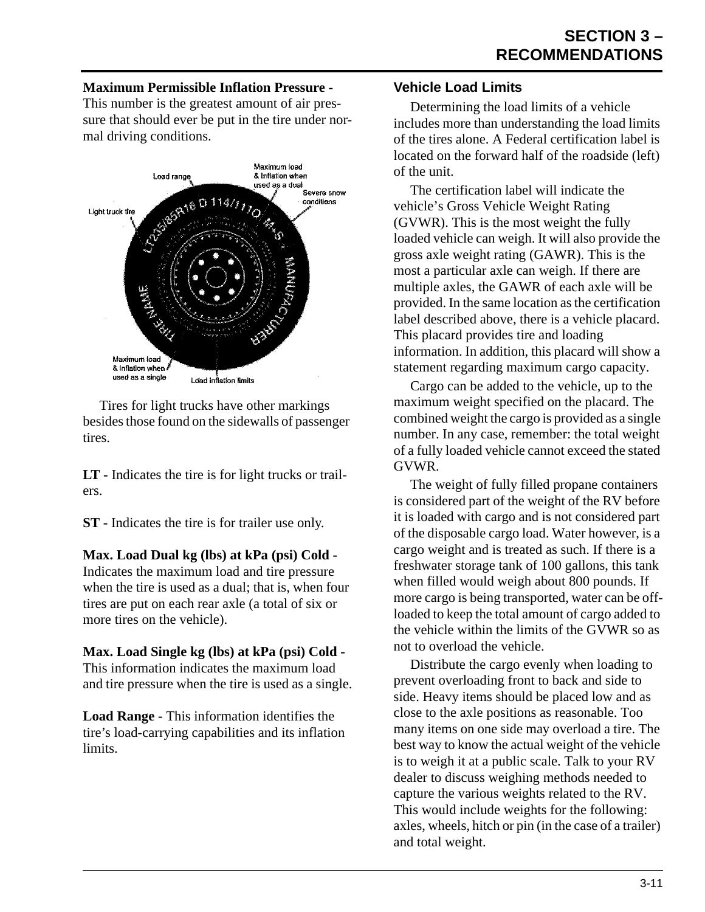#### **Maximum Permissible Inflation Pressure -**

This number is the greatest amount of air pressure that should ever be put in the tire under normal driving conditions.



Tires for light trucks have other markings besides those found on the sidewalls of passenger tires.

**LT -** Indicates the tire is for light trucks or trailers.

**ST -** Indicates the tire is for trailer use only.

**Max. Load Dual kg (lbs) at kPa (psi) Cold -**  Indicates the maximum load and tire pressure when the tire is used as a dual; that is, when four tires are put on each rear axle (a total of six or more tires on the vehicle).

#### **Max. Load Single kg (lbs) at kPa (psi) Cold -**

This information indicates the maximum load and tire pressure when the tire is used as a single.

**Load Range -** This information identifies the tire's load-carrying capabilities and its inflation limits.

#### **Vehicle Load Limits**

Determining the load limits of a vehicle includes more than understanding the load limits of the tires alone. A Federal certification label is located on the forward half of the roadside (left) of the unit.

The certification label will indicate the vehicle's Gross Vehicle Weight Rating (GVWR). This is the most weight the fully loaded vehicle can weigh. It will also provide the gross axle weight rating (GAWR). This is the most a particular axle can weigh. If there are multiple axles, the GAWR of each axle will be provided. In the same location as the certification label described above, there is a vehicle placard. This placard provides tire and loading information. In addition, this placard will show a statement regarding maximum cargo capacity.

Cargo can be added to the vehicle, up to the maximum weight specified on the placard. The combined weight the cargo is provided as a single number. In any case, remember: the total weight of a fully loaded vehicle cannot exceed the stated GVWR.

The weight of fully filled propane containers is considered part of the weight of the RV before it is loaded with cargo and is not considered part of the disposable cargo load. Water however, is a cargo weight and is treated as such. If there is a freshwater storage tank of 100 gallons, this tank when filled would weigh about 800 pounds. If more cargo is being transported, water can be offloaded to keep the total amount of cargo added to the vehicle within the limits of the GVWR so as not to overload the vehicle.

Distribute the cargo evenly when loading to prevent overloading front to back and side to side. Heavy items should be placed low and as close to the axle positions as reasonable. Too many items on one side may overload a tire. The best way to know the actual weight of the vehicle is to weigh it at a public scale. Talk to your RV dealer to discuss weighing methods needed to capture the various weights related to the RV. This would include weights for the following: axles, wheels, hitch or pin (in the case of a trailer) and total weight.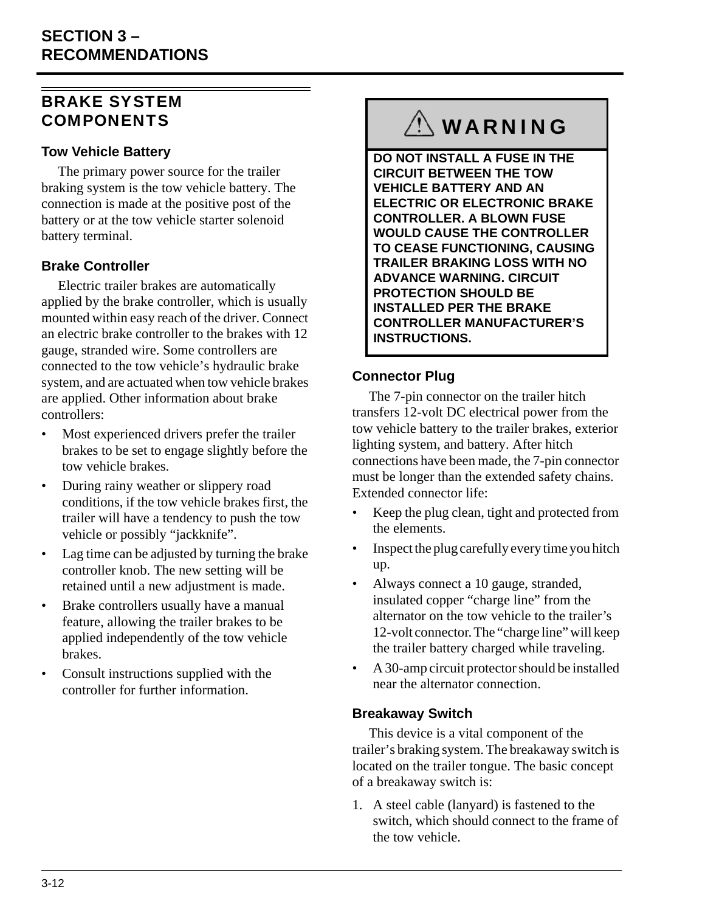### <span id="page-25-0"></span>BRAKE SYSTEM COMPONENTS

#### **Tow Vehicle Battery**

The primary power source for the trailer braking system is the tow vehicle battery. The connection is made at the positive post of the battery or at the tow vehicle starter solenoid battery terminal.

### **Brake Controller**

Electric trailer brakes are automatically applied by the brake controller, which is usually mounted within easy reach of the driver. Connect an electric brake controller to the brakes with 12 gauge, stranded wire. Some controllers are connected to the tow vehicle's hydraulic brake system, and are actuated when tow vehicle brakes are applied. Other information about brake controllers:

- Most experienced drivers prefer the trailer brakes to be set to engage slightly before the tow vehicle brakes.
- During rainy weather or slippery road conditions, if the tow vehicle brakes first, the trailer will have a tendency to push the tow vehicle or possibly "jackknife".
- Lag time can be adjusted by turning the brake controller knob. The new setting will be retained until a new adjustment is made.
- Brake controllers usually have a manual feature, allowing the trailer brakes to be applied independently of the tow vehicle brakes.
- Consult instructions supplied with the controller for further information.

# **WARNING**

**DO NOT INSTALL A FUSE IN THE CIRCUIT BETWEEN THE TOW VEHICLE BATTERY AND AN ELECTRIC OR ELECTRONIC BRAKE CONTROLLER. A BLOWN FUSE WOULD CAUSE THE CONTROLLER TO CEASE FUNCTIONING, CAUSING TRAILER BRAKING LOSS WITH NO ADVANCE WARNING. CIRCUIT PROTECTION SHOULD BE INSTALLED PER THE BRAKE CONTROLLER MANUFACTURER'S INSTRUCTIONS.**

#### **Connector Plug**

The 7-pin connector on the trailer hitch transfers 12-volt DC electrical power from the tow vehicle battery to the trailer brakes, exterior lighting system, and battery. After hitch connections have been made, the 7-pin connector must be longer than the extended safety chains. Extended connector life:

- Keep the plug clean, tight and protected from the elements.
- Inspect the plug carefully every time you hitch up.
- Always connect a 10 gauge, stranded, insulated copper "charge line" from the alternator on the tow vehicle to the trailer's 12-volt connector. The "charge line" will keep the trailer battery charged while traveling.
- A 30-amp circuit protector should be installed near the alternator connection.

#### **Breakaway Switch**

This device is a vital component of the trailer's braking system. The breakaway switch is located on the trailer tongue. The basic concept of a breakaway switch is:

1. A steel cable (lanyard) is fastened to the switch, which should connect to the frame of the tow vehicle.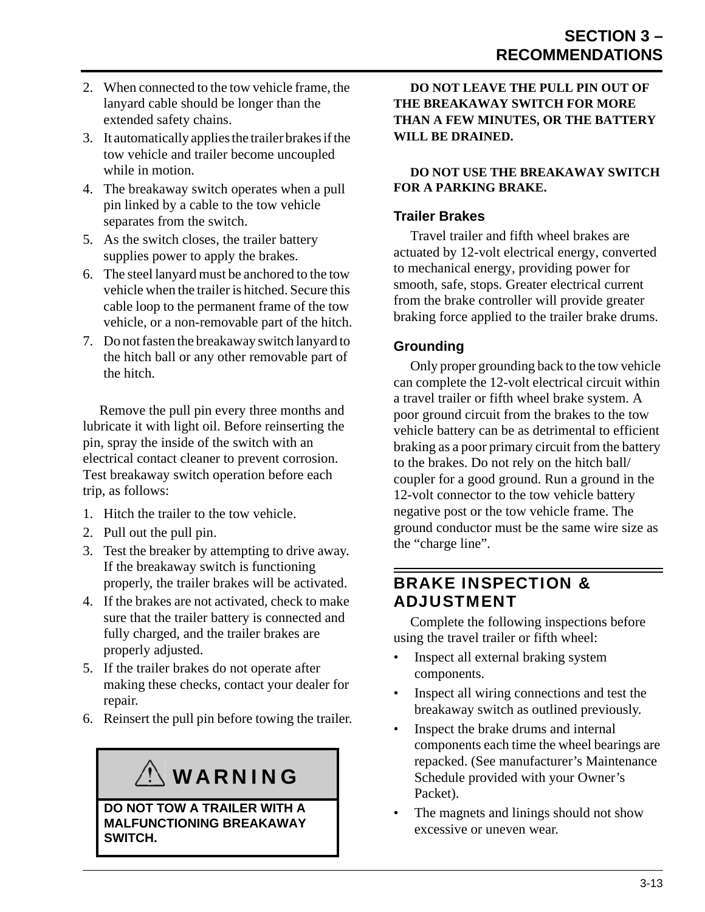- 2. When connected to the tow vehicle frame, the lanyard cable should be longer than the extended safety chains.
- 3. It automatically applies the trailer brakes if the tow vehicle and trailer become uncoupled while in motion.
- 4. The breakaway switch operates when a pull pin linked by a cable to the tow vehicle separates from the switch.
- 5. As the switch closes, the trailer battery supplies power to apply the brakes.
- 6. The steel lanyard must be anchored to the tow vehicle when the trailer is hitched. Secure this cable loop to the permanent frame of the tow vehicle, or a non-removable part of the hitch.
- 7. Do not fasten the breakaway switch lanyard to the hitch ball or any other removable part of the hitch.

Remove the pull pin every three months and lubricate it with light oil. Before reinserting the pin, spray the inside of the switch with an electrical contact cleaner to prevent corrosion. Test breakaway switch operation before each trip, as follows:

- 1. Hitch the trailer to the tow vehicle.
- 2. Pull out the pull pin.
- 3. Test the breaker by attempting to drive away. If the breakaway switch is functioning properly, the trailer brakes will be activated.
- 4. If the brakes are not activated, check to make sure that the trailer battery is connected and fully charged, and the trailer brakes are properly adjusted.
- 5. If the trailer brakes do not operate after making these checks, contact your dealer for repair.
- 6. Reinsert the pull pin before towing the trailer.

# WARNING

**DO NOT TOW A TRAILER WITH A MALFUNCTIONING BREAKAWAY SWITCH.**

**DO NOT LEAVE THE PULL PIN OUT OF THE BREAKAWAY SWITCH FOR MORE THAN A FEW MINUTES, OR THE BATTERY WILL BE DRAINED.**

#### **DO NOT USE THE BREAKAWAY SWITCH FOR A PARKING BRAKE.**

#### **Trailer Brakes**

Travel trailer and fifth wheel brakes are actuated by 12-volt electrical energy, converted to mechanical energy, providing power for smooth, safe, stops. Greater electrical current from the brake controller will provide greater braking force applied to the trailer brake drums.

#### **Grounding**

Only proper grounding back to the tow vehicle can complete the 12-volt electrical circuit within a travel trailer or fifth wheel brake system. A poor ground circuit from the brakes to the tow vehicle battery can be as detrimental to efficient braking as a poor primary circuit from the battery to the brakes. Do not rely on the hitch ball/ coupler for a good ground. Run a ground in the 12-volt connector to the tow vehicle battery negative post or the tow vehicle frame. The ground conductor must be the same wire size as the "charge line".

### <span id="page-26-0"></span>BRAKE INSPECTION & ADJUSTMENT

Complete the following inspections before using the travel trailer or fifth wheel:

- Inspect all external braking system components.
- Inspect all wiring connections and test the breakaway switch as outlined previously.
- Inspect the brake drums and internal components each time the wheel bearings are repacked. (See manufacturer's Maintenance Schedule provided with your Owner's Packet).
- The magnets and linings should not show excessive or uneven wear.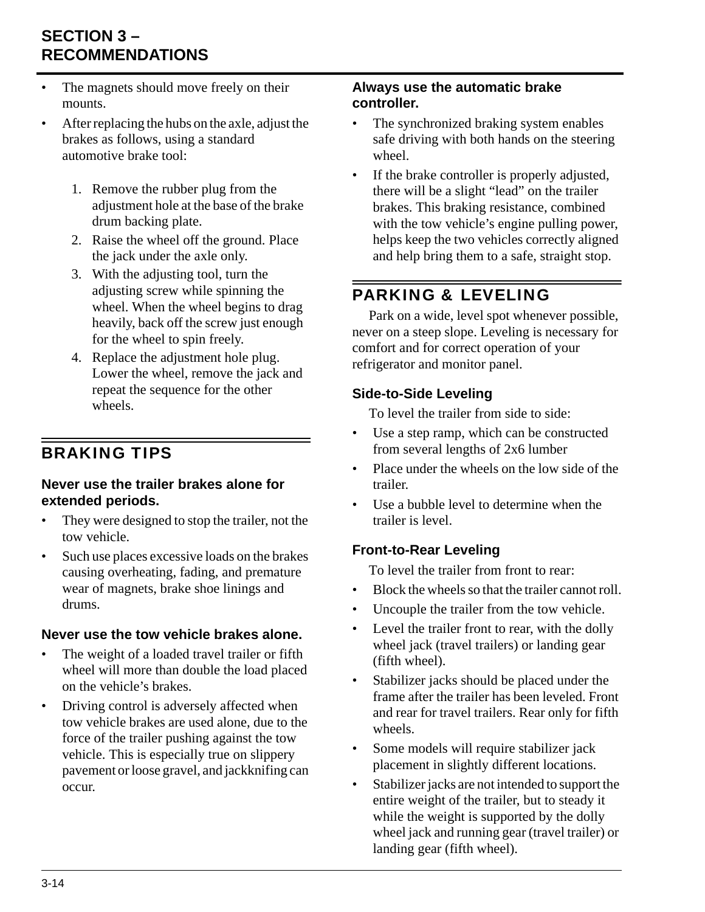## **SECTION 3 – RECOMMENDATIONS**

- The magnets should move freely on their mounts.
- After replacing the hubs on the axle, adjust the brakes as follows, using a standard automotive brake tool:
	- 1. Remove the rubber plug from the adjustment hole at the base of the brake drum backing plate.
	- 2. Raise the wheel off the ground. Place the jack under the axle only.
	- 3. With the adjusting tool, turn the adjusting screw while spinning the wheel. When the wheel begins to drag heavily, back off the screw just enough for the wheel to spin freely.
	- 4. Replace the adjustment hole plug. Lower the wheel, remove the jack and repeat the sequence for the other wheels.

## <span id="page-27-0"></span>BRAKING TIPS

#### **Never use the trailer brakes alone for extended periods.**

- They were designed to stop the trailer, not the tow vehicle.
- Such use places excessive loads on the brakes causing overheating, fading, and premature wear of magnets, brake shoe linings and drums.

### **Never use the tow vehicle brakes alone.**

- The weight of a loaded travel trailer or fifth wheel will more than double the load placed on the vehicle's brakes.
- Driving control is adversely affected when tow vehicle brakes are used alone, due to the force of the trailer pushing against the tow vehicle. This is especially true on slippery pavement or loose gravel, and jackknifing can occur.

#### **Always use the automatic brake controller.**

- The synchronized braking system enables safe driving with both hands on the steering wheel.
- If the brake controller is properly adjusted, there will be a slight "lead" on the trailer brakes. This braking resistance, combined with the tow vehicle's engine pulling power, helps keep the two vehicles correctly aligned and help bring them to a safe, straight stop.

## <span id="page-27-1"></span>PARKING & LEVELING

Park on a wide, level spot whenever possible, never on a steep slope. Leveling is necessary for comfort and for correct operation of your refrigerator and monitor panel.

#### **Side-to-Side Leveling**

To level the trailer from side to side:

- Use a step ramp, which can be constructed from several lengths of 2x6 lumber
- Place under the wheels on the low side of the trailer.
- Use a bubble level to determine when the trailer is level.

### **Front-to-Rear Leveling**

To level the trailer from front to rear:

- Block the wheels so that the trailer cannot roll.
- Uncouple the trailer from the tow vehicle.
- Level the trailer front to rear, with the dolly wheel jack (travel trailers) or landing gear (fifth wheel).
- Stabilizer jacks should be placed under the frame after the trailer has been leveled. Front and rear for travel trailers. Rear only for fifth wheels.
- Some models will require stabilizer jack placement in slightly different locations.
- Stabilizer jacks are not intended to support the entire weight of the trailer, but to steady it while the weight is supported by the dolly wheel jack and running gear (travel trailer) or landing gear (fifth wheel).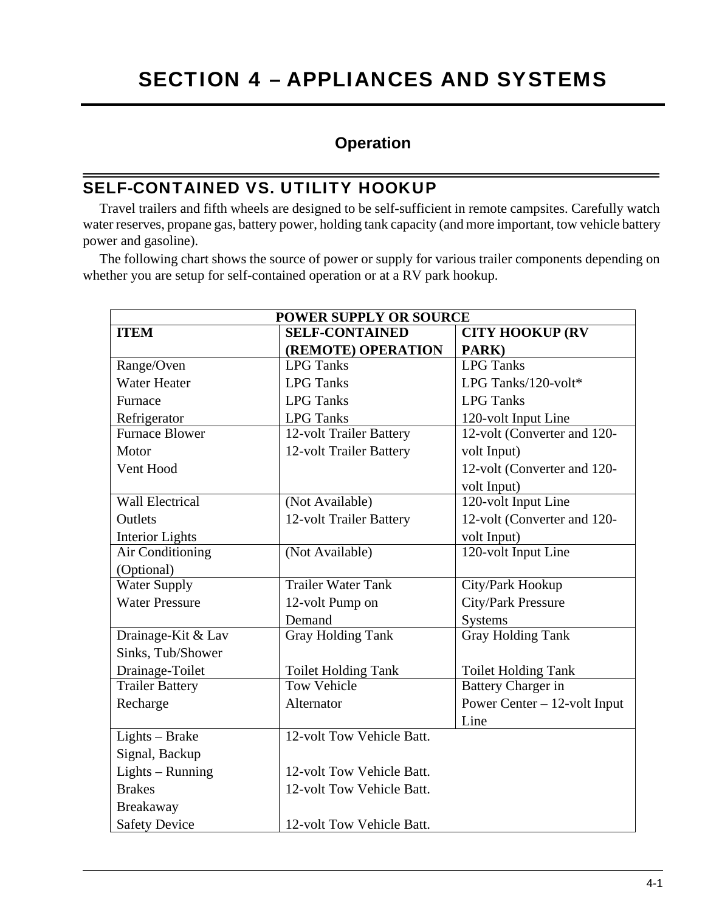## **Operation**

### <span id="page-28-1"></span><span id="page-28-0"></span>SELF-CONTAINED VS. UTILITY HOOKUP

Travel trailers and fifth wheels are designed to be self-sufficient in remote campsites. Carefully watch water reserves, propane gas, battery power, holding tank capacity (and more important, tow vehicle battery power and gasoline).

The following chart shows the source of power or supply for various trailer components depending on whether you are setup for self-contained operation or at a RV park hookup.

| <b>POWER SUPPLY OR SOURCE</b> |                            |                                |  |  |
|-------------------------------|----------------------------|--------------------------------|--|--|
| <b>ITEM</b>                   | <b>SELF-CONTAINED</b>      | <b>CITY HOOKUP (RV</b>         |  |  |
|                               | (REMOTE) OPERATION         | PARK)                          |  |  |
| Range/Oven                    | <b>LPG</b> Tanks           | <b>LPG</b> Tanks               |  |  |
| <b>Water Heater</b>           | <b>LPG</b> Tanks           | LPG Tanks/120-volt*            |  |  |
| Furnace                       | <b>LPG</b> Tanks           | <b>LPG</b> Tanks               |  |  |
| Refrigerator                  | <b>LPG</b> Tanks           | 120-volt Input Line            |  |  |
| <b>Furnace Blower</b>         | 12-volt Trailer Battery    | 12-volt (Converter and 120-    |  |  |
| Motor                         | 12-volt Trailer Battery    | volt Input)                    |  |  |
| Vent Hood                     |                            | 12-volt (Converter and 120-    |  |  |
|                               |                            | volt Input)                    |  |  |
| <b>Wall Electrical</b>        | (Not Available)            | 120-volt Input Line            |  |  |
| Outlets                       | 12-volt Trailer Battery    | 12-volt (Converter and 120-    |  |  |
| <b>Interior Lights</b>        |                            | volt Input)                    |  |  |
| Air Conditioning              | (Not Available)            | 120-volt Input Line            |  |  |
| (Optional)                    |                            |                                |  |  |
| <b>Water Supply</b>           | <b>Trailer Water Tank</b>  | City/Park Hookup               |  |  |
| <b>Water Pressure</b>         | 12-volt Pump on            | City/Park Pressure             |  |  |
|                               | Demand                     | <b>Systems</b>                 |  |  |
| Drainage-Kit & Lav            | <b>Gray Holding Tank</b>   | <b>Gray Holding Tank</b>       |  |  |
| Sinks, Tub/Shower             |                            |                                |  |  |
| Drainage-Toilet               | <b>Toilet Holding Tank</b> | <b>Toilet Holding Tank</b>     |  |  |
| <b>Trailer Battery</b>        | <b>Tow Vehicle</b>         | <b>Battery Charger in</b>      |  |  |
| Recharge                      | Alternator                 | Power Center $-12$ -volt Input |  |  |
|                               |                            | Line                           |  |  |
| Lights - Brake                | 12-volt Tow Vehicle Batt.  |                                |  |  |
| Signal, Backup                |                            |                                |  |  |
| Lights - Running              | 12-volt Tow Vehicle Batt.  |                                |  |  |
| <b>Brakes</b>                 | 12-volt Tow Vehicle Batt.  |                                |  |  |
| Breakaway                     |                            |                                |  |  |
| <b>Safety Device</b>          | 12-volt Tow Vehicle Batt.  |                                |  |  |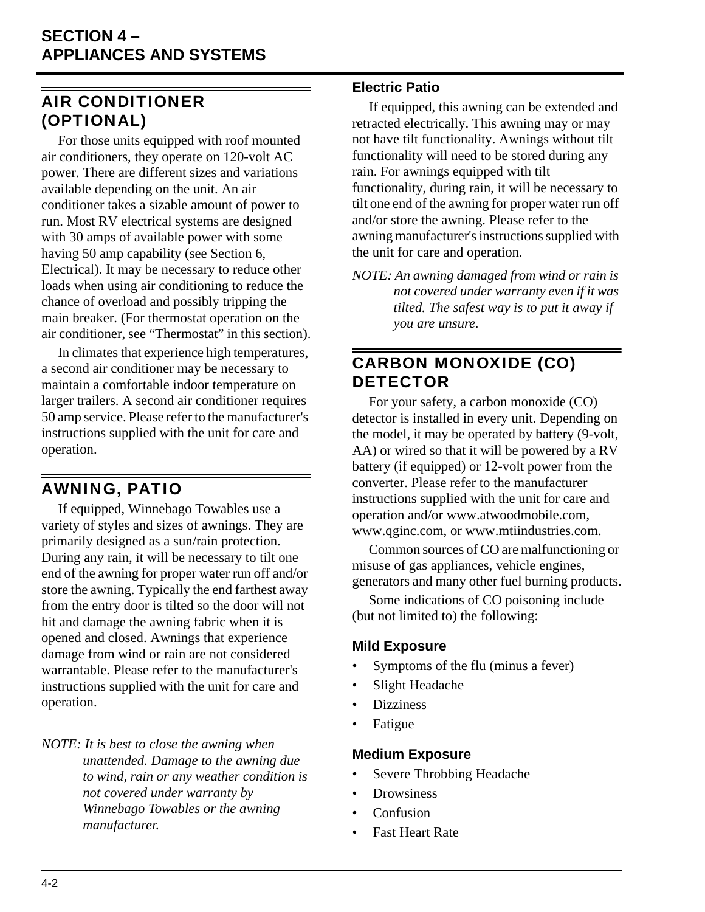## <span id="page-29-0"></span>AIR CONDITIONER (OPTIONAL)

For those units equipped with roof mounted air conditioners, they operate on 120-volt AC power. There are different sizes and variations available depending on the unit. An air conditioner takes a sizable amount of power to run. Most RV electrical systems are designed with 30 amps of available power with some having 50 amp capability (see Section 6, Electrical). It may be necessary to reduce other loads when using air conditioning to reduce the chance of overload and possibly tripping the main breaker. (For thermostat operation on the air conditioner, see "Thermostat" in this section).

In climates that experience high temperatures, a second air conditioner may be necessary to maintain a comfortable indoor temperature on larger trailers. A second air conditioner requires 50 amp service. Please refer to the manufacturer's instructions supplied with the unit for care and operation.

## <span id="page-29-1"></span>AWNING, PATIO

If equipped, Winnebago Towables use a variety of styles and sizes of awnings. They are primarily designed as a sun/rain protection. During any rain, it will be necessary to tilt one end of the awning for proper water run off and/or store the awning. Typically the end farthest away from the entry door is tilted so the door will not hit and damage the awning fabric when it is opened and closed. Awnings that experience damage from wind or rain are not considered warrantable. Please refer to the manufacturer's instructions supplied with the unit for care and operation.

*NOTE: It is best to close the awning when unattended. Damage to the awning due to wind, rain or any weather condition is not covered under warranty by Winnebago Towables or the awning manufacturer.*

#### **Electric Patio**

If equipped, this awning can be extended and retracted electrically. This awning may or may not have tilt functionality. Awnings without tilt functionality will need to be stored during any rain. For awnings equipped with tilt functionality, during rain, it will be necessary to tilt one end of the awning for proper water run off and/or store the awning. Please refer to the awning manufacturer's instructions supplied with the unit for care and operation.

*NOTE: An awning damaged from wind or rain is not covered under warranty even if it was tilted. The safest way is to put it away if you are unsure.*

## <span id="page-29-2"></span>CARBON MONOXIDE (CO) **DETECTOR**

For your safety, a carbon monoxide (CO) detector is installed in every unit. Depending on the model, it may be operated by battery (9-volt, AA) or wired so that it will be powered by a RV battery (if equipped) or 12-volt power from the converter. Please refer to the manufacturer instructions supplied with the unit for care and operation and/or www.atwoodmobile.com, www.qginc.com, or www.mtiindustries.com.

Common sources of CO are malfunctioning or misuse of gas appliances, vehicle engines, generators and many other fuel burning products.

Some indications of CO poisoning include (but not limited to) the following:

#### **Mild Exposure**

- Symptoms of the flu (minus a fever)
- Slight Headache
- **Dizziness**
- Fatigue

#### **Medium Exposure**

- Severe Throbbing Headache
- **Drowsiness**
- Confusion
- Fast Heart Rate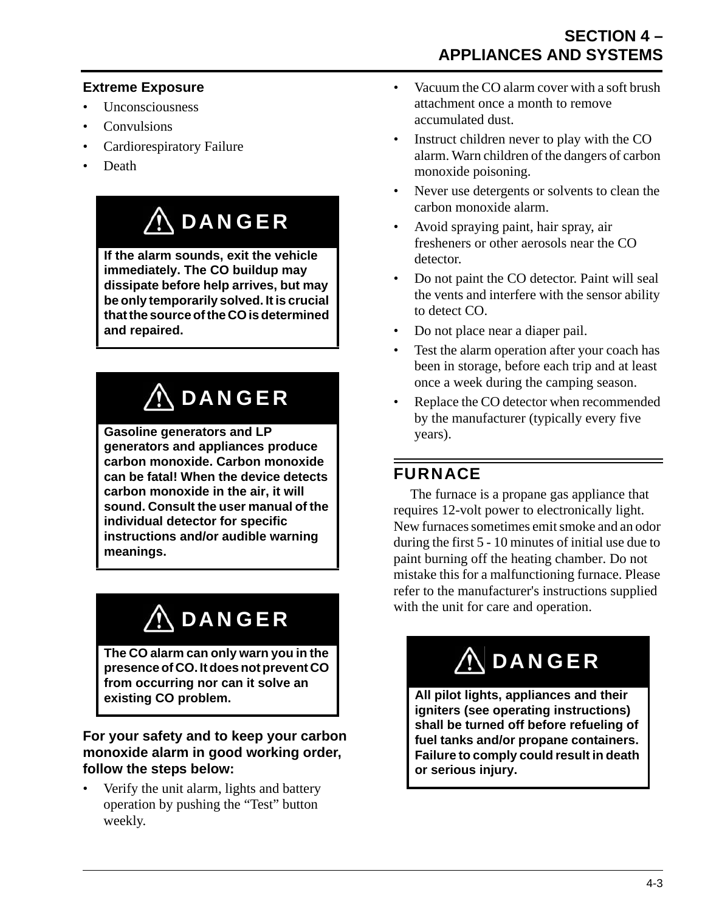#### **Extreme Exposure**

- Unconsciousness
- **Convulsions**
- Cardiorespiratory Failure
- Death

# DANGER

**If the alarm sounds, exit the vehicle immediately. The CO buildup may dissipate before help arrives, but may be only temporarily solved. It is crucial that the source of the CO is determined and repaired.**

# $\bigwedge$  DANGER

**Gasoline generators and LP generators and appliances produce carbon monoxide. Carbon monoxide can be fatal! When the device detects carbon monoxide in the air, it will sound. Consult the user manual of the individual detector for specific instructions and/or audible warning meanings.**

# $\bigwedge$  DANGER

**The CO alarm can only warn you in the presence of CO. It does not prevent CO from occurring nor can it solve an existing CO problem.**

#### **For your safety and to keep your carbon monoxide alarm in good working order, follow the steps below:**

• Verify the unit alarm, lights and battery operation by pushing the "Test" button weekly.

- Vacuum the CO alarm cover with a soft brush attachment once a month to remove accumulated dust.
- Instruct children never to play with the CO alarm. Warn children of the dangers of carbon monoxide poisoning.
- Never use detergents or solvents to clean the carbon monoxide alarm.
- Avoid spraying paint, hair spray, air fresheners or other aerosols near the CO detector.
- Do not paint the CO detector. Paint will seal the vents and interfere with the sensor ability to detect CO.
- Do not place near a diaper pail.
- Test the alarm operation after your coach has been in storage, before each trip and at least once a week during the camping season.
- Replace the CO detector when recommended by the manufacturer (typically every five years).

# <span id="page-30-0"></span>FURNACE

The furnace is a propane gas appliance that requires 12-volt power to electronically light. New furnaces sometimes emit smoke and an odor during the first 5 - 10 minutes of initial use due to paint burning off the heating chamber. Do not mistake this for a malfunctioning furnace. Please refer to the manufacturer's instructions supplied with the unit for care and operation.

# **ANGER**

**All pilot lights, appliances and their igniters (see operating instructions) shall be turned off before refueling of fuel tanks and/or propane containers. Failure to comply could result in death or serious injury.**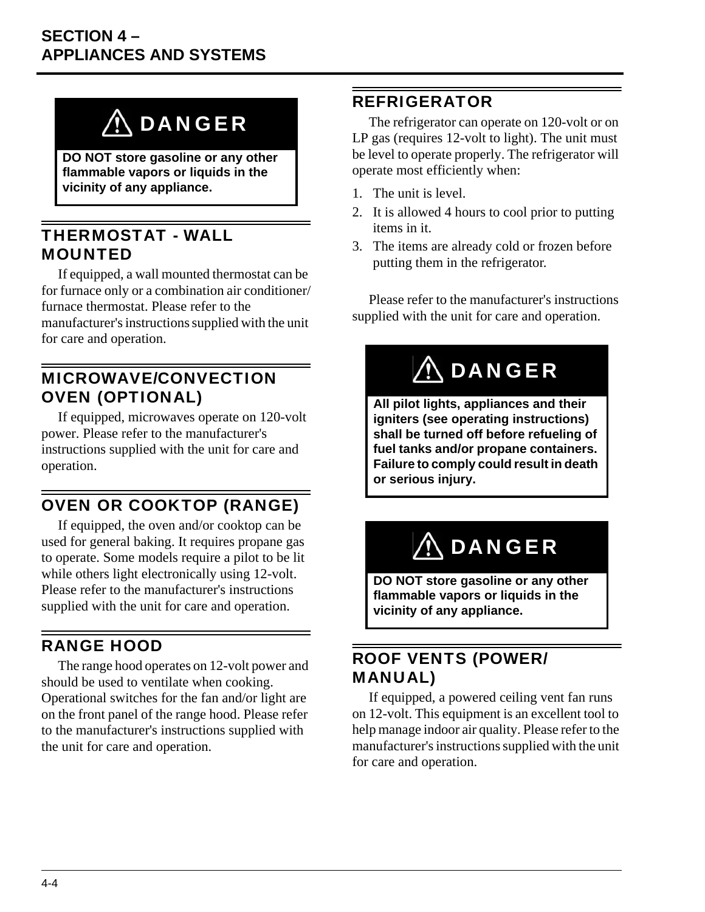# **ADANGER**

**DO NOT store gasoline or any other flammable vapors or liquids in the vicinity of any appliance.**

### <span id="page-31-0"></span>THERMOSTAT - WALL MOUNTED

If equipped, a wall mounted thermostat can be for furnace only or a combination air conditioner/ furnace thermostat. Please refer to the manufacturer's instructions supplied with the unit for care and operation.

### <span id="page-31-1"></span>MICROWAVE/CONVECTION OVEN (OPTIONAL)

If equipped, microwaves operate on 120-volt power. Please refer to the manufacturer's instructions supplied with the unit for care and operation.

## <span id="page-31-2"></span>OVEN OR COOKTOP (RANGE)

If equipped, the oven and/or cooktop can be used for general baking. It requires propane gas to operate. Some models require a pilot to be lit while others light electronically using 12-volt. Please refer to the manufacturer's instructions supplied with the unit for care and operation.

## <span id="page-31-3"></span>RANGE HOOD

The range hood operates on 12-volt power and should be used to ventilate when cooking. Operational switches for the fan and/or light are on the front panel of the range hood. Please refer to the manufacturer's instructions supplied with the unit for care and operation.

## <span id="page-31-4"></span>REFRIGERATOR

The refrigerator can operate on 120-volt or on LP gas (requires 12-volt to light). The unit must be level to operate properly. The refrigerator will operate most efficiently when:

- 1. The unit is level.
- 2. It is allowed 4 hours to cool prior to putting items in it.
- 3. The items are already cold or frozen before putting them in the refrigerator.

Please refer to the manufacturer's instructions supplied with the unit for care and operation.

# $\Lambda$  DANGER

**All pilot lights, appliances and their igniters (see operating instructions) shall be turned off before refueling of fuel tanks and/or propane containers. Failure to comply could result in death or serious injury.**

# $\wedge$  DANGER

**DO NOT store gasoline or any other flammable vapors or liquids in the vicinity of any appliance.**

## <span id="page-31-5"></span>ROOF VENTS (POWER/ MANUAL)

If equipped, a powered ceiling vent fan runs on 12-volt. This equipment is an excellent tool to help manage indoor air quality. Please refer to the manufacturer's instructions supplied with the unit for care and operation.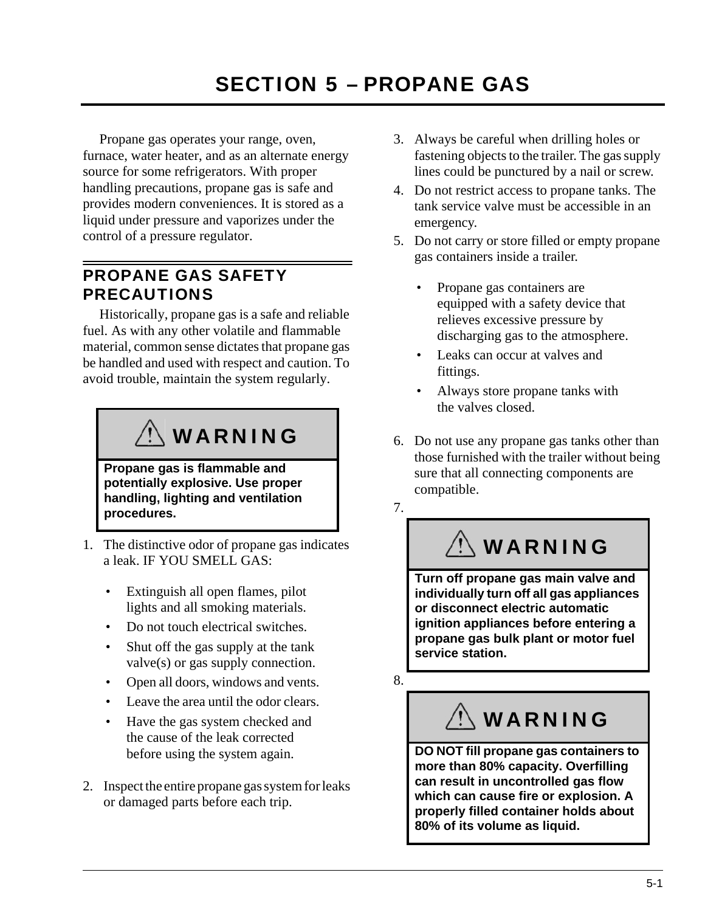<span id="page-32-0"></span>Propane gas operates your range, oven, furnace, water heater, and as an alternate energy source for some refrigerators. With proper handling precautions, propane gas is safe and provides modern conveniences. It is stored as a liquid under pressure and vaporizes under the control of a pressure regulator.

## <span id="page-32-1"></span>PROPANE GAS SAFETY PRECAUTIONS

Historically, propane gas is a safe and reliable fuel. As with any other volatile and flammable material, common sense dictates that propane gas be handled and used with respect and caution. To avoid trouble, maintain the system regularly.

# $\Diamond$  WARNING

**Propane gas is flammable and potentially explosive. Use proper handling, lighting and ventilation procedures.**

- 1. The distinctive odor of propane gas indicates a leak. IF YOU SMELL GAS:
	- Extinguish all open flames, pilot lights and all smoking materials.
	- Do not touch electrical switches.
	- Shut off the gas supply at the tank valve(s) or gas supply connection.
	- Open all doors, windows and vents.
	- Leave the area until the odor clears.
	- Have the gas system checked and the cause of the leak corrected before using the system again.
- 2. Inspect the entire propane gas system for leaks or damaged parts before each trip.
- 3. Always be careful when drilling holes or fastening objects to the trailer. The gas supply lines could be punctured by a nail or screw.
- 4. Do not restrict access to propane tanks. The tank service valve must be accessible in an emergency.
- 5. Do not carry or store filled or empty propane gas containers inside a trailer.
	- Propane gas containers are equipped with a safety device that relieves excessive pressure by discharging gas to the atmosphere.
	- Leaks can occur at valves and fittings.
	- Always store propane tanks with the valves closed.
- 6. Do not use any propane gas tanks other than those furnished with the trailer without being sure that all connecting components are compatible.

7.

# WARNING

**Turn off propane gas main valve and individually turn off all gas appliances or disconnect electric automatic ignition appliances before entering a propane gas bulk plant or motor fuel service station.**

8.

WARNING

**DO NOT fill propane gas containers to more than 80% capacity. Overfilling can result in uncontrolled gas flow which can cause fire or explosion. A properly filled container holds about 80% of its volume as liquid.**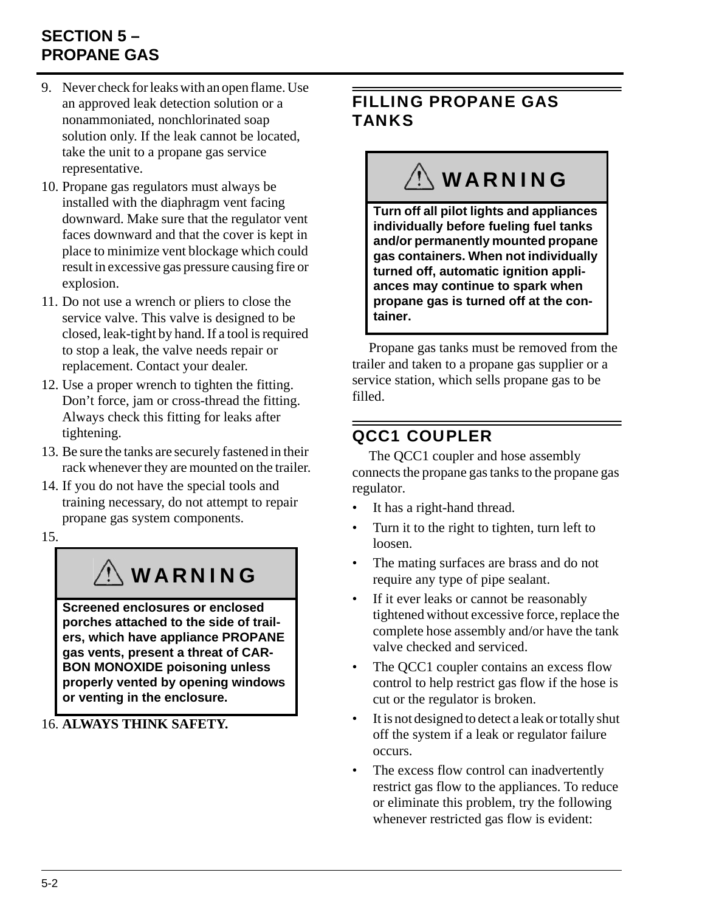## **SECTION 5 – PROPANE GAS**

- 9. Never check for leaks with an open flame. Use an approved leak detection solution or a nonammoniated, nonchlorinated soap solution only. If the leak cannot be located, take the unit to a propane gas service representative.
- 10. Propane gas regulators must always be installed with the diaphragm vent facing downward. Make sure that the regulator vent faces downward and that the cover is kept in place to minimize vent blockage which could result in excessive gas pressure causing fire or explosion.
- 11. Do not use a wrench or pliers to close the service valve. This valve is designed to be closed, leak-tight by hand. If a tool is required to stop a leak, the valve needs repair or replacement. Contact your dealer.
- 12. Use a proper wrench to tighten the fitting. Don't force, jam or cross-thread the fitting. Always check this fitting for leaks after tightening.
- 13. Be sure the tanks are securely fastened in their rack whenever they are mounted on the trailer.
- 14. If you do not have the special tools and training necessary, do not attempt to repair propane gas system components.
- 15.

# WARNING

**Screened enclosures or enclosed porches attached to the side of trailers, which have appliance PROPANE gas vents, present a threat of CAR-BON MONOXIDE poisoning unless properly vented by opening windows or venting in the enclosure.**

16. **ALWAYS THINK SAFETY.**

## <span id="page-33-0"></span>FILLING PROPANE GAS TANKS

# **WARNING**

**Turn off all pilot lights and appliances individually before fueling fuel tanks and/or permanently mounted propane gas containers. When not individually turned off, automatic ignition appliances may continue to spark when propane gas is turned off at the container.**

Propane gas tanks must be removed from the trailer and taken to a propane gas supplier or a service station, which sells propane gas to be filled.

# <span id="page-33-1"></span>QCC1 COUPLER

The QCC1 coupler and hose assembly connects the propane gas tanks to the propane gas regulator.

- It has a right-hand thread.
- Turn it to the right to tighten, turn left to loosen.
- The mating surfaces are brass and do not require any type of pipe sealant.
- If it ever leaks or cannot be reasonably tightened without excessive force, replace the complete hose assembly and/or have the tank valve checked and serviced.
- The OCC1 coupler contains an excess flow control to help restrict gas flow if the hose is cut or the regulator is broken.
- It is not designed to detect a leak or totally shut off the system if a leak or regulator failure occurs.
- The excess flow control can inadvertently restrict gas flow to the appliances. To reduce or eliminate this problem, try the following whenever restricted gas flow is evident: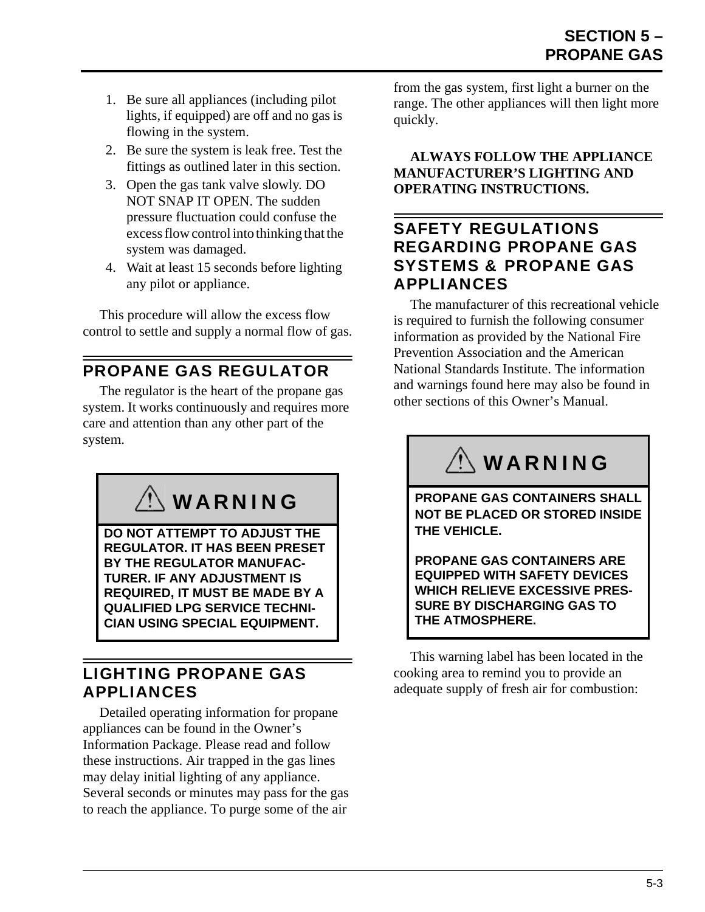- 1. Be sure all appliances (including pilot lights, if equipped) are off and no gas is flowing in the system.
- 2. Be sure the system is leak free. Test the fittings as outlined later in this section.
- 3. Open the gas tank valve slowly. DO NOT SNAP IT OPEN. The sudden pressure fluctuation could confuse the excess flow control into thinking that the system was damaged.
- 4. Wait at least 15 seconds before lighting any pilot or appliance.

This procedure will allow the excess flow control to settle and supply a normal flow of gas.

## <span id="page-34-0"></span>PROPANE GAS REGULATOR

The regulator is the heart of the propane gas system. It works continuously and requires more care and attention than any other part of the system.

WARNING

**DO NOT ATTEMPT TO ADJUST THE REGULATOR. IT HAS BEEN PRESET BY THE REGULATOR MANUFAC-TURER. IF ANY ADJUSTMENT IS REQUIRED, IT MUST BE MADE BY A QUALIFIED LPG SERVICE TECHNI-CIAN USING SPECIAL EQUIPMENT.**

## <span id="page-34-1"></span>LIGHTING PROPANE GAS APPLIANCES

Detailed operating information for propane appliances can be found in the Owner's Information Package. Please read and follow these instructions. Air trapped in the gas lines may delay initial lighting of any appliance. Several seconds or minutes may pass for the gas to reach the appliance. To purge some of the air

from the gas system, first light a burner on the range. The other appliances will then light more quickly.

**ALWAYS FOLLOW THE APPLIANCE MANUFACTURER'S LIGHTING AND OPERATING INSTRUCTIONS.**

### <span id="page-34-2"></span>SAFETY REGULATIONS REGARDING PROPANE GAS SYSTEMS & PROPANE GAS APPLIANCES

The manufacturer of this recreational vehicle is required to furnish the following consumer information as provided by the National Fire Prevention Association and the American National Standards Institute. The information and warnings found here may also be found in other sections of this Owner's Manual.

# $\left\langle \right\rangle$  WARNING

**PROPANE GAS CONTAINERS SHALL NOT BE PLACED OR STORED INSIDE THE VEHICLE.**

**PROPANE GAS CONTAINERS ARE EQUIPPED WITH SAFETY DEVICES WHICH RELIEVE EXCESSIVE PRES-SURE BY DISCHARGING GAS TO THE ATMOSPHERE.**

This warning label has been located in the cooking area to remind you to provide an adequate supply of fresh air for combustion: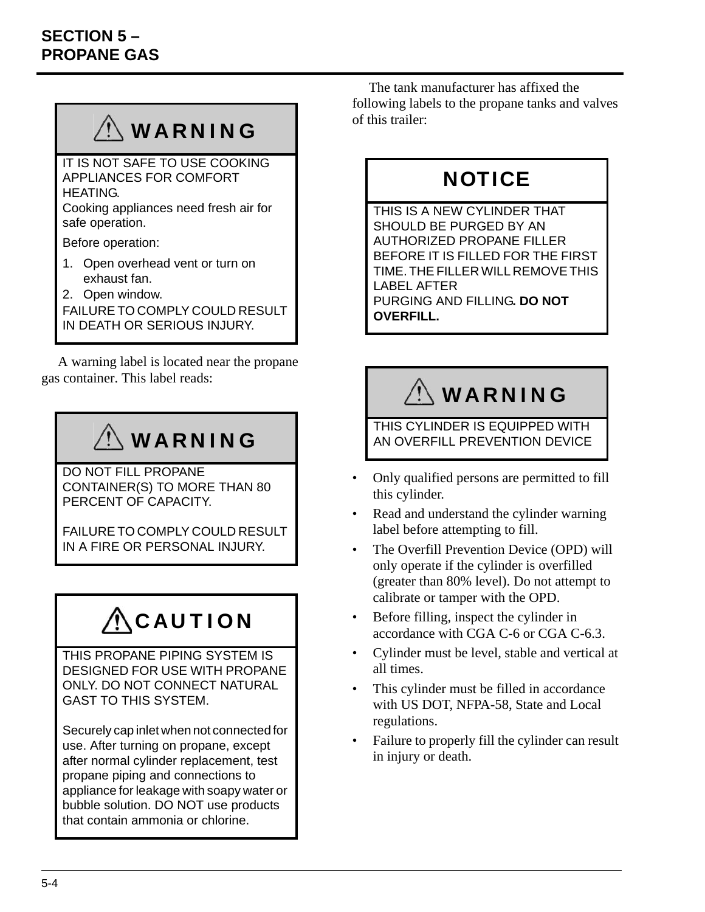# WARNING

IT IS NOT SAFE TO USE COOKING APPLIANCES FOR COMFORT HEATING.

Cooking appliances need fresh air for safe operation.

Before operation:

- 1. Open overhead vent or turn on exhaust fan.
- 2. Open window.

FAILURE TO COMPLY COULD RESULT IN DEATH OR SERIOUS INJURY.

A warning label is located near the propane gas container. This label reads:

# WARNING

DO NOT FILL PROPANE CONTAINER(S) TO MORE THAN 80 PERCENT OF CAPACITY.

FAILURE TO COMPLY COULD RESULT IN A FIRE OR PERSONAL INJURY.

# CAUTION

THIS PROPANE PIPING SYSTEM IS DESIGNED FOR USE WITH PROPANE ONLY. DO NOT CONNECT NATURAL GAST TO THIS SYSTEM.

Securely cap inlet when not connected for use. After turning on propane, except after normal cylinder replacement, test propane piping and connections to appliance for leakage with soapy water or bubble solution. DO NOT use products that contain ammonia or chlorine.

The tank manufacturer has affixed the following labels to the propane tanks and valves of this trailer:

# **NOTICE**

THIS IS A NEW CYLINDER THAT SHOULD BE PURGED BY AN AUTHORIZED PROPANE FILLER BEFORE IT IS FILLED FOR THE FIRST TIME. THE FILLER WILL REMOVE THIS LABEL AFTER PURGING AND FILLING**. DO NOT OVERFILL.**

# WARNING

THIS CYLINDER IS EQUIPPED WITH AN OVERFILL PREVENTION DEVICE

- Only qualified persons are permitted to fill this cylinder.
- Read and understand the cylinder warning label before attempting to fill.
- The Overfill Prevention Device (OPD) will only operate if the cylinder is overfilled (greater than 80% level). Do not attempt to calibrate or tamper with the OPD.
- Before filling, inspect the cylinder in accordance with CGA C-6 or CGA C-6.3.
- Cylinder must be level, stable and vertical at all times.
- This cylinder must be filled in accordance with US DOT, NFPA-58, State and Local regulations.
- Failure to properly fill the cylinder can result in injury or death.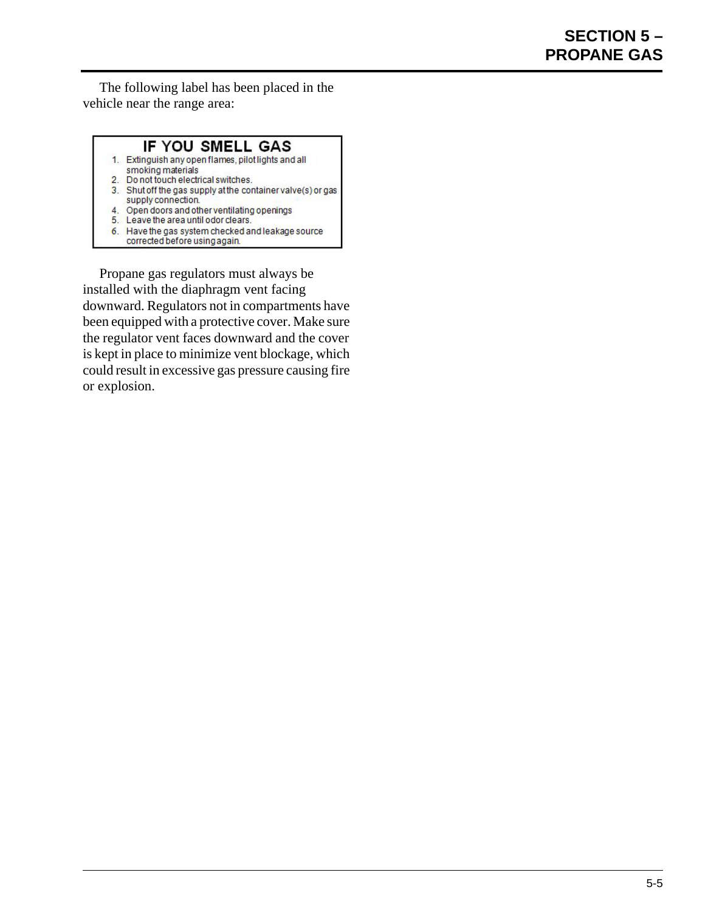The following label has been placed in the vehicle near the range area:

#### IF YOU SMELL GAS

- 1. Extinguish any open flames, pilot lights and all smoking materials
- 2. Do not touch electrical switches.
- 3. Shut off the gas supply at the container valve(s) or gas supply connection.
- 4. Open doors and other ventilating openings
- 5. Leave the area until odor clears.
- 6. Have the gas system checked and leakage source corrected before using again.

Propane gas regulators must always be installed with the diaphragm vent facing downward. Regulators not in compartments have been equipped with a protective cover. Make sure the regulator vent faces downward and the cover is kept in place to minimize vent blockage, which could result in excessive gas pressure causing fire or explosion.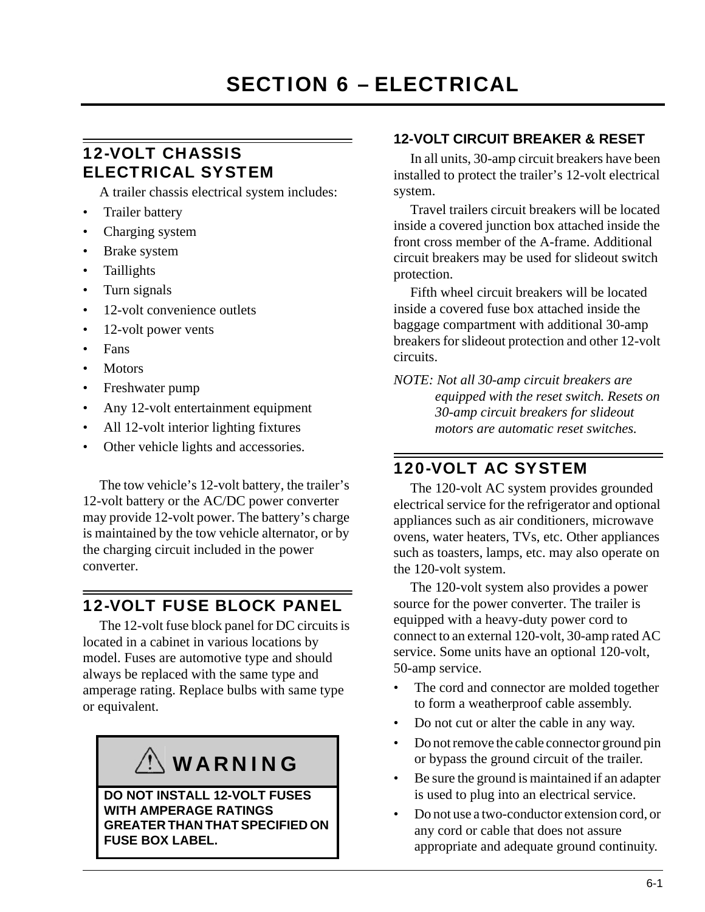## <span id="page-38-1"></span><span id="page-38-0"></span>12-VOLT CHASSIS ELECTRICAL SYSTEM

A trailer chassis electrical system includes:

- Trailer battery
- Charging system
- Brake system
- **Taillights**
- Turn signals
- 12-volt convenience outlets
- 12-volt power vents
- Fans
- **Motors**
- Freshwater pump
- Any 12-volt entertainment equipment
- All 12-volt interior lighting fixtures
- Other vehicle lights and accessories.

The tow vehicle's 12-volt battery, the trailer's 12-volt battery or the AC/DC power converter may provide 12-volt power. The battery's charge is maintained by the tow vehicle alternator, or by the charging circuit included in the power converter.

### <span id="page-38-2"></span>12-VOLT FUSE BLOCK PANEL

The 12-volt fuse block panel for DC circuits is located in a cabinet in various locations by model. Fuses are automotive type and should always be replaced with the same type and amperage rating. Replace bulbs with same type or equivalent.

# $\setminus$  WARNING

**DO NOT INSTALL 12-VOLT FUSES WITH AMPERAGE RATINGS GREATER THAN THAT SPECIFIED ON FUSE BOX LABEL.**

#### **12-VOLT CIRCUIT BREAKER & RESET**

In all units, 30-amp circuit breakers have been installed to protect the trailer's 12-volt electrical system.

Travel trailers circuit breakers will be located inside a covered junction box attached inside the front cross member of the A-frame. Additional circuit breakers may be used for slideout switch protection.

Fifth wheel circuit breakers will be located inside a covered fuse box attached inside the baggage compartment with additional 30-amp breakers for slideout protection and other 12-volt circuits.

*NOTE: Not all 30-amp circuit breakers are equipped with the reset switch. Resets on 30-amp circuit breakers for slideout motors are automatic reset switches.*

### <span id="page-38-3"></span>120-VOLT AC SYSTEM

The 120-volt AC system provides grounded electrical service for the refrigerator and optional appliances such as air conditioners, microwave ovens, water heaters, TVs, etc. Other appliances such as toasters, lamps, etc. may also operate on the 120-volt system.

The 120-volt system also provides a power source for the power converter. The trailer is equipped with a heavy-duty power cord to connect to an external 120-volt, 30-amp rated AC service. Some units have an optional 120-volt, 50-amp service.

- The cord and connector are molded together to form a weatherproof cable assembly.
- Do not cut or alter the cable in any way.
- Do not remove the cable connector ground pin or bypass the ground circuit of the trailer.
- Be sure the ground is maintained if an adapter is used to plug into an electrical service.
- Do not use a two-conductor extension cord, or any cord or cable that does not assure appropriate and adequate ground continuity.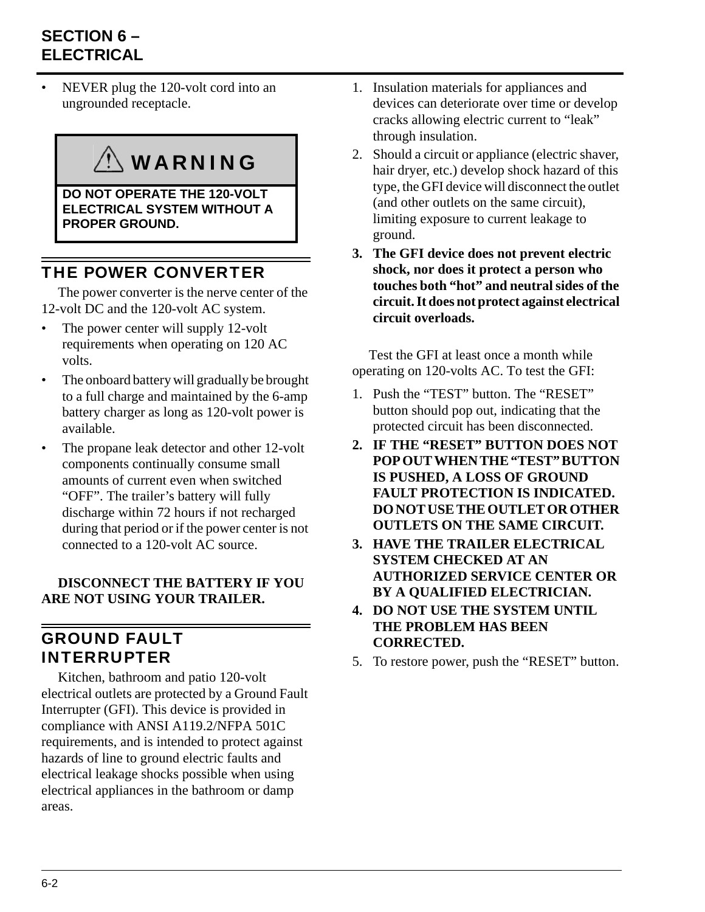## **SECTION 6 – ELECTRICAL**

NEVER plug the 120-volt cord into an ungrounded receptacle.

# WARNING

**DO NOT OPERATE THE 120-VOLT ELECTRICAL SYSTEM WITHOUT A PROPER GROUND.**

## <span id="page-39-0"></span>THE POWER CONVERTER

The power converter is the nerve center of the 12-volt DC and the 120-volt AC system.

- The power center will supply 12-volt requirements when operating on 120 AC volts.
- The onboard battery will gradually be brought to a full charge and maintained by the 6-amp battery charger as long as 120-volt power is available.
- The propane leak detector and other 12-volt components continually consume small amounts of current even when switched "OFF". The trailer's battery will fully discharge within 72 hours if not recharged during that period or if the power center is not connected to a 120-volt AC source.

#### **DISCONNECT THE BATTERY IF YOU ARE NOT USING YOUR TRAILER.**

## <span id="page-39-1"></span>GROUND FAULT INTERRUPTER

Kitchen, bathroom and patio 120-volt electrical outlets are protected by a Ground Fault Interrupter (GFI). This device is provided in compliance with ANSI A119.2/NFPA 501C requirements, and is intended to protect against hazards of line to ground electric faults and electrical leakage shocks possible when using electrical appliances in the bathroom or damp areas.

- 1. Insulation materials for appliances and devices can deteriorate over time or develop cracks allowing electric current to "leak" through insulation.
- 2. Should a circuit or appliance (electric shaver, hair dryer, etc.) develop shock hazard of this type, the GFI device will disconnect the outlet (and other outlets on the same circuit), limiting exposure to current leakage to ground.
- **3. The GFI device does not prevent electric shock, nor does it protect a person who touches both "hot" and neutral sides of the circuit. It does not protect against electrical circuit overloads.**

Test the GFI at least once a month while operating on 120-volts AC. To test the GFI:

- 1. Push the "TEST" button. The "RESET" button should pop out, indicating that the protected circuit has been disconnected.
- **2. IF THE "RESET" BUTTON DOES NOT POP OUT WHEN THE "TEST" BUTTON IS PUSHED, A LOSS OF GROUND FAULT PROTECTION IS INDICATED. DO NOT USE THE OUTLET OR OTHER OUTLETS ON THE SAME CIRCUIT.**
- **3. HAVE THE TRAILER ELECTRICAL SYSTEM CHECKED AT AN AUTHORIZED SERVICE CENTER OR BY A QUALIFIED ELECTRICIAN.**
- **4. DO NOT USE THE SYSTEM UNTIL THE PROBLEM HAS BEEN CORRECTED.**
- 5. To restore power, push the "RESET" button.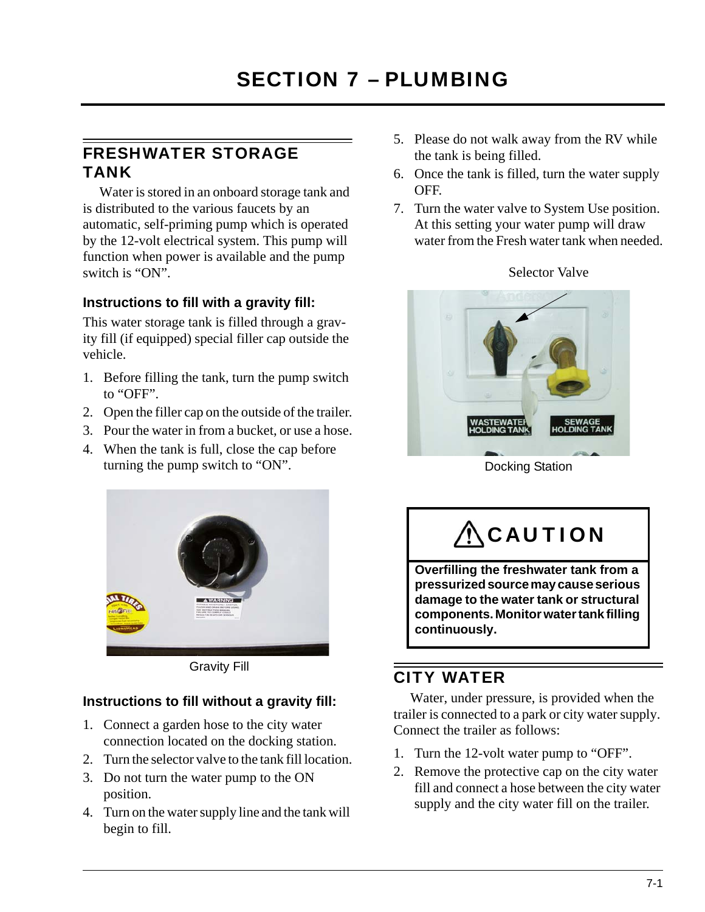### <span id="page-40-1"></span><span id="page-40-0"></span>FRESHWATER STORAGE TANK

Water is stored in an onboard storage tank and is distributed to the various faucets by an automatic, self-priming pump which is operated by the 12-volt electrical system. This pump will function when power is available and the pump switch is "ON".

#### **Instructions to fill with a gravity fill:**

This water storage tank is filled through a gravity fill (if equipped) special filler cap outside the vehicle.

- 1. Before filling the tank, turn the pump switch to "OFF".
- 2. Open the filler cap on the outside of the trailer.
- 3. Pour the water in from a bucket, or use a hose.
- 4. When the tank is full, close the cap before turning the pump switch to "ON".



Gravity Fill

#### **Instructions to fill without a gravity fill:**

- 1. Connect a garden hose to the city water connection located on the docking station.
- 2. Turn the selector valve to the tank fill location.
- 3. Do not turn the water pump to the ON position.
- 4. Turn on the water supply line and the tank will begin to fill.
- 5. Please do not walk away from the RV while the tank is being filled.
- 6. Once the tank is filled, turn the water supply OFF.
- 7. Turn the water valve to System Use position. At this setting your water pump will draw water from the Fresh water tank when needed.

Selector Valve



Docking Station

# **ACAUTION**

**Overfilling the freshwater tank from a pressurized source may cause serious damage to the water tank or structural components. Monitor water tank filling continuously.**

### <span id="page-40-2"></span>CITY WATER

Water, under pressure, is provided when the trailer is connected to a park or city water supply. Connect the trailer as follows:

- 1. Turn the 12-volt water pump to "OFF".
- 2. Remove the protective cap on the city water fill and connect a hose between the city water supply and the city water fill on the trailer.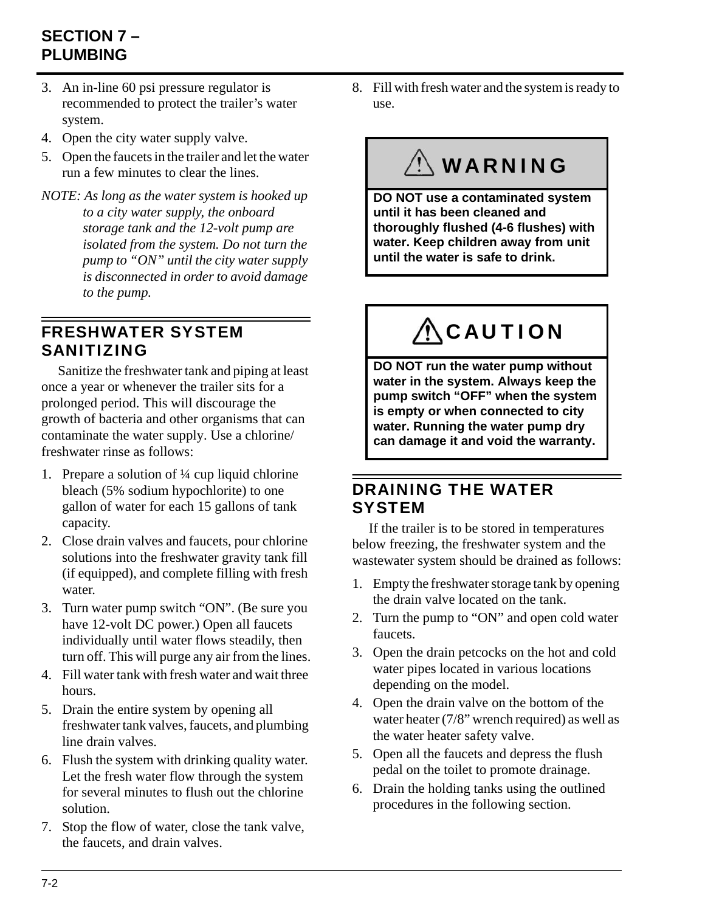## **SECTION 7 – PLUMBING**

- 3. An in-line 60 psi pressure regulator is recommended to protect the trailer's water system.
- 4. Open the city water supply valve.
- 5. Open the faucets in the trailer and let the water run a few minutes to clear the lines.
- *NOTE: As long as the water system is hooked up to a city water supply, the onboard storage tank and the 12-volt pump are isolated from the system. Do not turn the pump to "ON" until the city water supply is disconnected in order to avoid damage to the pump.*

### <span id="page-41-0"></span>FRESHWATER SYSTEM SANITIZING

Sanitize the freshwater tank and piping at least once a year or whenever the trailer sits for a prolonged period. This will discourage the growth of bacteria and other organisms that can contaminate the water supply. Use a chlorine/ freshwater rinse as follows:

- 1. Prepare a solution of ¼ cup liquid chlorine bleach (5% sodium hypochlorite) to one gallon of water for each 15 gallons of tank capacity.
- 2. Close drain valves and faucets, pour chlorine solutions into the freshwater gravity tank fill (if equipped), and complete filling with fresh water.
- 3. Turn water pump switch "ON". (Be sure you have 12-volt DC power.) Open all faucets individually until water flows steadily, then turn off. This will purge any air from the lines.
- 4. Fill water tank with fresh water and wait three hours.
- 5. Drain the entire system by opening all freshwater tank valves, faucets, and plumbing line drain valves.
- 6. Flush the system with drinking quality water. Let the fresh water flow through the system for several minutes to flush out the chlorine solution.
- 7. Stop the flow of water, close the tank valve, the faucets, and drain valves.

8. Fill with fresh water and the system is ready to use.

# WARNING

**DO NOT use a contaminated system until it has been cleaned and thoroughly flushed (4-6 flushes) with water. Keep children away from unit until the water is safe to drink.**

# **ACAUTION**

**DO NOT run the water pump without water in the system. Always keep the pump switch "OFF" when the system is empty or when connected to city water. Running the water pump dry can damage it and void the warranty.**

### <span id="page-41-1"></span>DRAINING THE WATER **SYSTEM**

If the trailer is to be stored in temperatures below freezing, the freshwater system and the wastewater system should be drained as follows:

- 1. Empty the freshwater storage tank by opening the drain valve located on the tank.
- 2. Turn the pump to "ON" and open cold water faucets.
- 3. Open the drain petcocks on the hot and cold water pipes located in various locations depending on the model.
- 4. Open the drain valve on the bottom of the water heater (7/8" wrench required) as well as the water heater safety valve.
- 5. Open all the faucets and depress the flush pedal on the toilet to promote drainage.
- 6. Drain the holding tanks using the outlined procedures in the following section.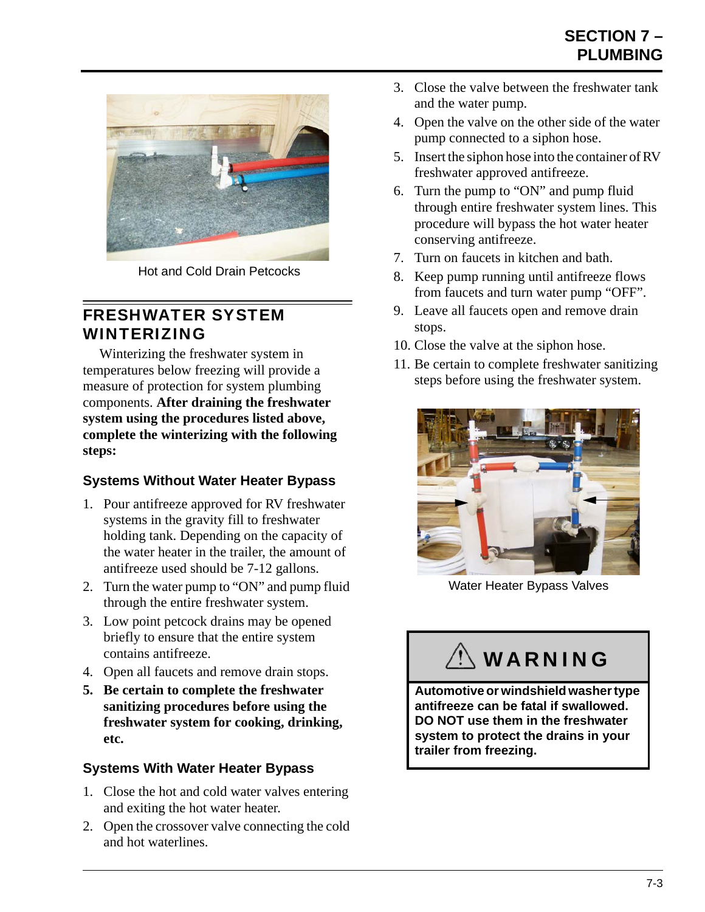

Hot and Cold Drain Petcocks

### <span id="page-42-0"></span>FRESHWATER SYSTEM WINTERIZING

Winterizing the freshwater system in temperatures below freezing will provide a measure of protection for system plumbing components. **After draining the freshwater system using the procedures listed above, complete the winterizing with the following steps:**

### **Systems Without Water Heater Bypass**

- 1. Pour antifreeze approved for RV freshwater systems in the gravity fill to freshwater holding tank. Depending on the capacity of the water heater in the trailer, the amount of antifreeze used should be 7-12 gallons.
- 2. Turn the water pump to "ON" and pump fluid through the entire freshwater system.
- 3. Low point petcock drains may be opened briefly to ensure that the entire system contains antifreeze.
- 4. Open all faucets and remove drain stops.
- **5. Be certain to complete the freshwater sanitizing procedures before using the freshwater system for cooking, drinking, etc.**

#### **Systems With Water Heater Bypass**

- 1. Close the hot and cold water valves entering and exiting the hot water heater.
- 2. Open the crossover valve connecting the cold and hot waterlines.
- 3. Close the valve between the freshwater tank and the water pump.
- 4. Open the valve on the other side of the water pump connected to a siphon hose.
- 5. Insert the siphon hose into the container of RV freshwater approved antifreeze.
- 6. Turn the pump to "ON" and pump fluid through entire freshwater system lines. This procedure will bypass the hot water heater conserving antifreeze.
- 7. Turn on faucets in kitchen and bath.
- 8. Keep pump running until antifreeze flows from faucets and turn water pump "OFF".
- 9. Leave all faucets open and remove drain stops.
- 10. Close the valve at the siphon hose.
- 11. Be certain to complete freshwater sanitizing steps before using the freshwater system.



Water Heater Bypass Valves

# $\left\langle \right\rangle$  WARNING

**Automotive or windshield washer type antifreeze can be fatal if swallowed. DO NOT use them in the freshwater system to protect the drains in your trailer from freezing.**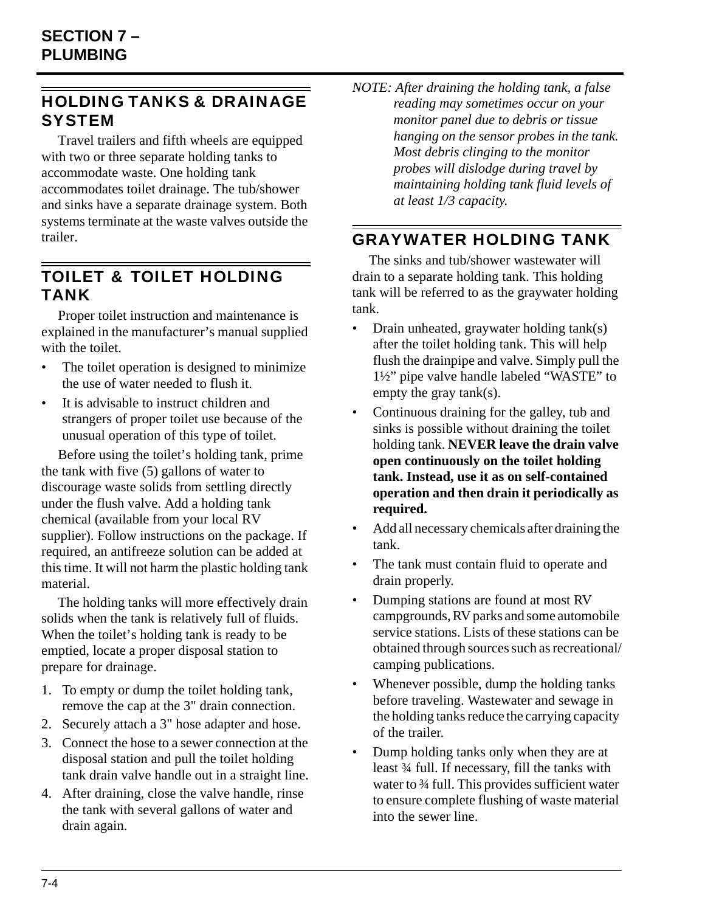## <span id="page-43-0"></span>HOLDING TANKS & DRAINAGE **SYSTEM**

Travel trailers and fifth wheels are equipped with two or three separate holding tanks to accommodate waste. One holding tank accommodates toilet drainage. The tub/shower and sinks have a separate drainage system. Both systems terminate at the waste valves outside the trailer.

### <span id="page-43-1"></span>TOILET & TOILET HOLDING TANK

Proper toilet instruction and maintenance is explained in the manufacturer's manual supplied with the toilet.

- The toilet operation is designed to minimize the use of water needed to flush it.
- It is advisable to instruct children and strangers of proper toilet use because of the unusual operation of this type of toilet.

Before using the toilet's holding tank, prime the tank with five (5) gallons of water to discourage waste solids from settling directly under the flush valve. Add a holding tank chemical (available from your local RV supplier). Follow instructions on the package. If required, an antifreeze solution can be added at this time. It will not harm the plastic holding tank material.

The holding tanks will more effectively drain solids when the tank is relatively full of fluids. When the toilet's holding tank is ready to be emptied, locate a proper disposal station to prepare for drainage.

- 1. To empty or dump the toilet holding tank, remove the cap at the 3" drain connection.
- 2. Securely attach a 3" hose adapter and hose.
- 3. Connect the hose to a sewer connection at the disposal station and pull the toilet holding tank drain valve handle out in a straight line.
- 4. After draining, close the valve handle, rinse the tank with several gallons of water and drain again.

*NOTE: After draining the holding tank, a false reading may sometimes occur on your monitor panel due to debris or tissue hanging on the sensor probes in the tank. Most debris clinging to the monitor probes will dislodge during travel by maintaining holding tank fluid levels of at least 1/3 capacity.*

### <span id="page-43-2"></span>GRAYWATER HOLDING TANK

The sinks and tub/shower wastewater will drain to a separate holding tank. This holding tank will be referred to as the graywater holding tank.

- Drain unheated, graywater holding tank(s) after the toilet holding tank. This will help flush the drainpipe and valve. Simply pull the 1½" pipe valve handle labeled "WASTE" to empty the gray tank(s).
- Continuous draining for the galley, tub and sinks is possible without draining the toilet holding tank. **NEVER leave the drain valve open continuously on the toilet holding tank. Instead, use it as on self-contained operation and then drain it periodically as required.**
- Add all necessary chemicals after draining the tank.
- The tank must contain fluid to operate and drain properly.
- Dumping stations are found at most RV campgrounds, RV parks and some automobile service stations. Lists of these stations can be obtained through sources such as recreational/ camping publications.
- Whenever possible, dump the holding tanks before traveling. Wastewater and sewage in the holding tanks reduce the carrying capacity of the trailer.
- Dump holding tanks only when they are at least ¾ full. If necessary, fill the tanks with water to 3⁄4 full. This provides sufficient water to ensure complete flushing of waste material into the sewer line.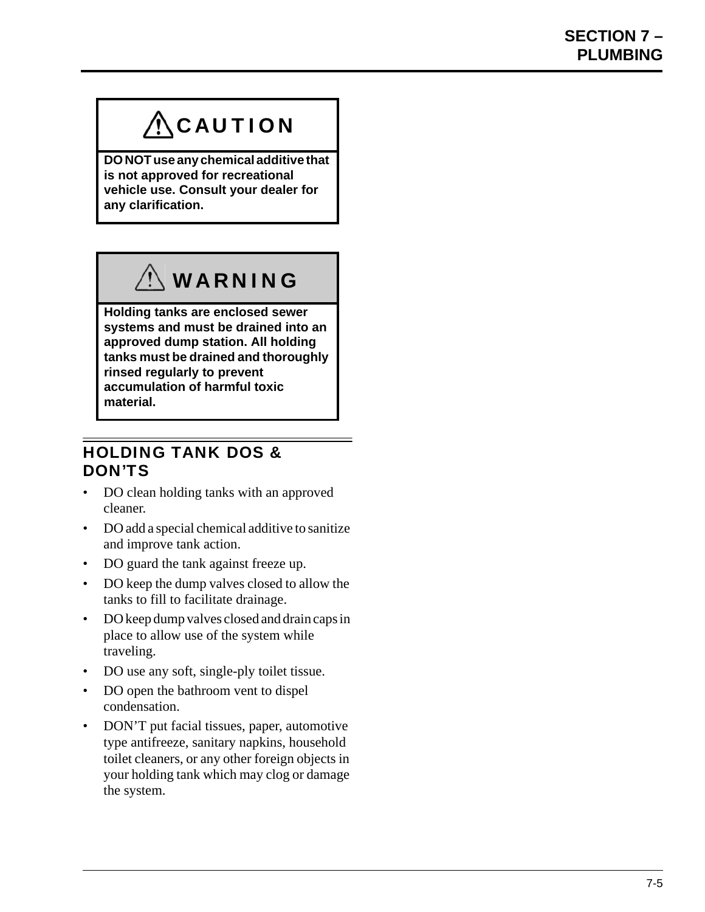# $\bigwedge$ CAUTION

**DO NOT use any chemical additive that is not approved for recreational vehicle use. Consult your dealer for any clarification.**



**Holding tanks are enclosed sewer systems and must be drained into an approved dump station. All holding tanks must be drained and thoroughly rinsed regularly to prevent accumulation of harmful toxic material.**

### <span id="page-44-0"></span>HOLDING TANK DOS & DON'TS

- DO clean holding tanks with an approved cleaner.
- DO add a special chemical additive to sanitize and improve tank action.
- DO guard the tank against freeze up.
- DO keep the dump valves closed to allow the tanks to fill to facilitate drainage.
- DO keep dump valves closed and drain caps in place to allow use of the system while traveling.
- DO use any soft, single-ply toilet tissue.
- DO open the bathroom vent to dispel condensation.
- DON'T put facial tissues, paper, automotive type antifreeze, sanitary napkins, household toilet cleaners, or any other foreign objects in your holding tank which may clog or damage the system.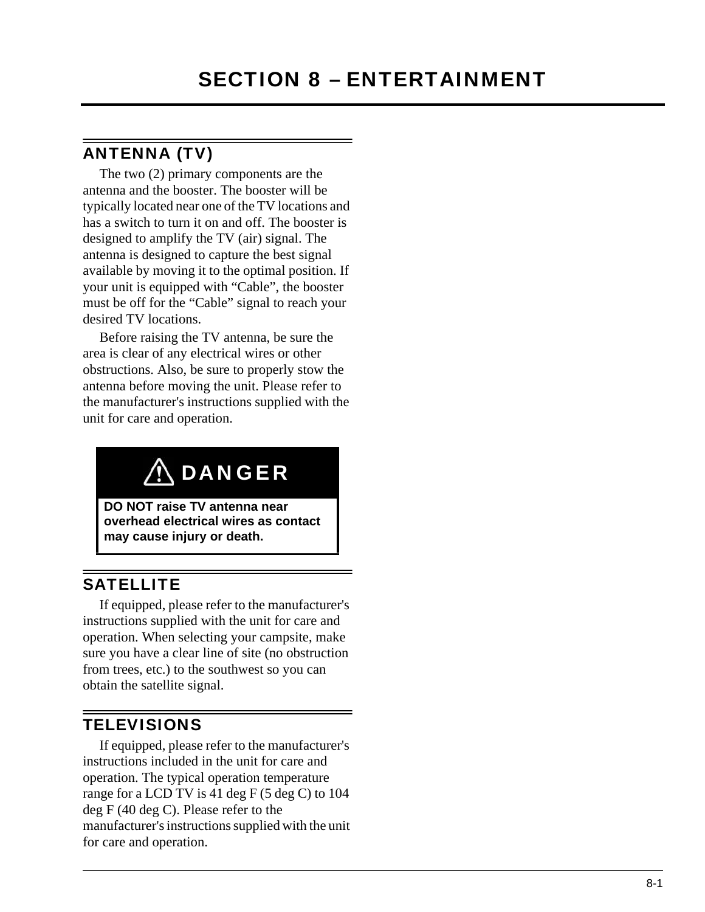### <span id="page-46-1"></span><span id="page-46-0"></span>ANTENNA (TV)

The two (2) primary components are the antenna and the booster. The booster will be typically located near one of the TV locations and has a switch to turn it on and off. The booster is designed to amplify the TV (air) signal. The antenna is designed to capture the best signal available by moving it to the optimal position. If your unit is equipped with "Cable", the booster must be off for the "Cable" signal to reach your desired TV locations.

Before raising the TV antenna, be sure the area is clear of any electrical wires or other obstructions. Also, be sure to properly stow the antenna before moving the unit. Please refer to the manufacturer's instructions supplied with the unit for care and operation.

# **ADANGER**

**DO NOT raise TV antenna near overhead electrical wires as contact may cause injury or death.**

## <span id="page-46-2"></span>**SATELLITE**

If equipped, please refer to the manufacturer's instructions supplied with the unit for care and operation. When selecting your campsite, make sure you have a clear line of site (no obstruction from trees, etc.) to the southwest so you can obtain the satellite signal.

## <span id="page-46-3"></span>**TELEVISIONS**

If equipped, please refer to the manufacturer's instructions included in the unit for care and operation. The typical operation temperature range for a LCD TV is 41 deg F (5 deg C) to 104 deg F (40 deg C). Please refer to the manufacturer's instructions supplied with the unit for care and operation.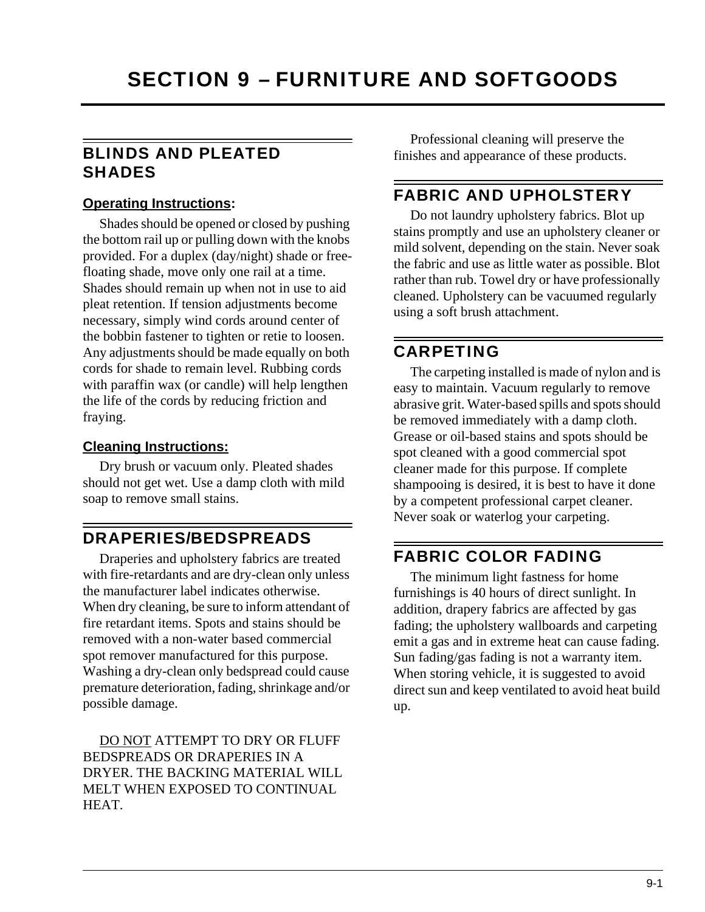### <span id="page-48-1"></span><span id="page-48-0"></span>BLINDS AND PLEATED SHADES

#### **Operating Instructions:**

Shades should be opened or closed by pushing the bottom rail up or pulling down with the knobs provided. For a duplex (day/night) shade or freefloating shade, move only one rail at a time. Shades should remain up when not in use to aid pleat retention. If tension adjustments become necessary, simply wind cords around center of the bobbin fastener to tighten or retie to loosen. Any adjustments should be made equally on both cords for shade to remain level. Rubbing cords with paraffin wax (or candle) will help lengthen the life of the cords by reducing friction and fraying.

#### **Cleaning Instructions:**

Dry brush or vacuum only. Pleated shades should not get wet. Use a damp cloth with mild soap to remove small stains.

### <span id="page-48-2"></span>DRAPERIES/BEDSPREADS

Draperies and upholstery fabrics are treated with fire-retardants and are dry-clean only unless the manufacturer label indicates otherwise. When dry cleaning, be sure to inform attendant of fire retardant items. Spots and stains should be removed with a non-water based commercial spot remover manufactured for this purpose. Washing a dry-clean only bedspread could cause premature deterioration, fading, shrinkage and/or possible damage.

DO NOT ATTEMPT TO DRY OR FLUFF BEDSPREADS OR DRAPERIES IN A DRYER. THE BACKING MATERIAL WILL MELT WHEN EXPOSED TO CONTINUAL HEAT.

Professional cleaning will preserve the finishes and appearance of these products.

### <span id="page-48-3"></span>FABRIC AND UPHOLSTERY

Do not laundry upholstery fabrics. Blot up stains promptly and use an upholstery cleaner or mild solvent, depending on the stain. Never soak the fabric and use as little water as possible. Blot rather than rub. Towel dry or have professionally cleaned. Upholstery can be vacuumed regularly using a soft brush attachment.

### <span id="page-48-4"></span>CARPETING

The carpeting installed is made of nylon and is easy to maintain. Vacuum regularly to remove abrasive grit. Water-based spills and spots should be removed immediately with a damp cloth. Grease or oil-based stains and spots should be spot cleaned with a good commercial spot cleaner made for this purpose. If complete shampooing is desired, it is best to have it done by a competent professional carpet cleaner. Never soak or waterlog your carpeting.

## <span id="page-48-5"></span>FABRIC COLOR FADING

The minimum light fastness for home furnishings is 40 hours of direct sunlight. In addition, drapery fabrics are affected by gas fading; the upholstery wallboards and carpeting emit a gas and in extreme heat can cause fading. Sun fading/gas fading is not a warranty item. When storing vehicle, it is suggested to avoid direct sun and keep ventilated to avoid heat build up.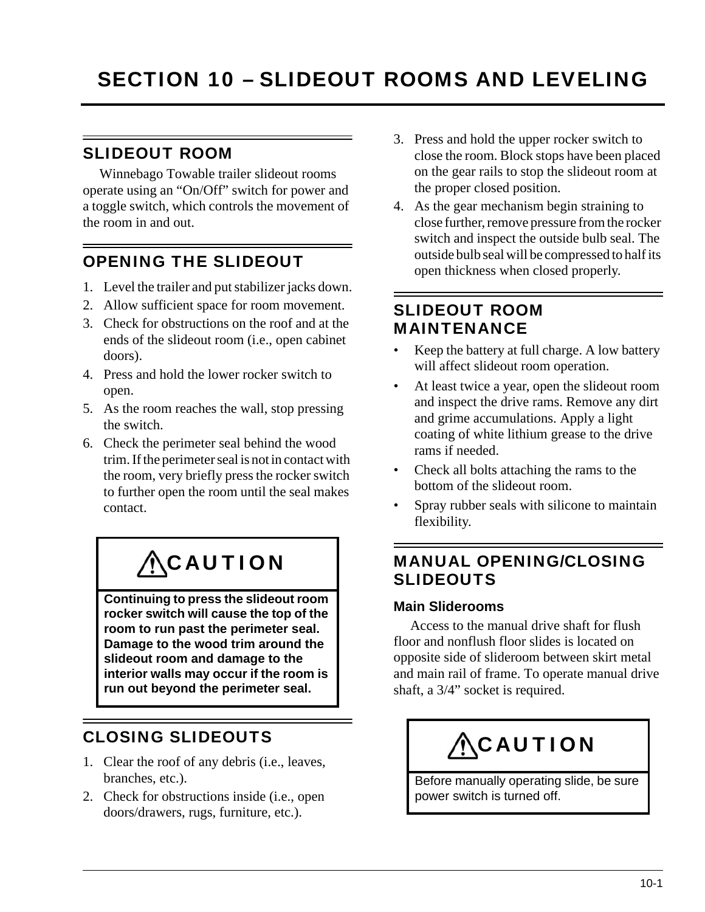## <span id="page-50-1"></span><span id="page-50-0"></span>SLIDEOUT ROOM

Winnebago Towable trailer slideout rooms operate using an "On/Off" switch for power and a toggle switch, which controls the movement of the room in and out.

## <span id="page-50-2"></span>OPENING THE SLIDEOUT

- 1. Level the trailer and put stabilizer jacks down.
- 2. Allow sufficient space for room movement.
- 3. Check for obstructions on the roof and at the ends of the slideout room (i.e., open cabinet doors).
- 4. Press and hold the lower rocker switch to open.
- 5. As the room reaches the wall, stop pressing the switch.
- 6. Check the perimeter seal behind the wood trim. If the perimeter seal is not in contact with the room, very briefly press the rocker switch to further open the room until the seal makes contact.

# **ACAUTION**

**Continuing to press the slideout room rocker switch will cause the top of the room to run past the perimeter seal. Damage to the wood trim around the slideout room and damage to the interior walls may occur if the room is run out beyond the perimeter seal.**

# <span id="page-50-3"></span>CLOSING SLIDEOUTS

- 1. Clear the roof of any debris (i.e., leaves, branches, etc.).
- 2. Check for obstructions inside (i.e., open doors/drawers, rugs, furniture, etc.).
- 3. Press and hold the upper rocker switch to close the room. Block stops have been placed on the gear rails to stop the slideout room at the proper closed position.
- 4. As the gear mechanism begin straining to close further, remove pressure from the rocker switch and inspect the outside bulb seal. The outside bulb seal will be compressed to half its open thickness when closed properly.

## <span id="page-50-4"></span>SLIDEOUT ROOM MAINTENANCE

- Keep the battery at full charge. A low battery will affect slideout room operation.
- At least twice a year, open the slideout room and inspect the drive rams. Remove any dirt and grime accumulations. Apply a light coating of white lithium grease to the drive rams if needed.
- Check all bolts attaching the rams to the bottom of the slideout room.
- Spray rubber seals with silicone to maintain flexibility.

## <span id="page-50-5"></span>MANUAL OPENING/CLOSING SLIDEOUTS

#### **Main Sliderooms**

Access to the manual drive shaft for flush floor and nonflush floor slides is located on opposite side of slideroom between skirt metal and main rail of frame. To operate manual drive shaft, a 3/4" socket is required.



Before manually operating slide, be sure power switch is turned off.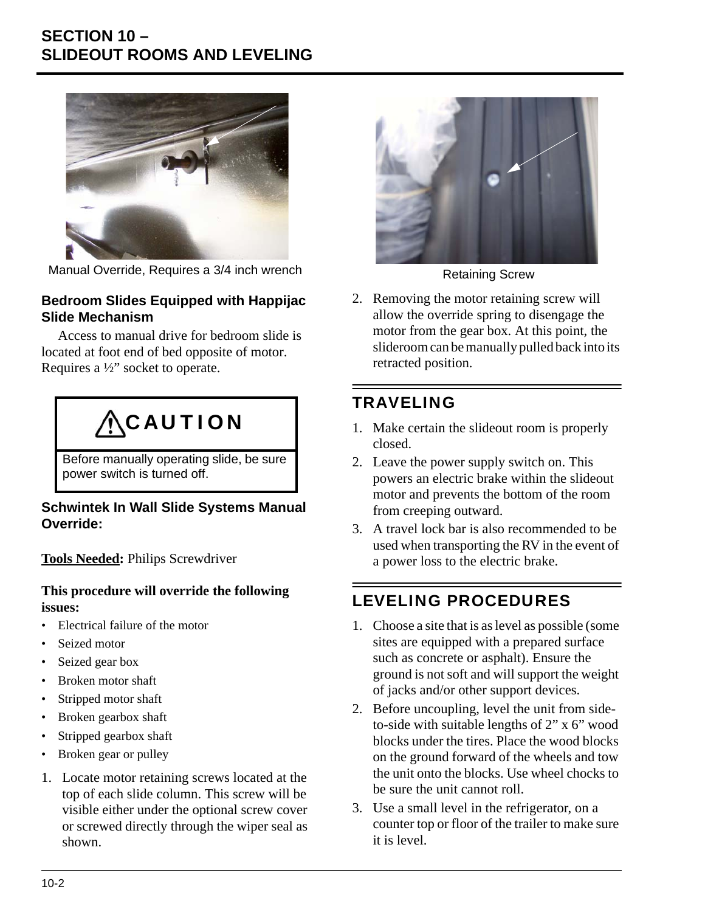## **SECTION 10 – SLIDEOUT ROOMS AND LEVELING**



Manual Override, Requires a 3/4 inch wrench Retaining Screw

#### **Bedroom Slides Equipped with Happijac Slide Mechanism**

Access to manual drive for bedroom slide is located at foot end of bed opposite of motor. Requires a ½" socket to operate.

# **ACAUTION**

Before manually operating slide, be sure power switch is turned off.

#### **Schwintek In Wall Slide Systems Manual Override:**

**Tools Needed:** Philips Screwdriver

#### **This procedure will override the following issues:**

- Electrical failure of the motor
- Seized motor
- Seized gear box
- Broken motor shaft
- Stripped motor shaft
- Broken gearbox shaft
- Stripped gearbox shaft
- Broken gear or pulley
- 1. Locate motor retaining screws located at the top of each slide column. This screw will be visible either under the optional screw cover or screwed directly through the wiper seal as shown.



2. Removing the motor retaining screw will allow the override spring to disengage the motor from the gear box. At this point, the slideroom can be manually pulled back into its retracted position.

# <span id="page-51-0"></span>TRAVELING

- 1. Make certain the slideout room is properly closed.
- 2. Leave the power supply switch on. This powers an electric brake within the slideout motor and prevents the bottom of the room from creeping outward.
- 3. A travel lock bar is also recommended to be used when transporting the RV in the event of a power loss to the electric brake.

# <span id="page-51-1"></span>LEVELING PROCEDURES

- 1. Choose a site that is as level as possible (some sites are equipped with a prepared surface such as concrete or asphalt). Ensure the ground is not soft and will support the weight of jacks and/or other support devices.
- 2. Before uncoupling, level the unit from sideto-side with suitable lengths of 2" x 6" wood blocks under the tires. Place the wood blocks on the ground forward of the wheels and tow the unit onto the blocks. Use wheel chocks to be sure the unit cannot roll.
- 3. Use a small level in the refrigerator, on a counter top or floor of the trailer to make sure it is level.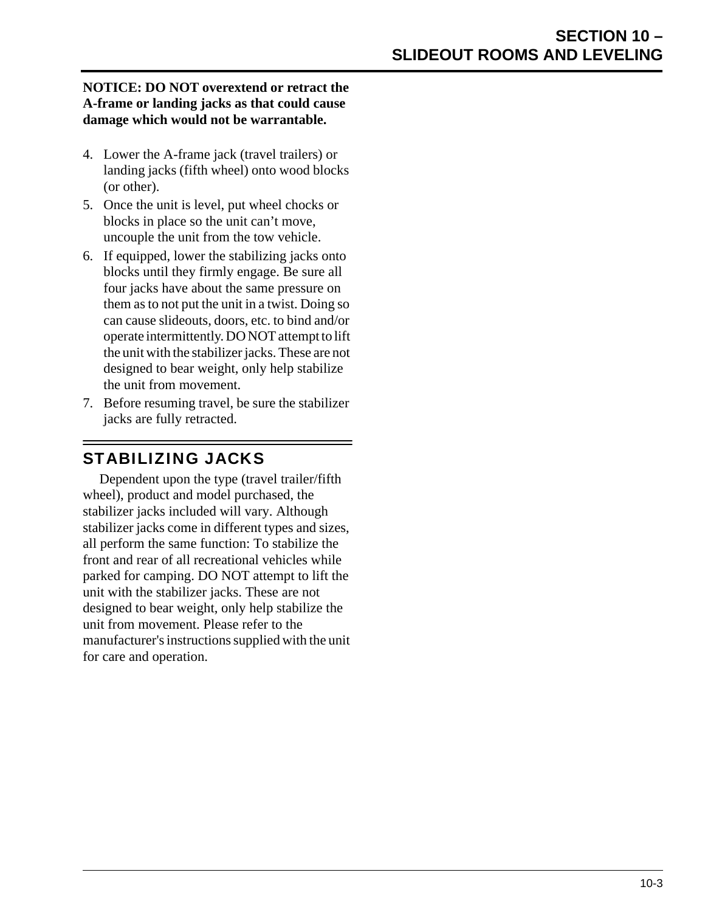#### **NOTICE: DO NOT overextend or retract the A-frame or landing jacks as that could cause damage which would not be warrantable.**

- 4. Lower the A-frame jack (travel trailers) or landing jacks (fifth wheel) onto wood blocks (or other).
- 5. Once the unit is level, put wheel chocks or blocks in place so the unit can't move, uncouple the unit from the tow vehicle.
- 6. If equipped, lower the stabilizing jacks onto blocks until they firmly engage. Be sure all four jacks have about the same pressure on them as to not put the unit in a twist. Doing so can cause slideouts, doors, etc. to bind and/or operate intermittently. DO NOT attempt to lift the unit with the stabilizer jacks. These are not designed to bear weight, only help stabilize the unit from movement.
- 7. Before resuming travel, be sure the stabilizer jacks are fully retracted.

## <span id="page-52-0"></span>STABILIZING JACKS

Dependent upon the type (travel trailer/fifth wheel), product and model purchased, the stabilizer jacks included will vary. Although stabilizer jacks come in different types and sizes, all perform the same function: To stabilize the front and rear of all recreational vehicles while parked for camping. DO NOT attempt to lift the unit with the stabilizer jacks. These are not designed to bear weight, only help stabilize the unit from movement. Please refer to the manufacturer's instructions supplied with the unit for care and operation.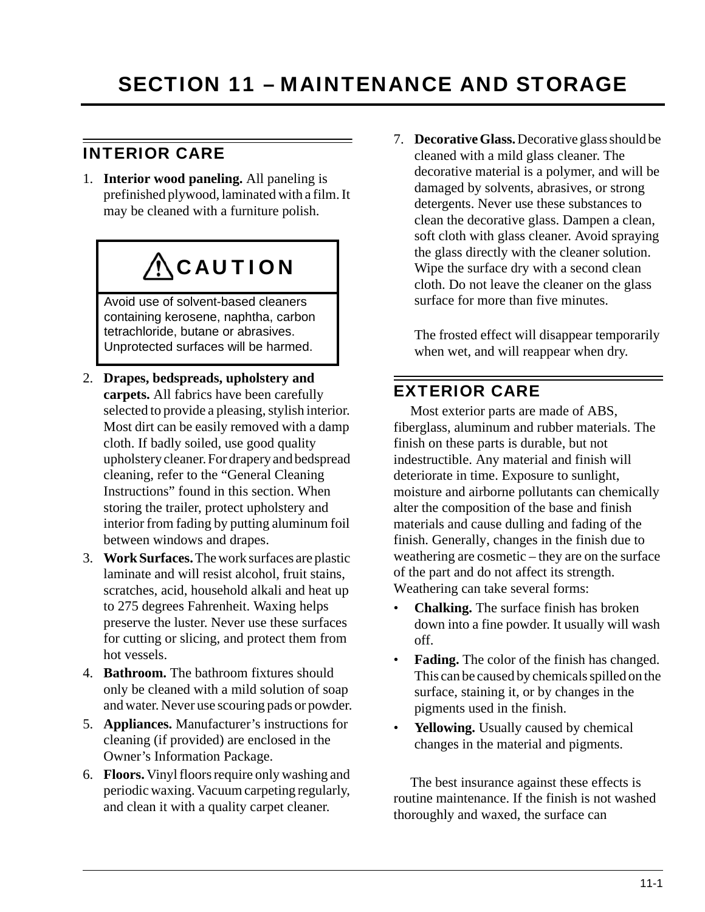## <span id="page-54-1"></span><span id="page-54-0"></span>INTERIOR CARE

1. **Interior wood paneling.** All paneling is prefinished plywood, laminated with a film. It may be cleaned with a furniture polish.

# **ACAUTION**

Avoid use of solvent-based cleaners containing kerosene, naphtha, carbon tetrachloride, butane or abrasives. Unprotected surfaces will be harmed.

- 2. **Drapes, bedspreads, upholstery and carpets.** All fabrics have been carefully selected to provide a pleasing, stylish interior. Most dirt can be easily removed with a damp cloth. If badly soiled, use good quality upholstery cleaner. Fordrapery and bedspread cleaning, refer to the "General Cleaning Instructions" found in this section. When storing the trailer, protect upholstery and interior from fading by putting aluminum foil between windows and drapes.
- 3. **Work Surfaces.** The work surfaces are plastic laminate and will resist alcohol, fruit stains, scratches, acid, household alkali and heat up to 275 degrees Fahrenheit. Waxing helps preserve the luster. Never use these surfaces for cutting or slicing, and protect them from hot vessels.
- 4. **Bathroom.** The bathroom fixtures should only be cleaned with a mild solution of soap and water. Never use scouring pads or powder.
- 5. **Appliances.** Manufacturer's instructions for cleaning (if provided) are enclosed in the Owner's Information Package.
- 6. **Floors.** Vinyl floors require only washing and periodic waxing. Vacuum carpeting regularly, and clean it with a quality carpet cleaner.

7. **Decorative Glass.** Decorative glass should be cleaned with a mild glass cleaner. The decorative material is a polymer, and will be damaged by solvents, abrasives, or strong detergents. Never use these substances to clean the decorative glass. Dampen a clean, soft cloth with glass cleaner. Avoid spraying the glass directly with the cleaner solution. Wipe the surface dry with a second clean cloth. Do not leave the cleaner on the glass surface for more than five minutes.

The frosted effect will disappear temporarily when wet, and will reappear when dry.

## <span id="page-54-2"></span>EXTERIOR CARE

Most exterior parts are made of ABS, fiberglass, aluminum and rubber materials. The finish on these parts is durable, but not indestructible. Any material and finish will deteriorate in time. Exposure to sunlight, moisture and airborne pollutants can chemically alter the composition of the base and finish materials and cause dulling and fading of the finish. Generally, changes in the finish due to weathering are cosmetic – they are on the surface of the part and do not affect its strength. Weathering can take several forms:

- **Chalking.** The surface finish has broken down into a fine powder. It usually will wash off.
- **Fading.** The color of the finish has changed. This can be caused by chemicals spilled on the surface, staining it, or by changes in the pigments used in the finish.
- **Yellowing.** Usually caused by chemical changes in the material and pigments.

The best insurance against these effects is routine maintenance. If the finish is not washed thoroughly and waxed, the surface can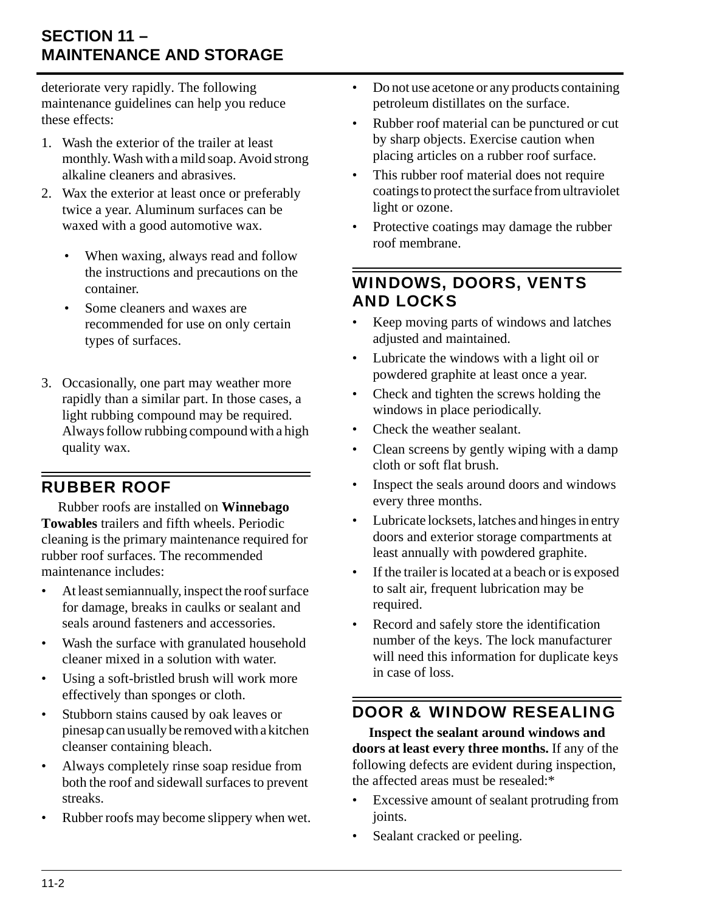deteriorate very rapidly. The following maintenance guidelines can help you reduce these effects:

- 1. Wash the exterior of the trailer at least monthly. Wash with a mild soap. Avoid strong alkaline cleaners and abrasives.
- 2. Wax the exterior at least once or preferably twice a year. Aluminum surfaces can be waxed with a good automotive wax.
	- When waxing, always read and follow the instructions and precautions on the container.
	- Some cleaners and waxes are recommended for use on only certain types of surfaces.
- 3. Occasionally, one part may weather more rapidly than a similar part. In those cases, a light rubbing compound may be required. Always follow rubbing compound with a high quality wax.

## <span id="page-55-0"></span>RUBBER ROOF

Rubber roofs are installed on **Winnebago Towables** trailers and fifth wheels. Periodic cleaning is the primary maintenance required for rubber roof surfaces. The recommended maintenance includes:

- At least semiannually, inspect the roof surface for damage, breaks in caulks or sealant and seals around fasteners and accessories.
- Wash the surface with granulated household cleaner mixed in a solution with water.
- Using a soft-bristled brush will work more effectively than sponges or cloth.
- Stubborn stains caused by oak leaves or pinesap can usually be removed with a kitchen cleanser containing bleach.
- Always completely rinse soap residue from both the roof and sidewall surfaces to prevent streaks.
- Rubber roofs may become slippery when wet.
- Do not use acetone or any products containing petroleum distillates on the surface.
- Rubber roof material can be punctured or cut by sharp objects. Exercise caution when placing articles on a rubber roof surface.
- This rubber roof material does not require coatings to protect the surface from ultraviolet light or ozone.
- Protective coatings may damage the rubber roof membrane.

## <span id="page-55-1"></span>WINDOWS, DOORS, VENTS AND LOCKS

- Keep moving parts of windows and latches adjusted and maintained.
- Lubricate the windows with a light oil or powdered graphite at least once a year.
- Check and tighten the screws holding the windows in place periodically.
- Check the weather sealant.
- Clean screens by gently wiping with a damp cloth or soft flat brush.
- Inspect the seals around doors and windows every three months.
- Lubricate locksets, latches and hinges in entry doors and exterior storage compartments at least annually with powdered graphite.
- If the trailer is located at a beach or is exposed to salt air, frequent lubrication may be required.
- Record and safely store the identification number of the keys. The lock manufacturer will need this information for duplicate keys in case of loss.

# <span id="page-55-2"></span>DOOR & WINDOW RESEALING

**Inspect the sealant around windows and doors at least every three months.** If any of the following defects are evident during inspection, the affected areas must be resealed:\*

- Excessive amount of sealant protruding from joints.
- Sealant cracked or peeling.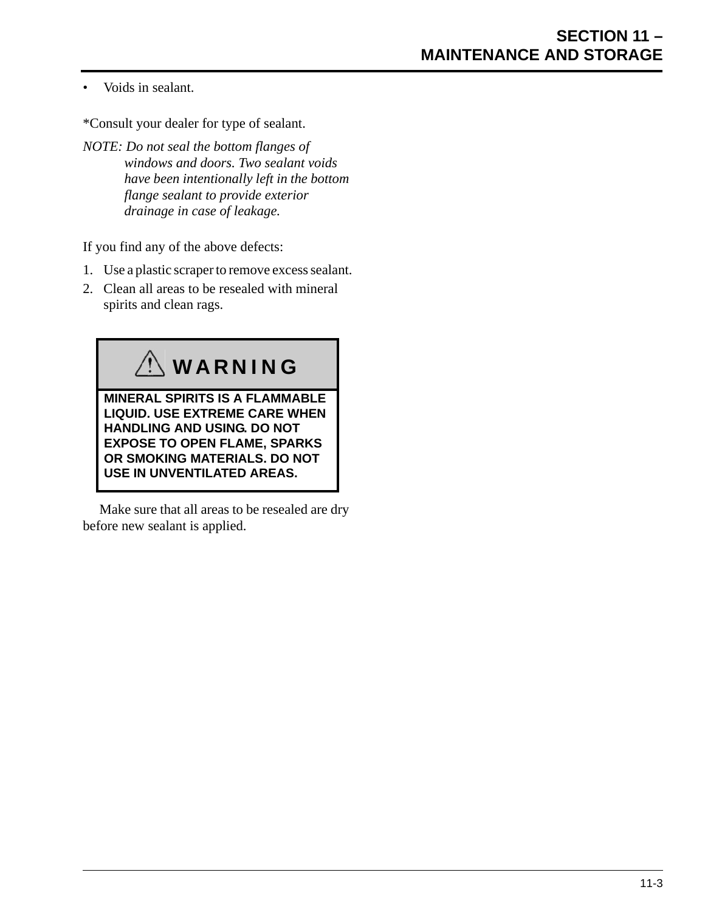• Voids in sealant.

\*Consult your dealer for type of sealant.

*NOTE: Do not seal the bottom flanges of windows and doors. Two sealant voids have been intentionally left in the bottom flange sealant to provide exterior drainage in case of leakage.*

If you find any of the above defects:

- 1. Use a plastic scraper to remove excess sealant.
- 2. Clean all areas to be resealed with mineral spirits and clean rags.



Make sure that all areas to be resealed are dry before new sealant is applied.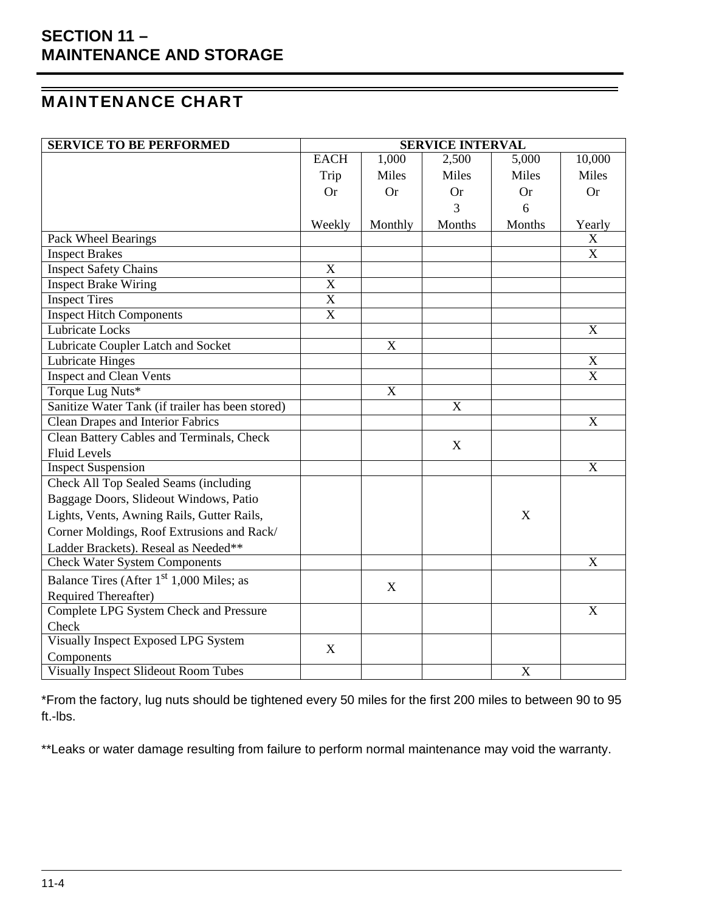## <span id="page-57-0"></span>MAINTENANCE CHART

| <b>SERVICE TO BE PERFORMED</b>                       | <b>SERVICE INTERVAL</b> |             |             |           |                           |
|------------------------------------------------------|-------------------------|-------------|-------------|-----------|---------------------------|
|                                                      | <b>EACH</b>             | 1,000       | 2,500       | 5,000     | 10,000                    |
|                                                      | Trip                    | Miles       | Miles       | Miles     | Miles                     |
|                                                      | <b>Or</b>               | <b>Or</b>   | <b>Or</b>   | <b>Or</b> | <b>Or</b>                 |
|                                                      |                         |             | 3           | 6         |                           |
|                                                      | Weekly                  | Monthly     | Months      | Months    | Yearly                    |
| Pack Wheel Bearings                                  |                         |             |             |           | X                         |
| <b>Inspect Brakes</b>                                |                         |             |             |           | X                         |
| <b>Inspect Safety Chains</b>                         | $\mathbf X$             |             |             |           |                           |
| <b>Inspect Brake Wiring</b>                          | $\overline{X}$          |             |             |           |                           |
| <b>Inspect Tires</b>                                 | $\overline{\text{X}}$   |             |             |           |                           |
| <b>Inspect Hitch Components</b>                      | $\overline{\text{X}}$   |             |             |           |                           |
| <b>Lubricate Locks</b>                               |                         |             |             |           | X                         |
| Lubricate Coupler Latch and Socket                   |                         | X           |             |           |                           |
| <b>Lubricate Hinges</b>                              |                         |             |             |           | $\boldsymbol{\mathrm{X}}$ |
| <b>Inspect and Clean Vents</b>                       |                         |             |             |           | $\boldsymbol{\mathrm{X}}$ |
| Torque Lug Nuts*                                     |                         | $\mathbf X$ |             |           |                           |
| Sanitize Water Tank (if trailer has been stored)     |                         |             | $\mathbf X$ |           |                           |
| <b>Clean Drapes and Interior Fabrics</b>             |                         |             |             |           | X                         |
| <b>Clean Battery Cables and Terminals, Check</b>     |                         |             | X           |           |                           |
| <b>Fluid Levels</b>                                  |                         |             |             |           |                           |
| <b>Inspect Suspension</b>                            |                         |             |             |           | X                         |
| Check All Top Sealed Seams (including                |                         |             |             |           |                           |
| Baggage Doors, Slideout Windows, Patio               |                         |             |             |           |                           |
| Lights, Vents, Awning Rails, Gutter Rails,           |                         |             |             | X         |                           |
| Corner Moldings, Roof Extrusions and Rack/           |                         |             |             |           |                           |
| Ladder Brackets). Reseal as Needed**                 |                         |             |             |           |                           |
| <b>Check Water System Components</b>                 |                         |             |             |           | X                         |
| Balance Tires (After 1 <sup>st</sup> 1,000 Miles; as |                         | X           |             |           |                           |
| <b>Required Thereafter)</b>                          |                         |             |             |           |                           |
| Complete LPG System Check and Pressure               |                         |             |             |           | X                         |
| Check                                                |                         |             |             |           |                           |
| <b>Visually Inspect Exposed LPG System</b>           | X                       |             |             |           |                           |
| Components                                           |                         |             |             |           |                           |
| <b>Visually Inspect Slideout Room Tubes</b>          |                         |             |             | X         |                           |

\*From the factory, lug nuts should be tightened every 50 miles for the first 200 miles to between 90 to 95 ft.-lbs.

\*\*Leaks or water damage resulting from failure to perform normal maintenance may void the warranty.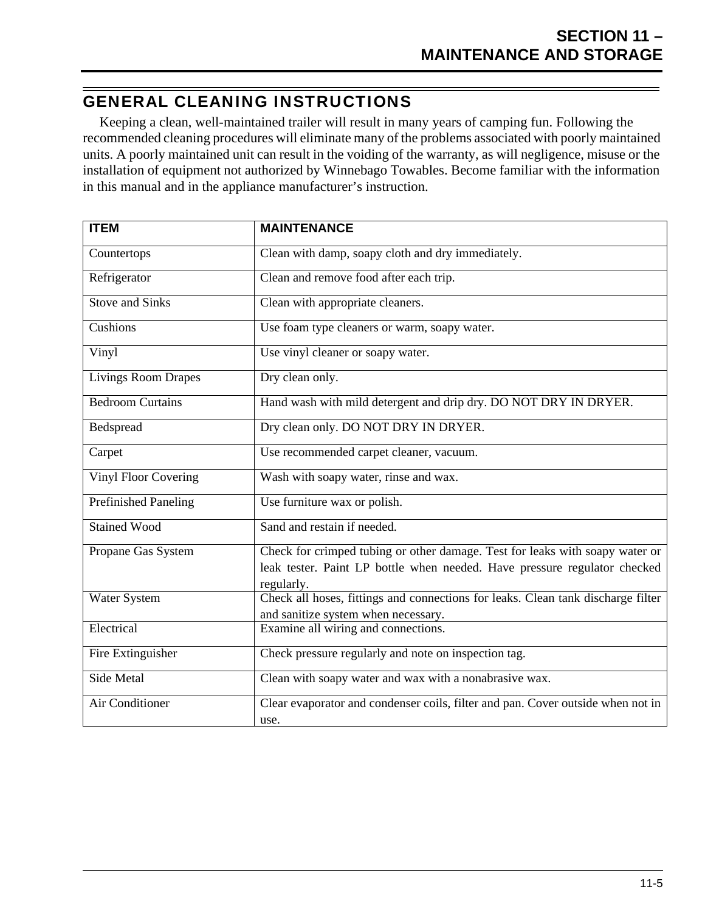### <span id="page-58-0"></span>GENERAL CLEANING INSTRUCTIONS

Keeping a clean, well-maintained trailer will result in many years of camping fun. Following the recommended cleaning procedures will eliminate many of the problems associated with poorly maintained units. A poorly maintained unit can result in the voiding of the warranty, as will negligence, misuse or the installation of equipment not authorized by Winnebago Towables. Become familiar with the information in this manual and in the appliance manufacturer's instruction.

| <b>ITEM</b>                 | <b>MAINTENANCE</b>                                                                             |
|-----------------------------|------------------------------------------------------------------------------------------------|
| Countertops                 | Clean with damp, soapy cloth and dry immediately.                                              |
| Refrigerator                | Clean and remove food after each trip.                                                         |
| <b>Stove and Sinks</b>      | Clean with appropriate cleaners.                                                               |
| Cushions                    | Use foam type cleaners or warm, soapy water.                                                   |
| Vinyl                       | Use vinyl cleaner or soapy water.                                                              |
| <b>Livings Room Drapes</b>  | Dry clean only.                                                                                |
| <b>Bedroom Curtains</b>     | Hand wash with mild detergent and drip dry. DO NOT DRY IN DRYER.                               |
| Bedspread                   | Dry clean only. DO NOT DRY IN DRYER.                                                           |
| Carpet                      | Use recommended carpet cleaner, vacuum.                                                        |
| <b>Vinyl Floor Covering</b> | Wash with soapy water, rinse and wax.                                                          |
| <b>Prefinished Paneling</b> | Use furniture wax or polish.                                                                   |
| <b>Stained Wood</b>         | Sand and restain if needed.                                                                    |
| Propane Gas System          | Check for crimped tubing or other damage. Test for leaks with soapy water or                   |
|                             | leak tester. Paint LP bottle when needed. Have pressure regulator checked                      |
| <b>Water System</b>         | regularly.<br>Check all hoses, fittings and connections for leaks. Clean tank discharge filter |
|                             | and sanitize system when necessary.                                                            |
| Electrical                  | Examine all wiring and connections.                                                            |
|                             |                                                                                                |
| Fire Extinguisher           | Check pressure regularly and note on inspection tag.                                           |
| <b>Side Metal</b>           | Clean with soapy water and wax with a nonabrasive wax.                                         |
| <b>Air Conditioner</b>      | Clear evaporator and condenser coils, filter and pan. Cover outside when not in                |
|                             | use.                                                                                           |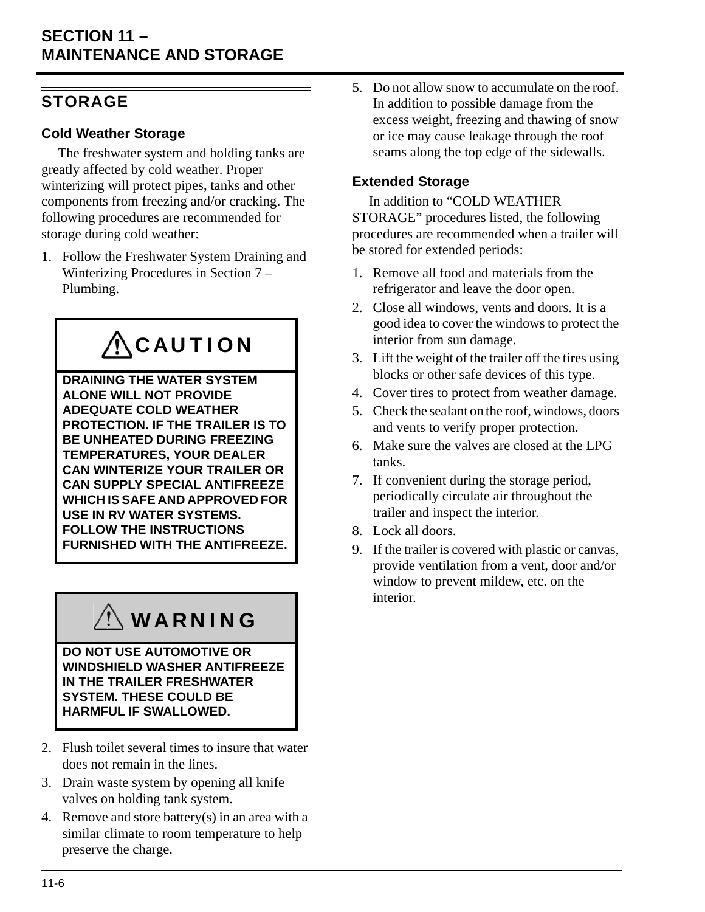### <span id="page-59-0"></span>**STORAGE**

#### **Cold Weather Storage**

The freshwater system and holding tanks are greatly affected by cold weather. Proper winterizing will protect pipes, tanks and other components from freezing and/or cracking. The following procedures are recommended for storage during cold weather:

1. Follow the Freshwater System Draining and Winterizing Procedures in Section 7 – Plumbing.

# **ACAUTION**

**DRAINING THE WATER SYSTEM ALONE WILL NOT PROVIDE ADEQUATE COLD WEATHER PROTECTION. IF THE TRAILER IS TO BE UNHEATED DURING FREEZING TEMPERATURES, YOUR DEALER CAN WINTERIZE YOUR TRAILER OR CAN SUPPLY SPECIAL ANTIFREEZE WHICH IS SAFE AND APPROVED FOR USE IN RV WATER SYSTEMS. FOLLOW THE INSTRUCTIONS FURNISHED WITH THE ANTIFREEZE.**

# WARNING

**DO NOT USE AUTOMOTIVE OR WINDSHIELD WASHER ANTIFREEZE IN THE TRAILER FRESHWATER SYSTEM. THESE COULD BE HARMFUL IF SWALLOWED.**

- 2. Flush toilet several times to insure that water does not remain in the lines.
- 3. Drain waste system by opening all knife valves on holding tank system.
- 4. Remove and store battery(s) in an area with a similar climate to room temperature to help preserve the charge.

5. Do not allow snow to accumulate on the roof. In addition to possible damage from the excess weight, freezing and thawing of snow or ice may cause leakage through the roof seams along the top edge of the sidewalls.

#### **Extended Storage**

In addition to "COLD WEATHER STORAGE" procedures listed, the following procedures are recommended when a trailer will be stored for extended periods:

- 1. Remove all food and materials from the refrigerator and leave the door open.
- 2. Close all windows, vents and doors. It is a good idea to cover the windows to protect the interior from sun damage.
- 3. Lift the weight of the trailer off the tires using blocks or other safe devices of this type.
- 4. Cover tires to protect from weather damage.
- 5. Check the sealant on the roof, windows, doors and vents to verify proper protection.
- 6. Make sure the valves are closed at the LPG tanks.
- 7. If convenient during the storage period, periodically circulate air throughout the trailer and inspect the interior.
- 8. Lock all doors.
- 9. If the trailer is covered with plastic or canvas, provide ventilation from a vent, door and/or window to prevent mildew, etc. on the interior.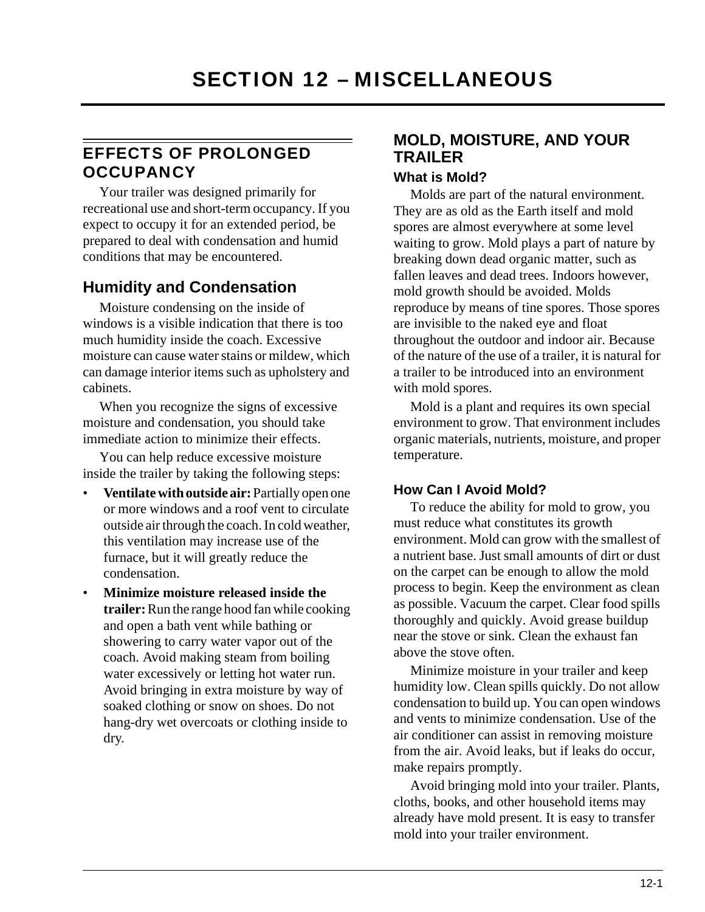## <span id="page-60-1"></span><span id="page-60-0"></span>EFFECTS OF PROLONGED **OCCUPANCY**

Your trailer was designed primarily for recreational use and short-term occupancy. If you expect to occupy it for an extended period, be prepared to deal with condensation and humid conditions that may be encountered.

### **Humidity and Condensation**

Moisture condensing on the inside of windows is a visible indication that there is too much humidity inside the coach. Excessive moisture can cause water stains or mildew, which can damage interior items such as upholstery and cabinets.

When you recognize the signs of excessive moisture and condensation, you should take immediate action to minimize their effects.

You can help reduce excessive moisture inside the trailer by taking the following steps:

- **Ventilate with outside air:** Partially open one or more windows and a roof vent to circulate outside air through the coach. In cold weather, this ventilation may increase use of the furnace, but it will greatly reduce the condensation.
- **Minimize moisture released inside the trailer:** Run the range hood fan while cooking and open a bath vent while bathing or showering to carry water vapor out of the coach. Avoid making steam from boiling water excessively or letting hot water run. Avoid bringing in extra moisture by way of soaked clothing or snow on shoes. Do not hang-dry wet overcoats or clothing inside to dry.

### **MOLD, MOISTURE, AND YOUR TRAILER**

#### **What is Mold?**

Molds are part of the natural environment. They are as old as the Earth itself and mold spores are almost everywhere at some level waiting to grow. Mold plays a part of nature by breaking down dead organic matter, such as fallen leaves and dead trees. Indoors however, mold growth should be avoided. Molds reproduce by means of tine spores. Those spores are invisible to the naked eye and float throughout the outdoor and indoor air. Because of the nature of the use of a trailer, it is natural for a trailer to be introduced into an environment with mold spores.

Mold is a plant and requires its own special environment to grow. That environment includes organic materials, nutrients, moisture, and proper temperature.

#### **How Can I Avoid Mold?**

To reduce the ability for mold to grow, you must reduce what constitutes its growth environment. Mold can grow with the smallest of a nutrient base. Just small amounts of dirt or dust on the carpet can be enough to allow the mold process to begin. Keep the environment as clean as possible. Vacuum the carpet. Clear food spills thoroughly and quickly. Avoid grease buildup near the stove or sink. Clean the exhaust fan above the stove often.

Minimize moisture in your trailer and keep humidity low. Clean spills quickly. Do not allow condensation to build up. You can open windows and vents to minimize condensation. Use of the air conditioner can assist in removing moisture from the air. Avoid leaks, but if leaks do occur, make repairs promptly.

Avoid bringing mold into your trailer. Plants, cloths, books, and other household items may already have mold present. It is easy to transfer mold into your trailer environment.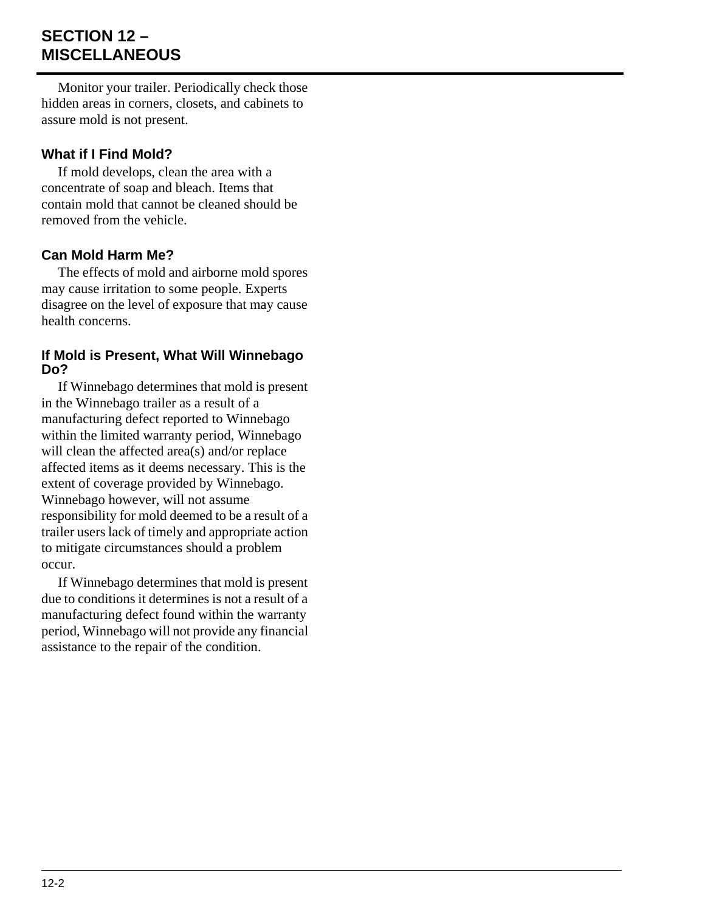## **SECTION 12 – MISCELLANEOUS**

Monitor your trailer. Periodically check those hidden areas in corners, closets, and cabinets to assure mold is not present.

#### **What if I Find Mold?**

If mold develops, clean the area with a concentrate of soap and bleach. Items that contain mold that cannot be cleaned should be removed from the vehicle.

#### **Can Mold Harm Me?**

The effects of mold and airborne mold spores may cause irritation to some people. Experts disagree on the level of exposure that may cause health concerns.

#### **If Mold is Present, What Will Winnebago Do?**

If Winnebago determines that mold is present in the Winnebago trailer as a result of a manufacturing defect reported to Winnebago within the limited warranty period, Winnebago will clean the affected area(s) and/or replace affected items as it deems necessary. This is the extent of coverage provided by Winnebago. Winnebago however, will not assume responsibility for mold deemed to be a result of a trailer users lack of timely and appropriate action to mitigate circumstances should a problem occur.

If Winnebago determines that mold is present due to conditions it determines is not a result of a manufacturing defect found within the warranty period, Winnebago will not provide any financial assistance to the repair of the condition.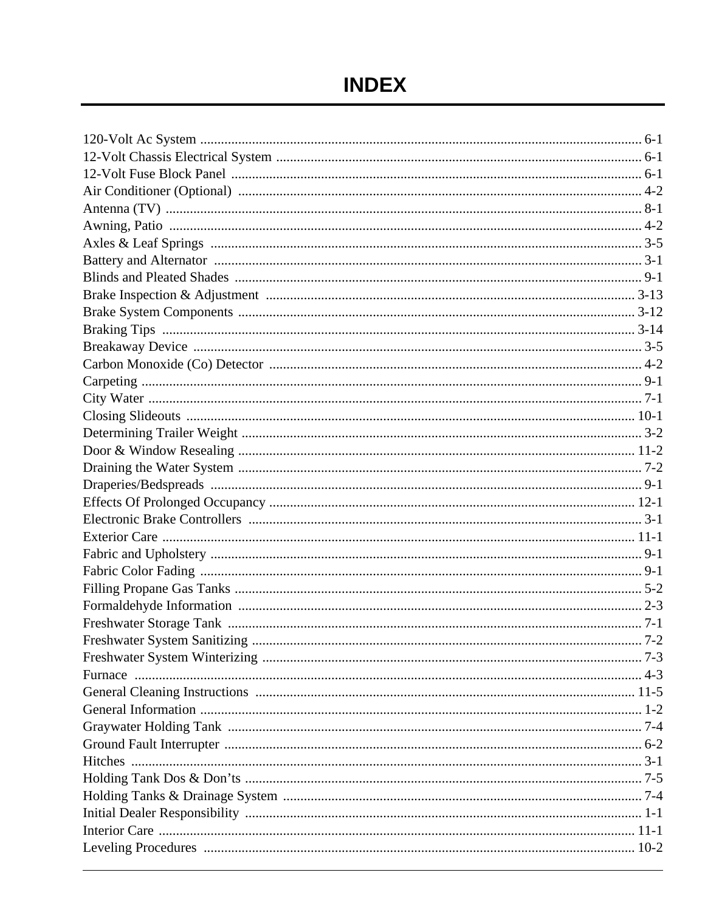# **INDEX**